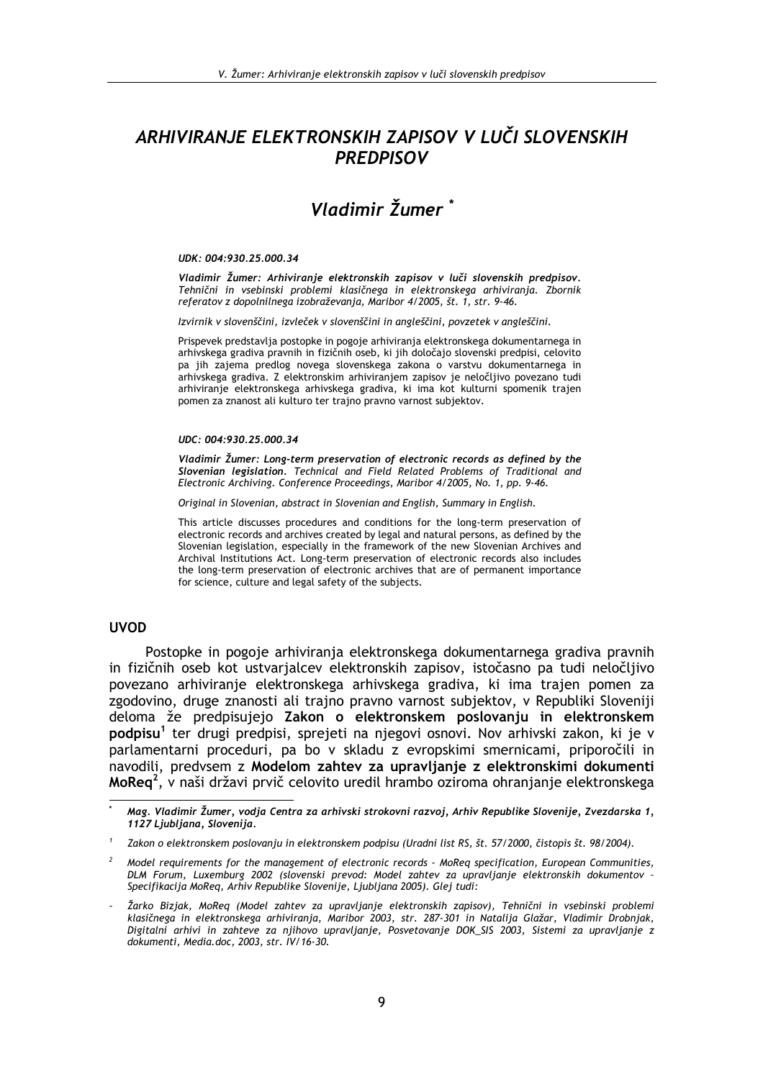# ARHIVIRANJE ELEKTRONSKIH ZAPISOV V LUČI SLOVENSKIH **PREDPISOV**

# Vladimir Žumer<sup>\*</sup>

### UDK: 004:930.25.000.34

Vladimir Žumer: Arhiviranie elektronskih zapisov v luči slovenskih predpisov. Tehnični in vsebinski problemi klasičnega in elektronskega arhiviranja. Zbornik referatov z dopolnilnega izobraževanja, Maribor 4/2005, št. 1, str. 9-46.

Izvirnik v slovenščini, izvleček v slovenščini in angleščini, povzetek v angleščini.

Prispevek predstavlja postopke in pogoje arhiviranja elektronskega dokumentarnega in arhivskega gradiva pravnih in fizičnih oseb, ki jih določajo slovenski predpisi, celovito pa jih zajema predlog novega slovenskega zakona o varstvu dokumentarnega in arhivskega gradiva. Z elektronskim arhiviranjem zapisov je neločljivo povezano tudi arhiviranie elektronskega arhivskega gradiva, ki ima kot kulturni spomenik trajen pomen za znanost ali kulturo ter trajno pravno varnost subjektov.

### UDC: 004:930.25.000.34

Vladimir Žumer: Long-term preservation of electronic records as defined by the Slovenian legislation. Technical and Field Related Problems of Traditional and Electronic Archiving. Conference Proceedings, Maribor 4/2005, No. 1, pp. 9-46.

Original in Slovenian, abstract in Slovenian and English, Summary in English.

This article discusses procedures and conditions for the long-term preservation of electronic records and archives created by legal and natural persons, as defined by the Slovenian legislation, especially in the framework of the new Slovenian Archives and Archival Institutions Act. Long-term preservation of electronic records also includes the long-term preservation of electronic archives that are of permanent importance for science, culture and legal safety of the subjects.

# **IIVOD**

Postopke in pogoje arhiviranja elektronskega dokumentarnega gradiva pravnih in fizičnih oseb kot ustvarjalcev elektronskih zapisov, istočasno pa tudi neločljivo povezano arhiviranje elektronskega arhivskega gradiva, ki ima trajen pomen za zgodovino, druge znanosti ali trajno pravno varnost subjektov, v Republiki Sloveniji deloma že predpisujejo Zakon o elektronskem poslovanju in elektronskem podpisu<sup>1</sup> ter drugi predpisi, sprejeti na njegovi osnovi. Nov arhivski zakon, ki je v parlamentarni proceduri, pa bo v skladu z evropskimi smernicami, priporočili in navodili, predvsem z Modelom zahtev za upravljanje z elektronskimi dokumenti MoReg<sup>2</sup>, v naši državi prvič celovito uredil hrambo oziroma ohranjanje elektronskega

<sup>,</sup> Mag. Vladimir Žumer, vodja Centra za arhivski strokovni razvoj, Arhiv Republike Slovenije, Zvezdarska 1 1127 Ljubljana, Slovenija.

Zakon o elektronskem poslovanju in elektronskem podpisu (Uradni list RS, št. 57/2000, čistopis št. 98/2004).

Model requirements for the management of electronic records - MoReq specification, European Communities, DLM Forum, Luxemburg 2002 (slovenski prevod: Model zahtev za upravljanje elektronskih dokumentov Specifikacija MoReq, Arhiv Republike Slovenije, Ljubljana 2005). Glej tudi:

Žarko Bizjak, MoReg (Model zahtev za upravljanje elektronskih zapisov), Tehnični in vsebinski problemi klasičnega in elektronskega arhiviranja, Maribor 2003, str. 287-301 in Natalija Glažar, Vladimir Drobniak, Digitalni arhivi in zahteve za njihovo upravljanje, Posvetovanje DOK\_SIS 2003, Sistemi za upravljanje z dokumenti, Media.doc, 2003, str. IV/16-30.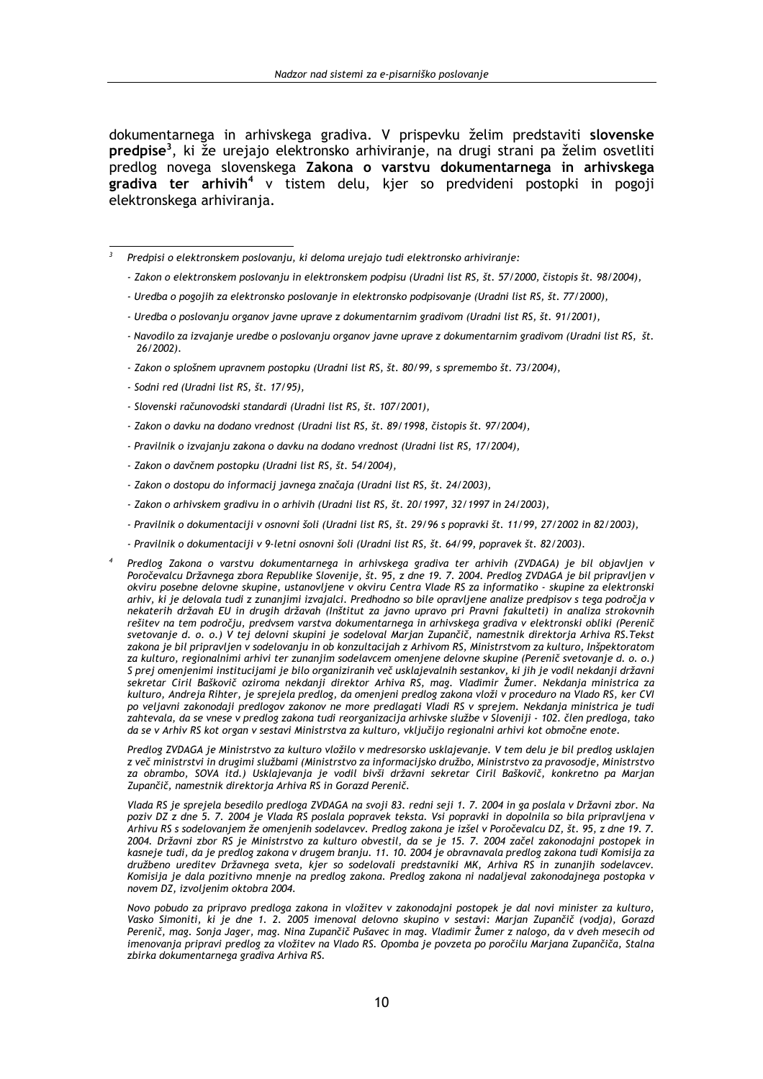dokumentarnega in arhivskega gradiva. V prispevku želim predstaviti slovenske predpise<sup>3</sup>, ki že urejajo elektronsko arhiviranje, na drugi strani pa želim osvetliti predlog novega slovenskega Zakona o varstvu dokumentarnega in arhivskega gradiva ter arhivih<sup>4</sup> v tistem delu, kjer so predvideni postopki in pogoji elektronskega arhiviranja.

 $\overline{\mathbf{z}}$ Predpisi o elektronskem poslovanju, ki deloma urejajo tudi elektronsko arhiviranje:

- Zakon o elektronskem poslovanju in elektronskem podpisu (Uradni list RS, št. 57/2000, čistopis št. 98/2004),
- Uredba o pogojih za elektronsko poslovanje in elektronsko podpisovanje (Uradni list RS, št. 77/2000),
- Uredba o poslovanju organov javne uprave z dokumentarnim gradivom (Uradni list RS, št. 91/2001),
- Navodilo za izvajanje uredbe o poslovanju organov javne uprave z dokumentarnim gradivom (Uradni list RS, št. 26/2002).
- Zakon o splošnem upravnem postopku (Uradni list RS, št. 80/99, s spremembo št. 73/2004),
- Sodni red (Uradni list RS, št. 17/95),
- Slovenski računovodski standardi (Uradni list RS, št. 107/2001),
- Zakon o davku na dodano vrednost (Uradni list RS, št. 89/1998, čistopis št. 97/2004),
- Pravilnik o izvajanju zakona o davku na dodano vrednost (Uradni list RS, 17/2004),
- Zakon o davčnem postopku (Uradni list RS, št. 54/2004),
- Zakon o dostopu do informacij javnega značaja (Uradni list RS, št. 24/2003),
- Zakon o arhivskem gradivu in o arhivih (Uradni list RS, št. 20/1997, 32/1997 in 24/2003),
- Pravilnik o dokumentaciji v osnovni šoli (Uradni list RS, št. 29/96 s popravki št. 11/99, 27/2002 in 82/2003),
- Pravilnik o dokumentaciji v 9-letni osnovni šoli (Uradni list RS, št. 64/99, popravek št. 82/2003).
- Predlog Zakona o varstvu dokumentarnega in arhivskega gradiva ter arhivih (ZVDAGA) je bil objavljen v Poročevalcu Državnega zbora Republike Slovenije, št. 95, z dne 19. 7. 2004. Predlog ZVDAGA je bil pripravljen v okviru posebne delovne skupine, ustanovljene v okviru Centra Vlade RS za informatiko - skupine za elektronski arhiv, ki je delovala tudi z zunanjimi izvajalci. Predhodno so bile opravljene analize predpisov s tega področja v nekaterih državah EU in drugih državah (Inštitut za javno upravo pri Pravni fakulteti) in analiza strokovnih rešitev na tem področju, predvsem varstva dokumentarnega in arhivskega gradiva v elektronski obliki (Perenič svetovanje d. o. o.) V tej delovni skupini je sodeloval Marjan Zupančič, namestnik direktorja Arhiva RS.Tekst zakona je bil pripravljen v sodelovanju in ob konzultacijah z Arhivom RS, Ministrstvom za kulturo, Inšpektoratom za kulturo, regionalnimi arhivi ter zunaniim sodelavcem omeniene delovne skupine (Perenič svetovanie d. o. o.) se navenov, regionalnimi armir est esinalgim oceaanicum omenjene este me onepme (roromo orelange en orion)<br>S prej omenjenimi institucijami je bilo organiziranih več usklajevalnih sestankov, ki jih je vodil nekdanji državni kulturo, Andreja Rihter, je sprejela predlog, da omenjeni predlog zakona vloži v proceduro na Vlado RS, ker CVI po veljavni zakonodaji predlogov zakonov ne more predlagati Vladi RS v sprejem. Nekdanja ministrica je tudi zahtevala, da se vnese v predlog zakona tudi reorganizacija arhivske službe v Sloveniji - 102. člen predloga, tako da se v Arhiv RS kot organ v sestavi Ministrstva za kulturo, vključijo regionalni arhivi kot območne enote.

Predlog ZVDAGA je Ministrstvo za kulturo vložilo v medresorsko usklajevanje. V tem delu je bil predlog usklajen z več ministrstvi in drugimi službami (Ministrstvo za informacijsko družbo, Ministrstvo za pravosodje, Ministrstvo za obrambo, SOVA itd.) Usklajevanja je vodil bivši državni sekretar Ciril Baškovič, konkretno pa Marjan Zupančič, namestnik direktorja Arhiva RS in Gorazd Perenič.

Vlada RS je sprejela besedilo predloga ZVDAGA na svoji 83. redni seji 1. 7. 2004 in ga poslala v Državni zbor. Na poziv DZ z dne 5. 7. 2004 je Vlada RS poslala popravek teksta. Vsi popravki in dopolnila so bila pripravljena v Arhivu RS s sodelovanjem že omenjenih sodelavcev. Predlog zakona je izšel v Poročevalcu DZ, št. 95, z dne 19.7. 2004. Državni zbor RS je Ministrstvo za kulturo obvestil, da se je 15. 7. 2004 začel zakonodajni postopek in kasneje tudi, da je predlog zakona v drugem branju. 11. 10. 2004 je obravnavala predlog zakona tudi Komisija za družbeno ureditev Državnega sveta, kjer so sodelovali predstavniki MK, Arhiva RS in zunanjih sodelavcev. Komisija je dala pozitivno mnenje na predlog zakona. Predlog zakona ni nadaljeval zakonodajnega postopka v novem DZ, izvoljenim oktobra 2004.

Novo pobudo za pripravo predloga zakona in vložitev v zakonodajni postopek je dal novi minister za kulturo, Vasko Simoniti, ki je dne 1. 2. 2005 imenoval delovno skupino v sestavi: Marjan Zupančič (vodja), Gorazd Perenič, mag. Sonja Jager, mag. Nina Zupančič Pušavec in mag. Vladimir Žumer z nalogo, da v dveh mesecih od imenovanja pripravi predlog za vložitev na Vlado RS. Opomba je povzeta po poročilu Marjana Zupančiča, Stalna zbirka dokumentarnega gradiva Arhiva RS.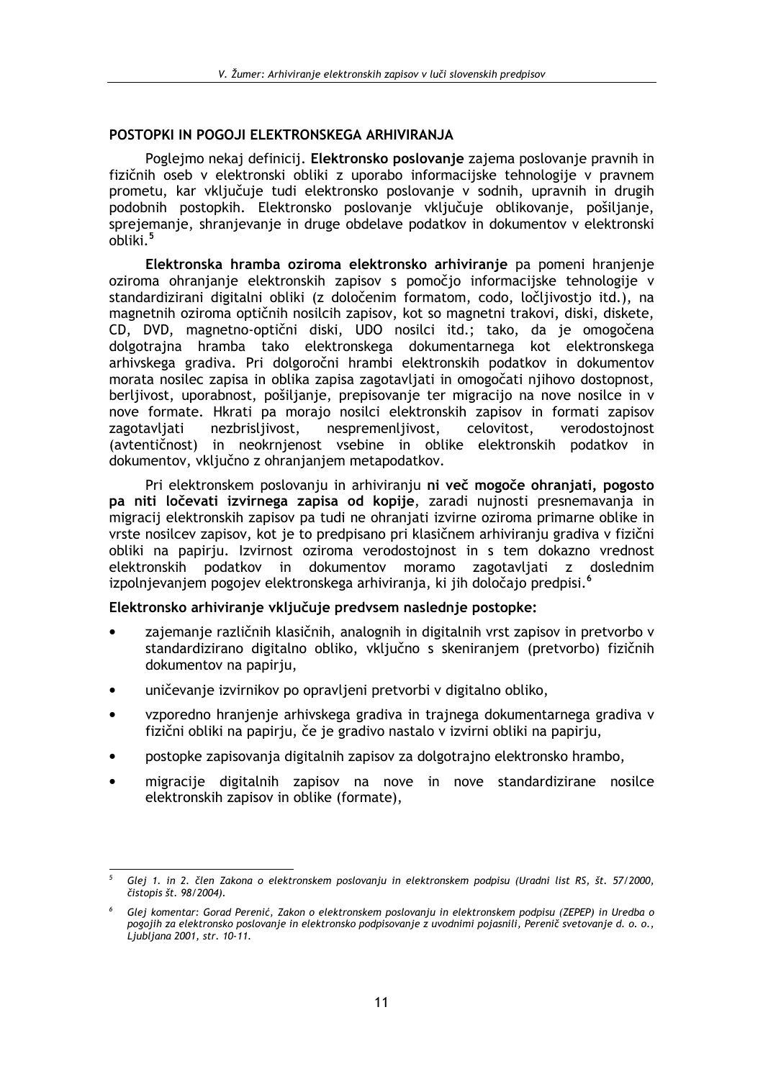# POSTOPKI IN POGOJI ELEKTRONSKEGA ARHIVIRANJA

Poglejmo nekaj definicij. Elektronsko poslovanje zajema poslovanje pravnih in fizičnih oseb v elektronski obliki z uporabo informacijske tehnologije v pravnem prometu, kar vključuje tudi elektronsko poslovanje v sodnih, upravnih in drugih podobnih postopkih. Elektronsko poslovanie vkliučuje oblikovanie, pošilianie, sprejemanje, shranjevanje in druge obdelave podatkov in dokumentov v elektronski  $obliki.<sup>5</sup>$ 

Elektronska hramba oziroma elektronsko arhiviranje pa pomeni hranjenje oziroma ohranjanje elektronskih zapisov s pomočjo informacijske tehnologije v standardizirani digitalni obliki (z določenim formatom, codo, ločljivostjo itd.), na magnetnih oziroma optičnih nosilcih zapisov, kot so magnetni trakovi, diski, diskete, CD, DVD, magnetno-optični diski, UDO nosilci itd.; tako, da je omogočena dolgotrajna hramba tako elektronskega dokumentarnega kot elektronskega arhivskega gradiva. Pri dolgoročni hrambi elektronskih podatkov in dokumentov morata nosilec zapisa in oblika zapisa zagotavljati in omogočati njihovo dostopnost, berljivost, uporabnost, pošiljanje, prepisovanje ter migracijo na nove nosilce in v nove formate. Hkrati pa morajo nosilci elektronskih zapisov in formati zapisov nezbrisliivost, nespremenliivost, celovitost, zagotavljati verodostojnost (avtentičnost) in neokrnjenost vsebine in oblike elektronskih podatkov in dokumentov, vključno z ohranjanjem metapodatkov.

Pri elektronskem poslovanju in arhiviranju ni več mogoče ohranjati, pogosto pa niti ločevati izvirnega zapisa od kopije, zaradi nujnosti presnemavanja in migracij elektronskih zapisov pa tudi ne ohranjati izvirne oziroma primarne oblike in vrste nosilcev zapisov, kot je to predpisano pri klasičnem arhiviranju gradiva v fizični obliki na papiriu. Izvirnost oziroma verodostojnost in s tem dokazno vrednost elektronskih podatkov in dokumentov moramo zagotavljati z doslednim izpolnjevanjem pogojev elektronskega arhiviranja, ki jih določajo predpisi.<sup>6</sup>

# Elektronsko arhiviranie vkliučuie predvsem naslednie postopke:

- zajemanje različnih klasičnih, analognih in digitalnih vrst zapisov in pretvorbo v standardizirano digitalno obliko, vključno s skeniranjem (pretvorbo) fizičnih dokumentov na papirju,
- uničevanie izvirnikov po opravlieni pretvorbi v digitalno obliko.
- vzporedno hranienie arhivskega gradiva in trainega dokumentarnega gradiva v  $\bullet$ fizični obliki na papirju, če je gradivo nastalo v izvirni obliki na papirju,
- postopke zapisovanja digitalnih zapisov za dolgotrajno elektronsko hrambo,
- migracije digitalnih zapisov na nove in nove standardizirane nosilce elektronskih zapisov in oblike (formate).

Glej 1. in 2. člen Zakona o elektronskem poslovanju in elektronskem podpisu (Uradni list RS, št. 57/2000, čistopis št. 98/2004).

Glej komentar: Gorad Perenić, Zakon o elektronskem poslovanju in elektronskem podpisu (ZEPEP) in Uredba o pogojih za elektronsko poslovanje in elektronsko podpisovanje z uvodnimi pojasnili, Perenič svetovanje d. o. o., .<br>Ljubljana 2001, str. 10-11.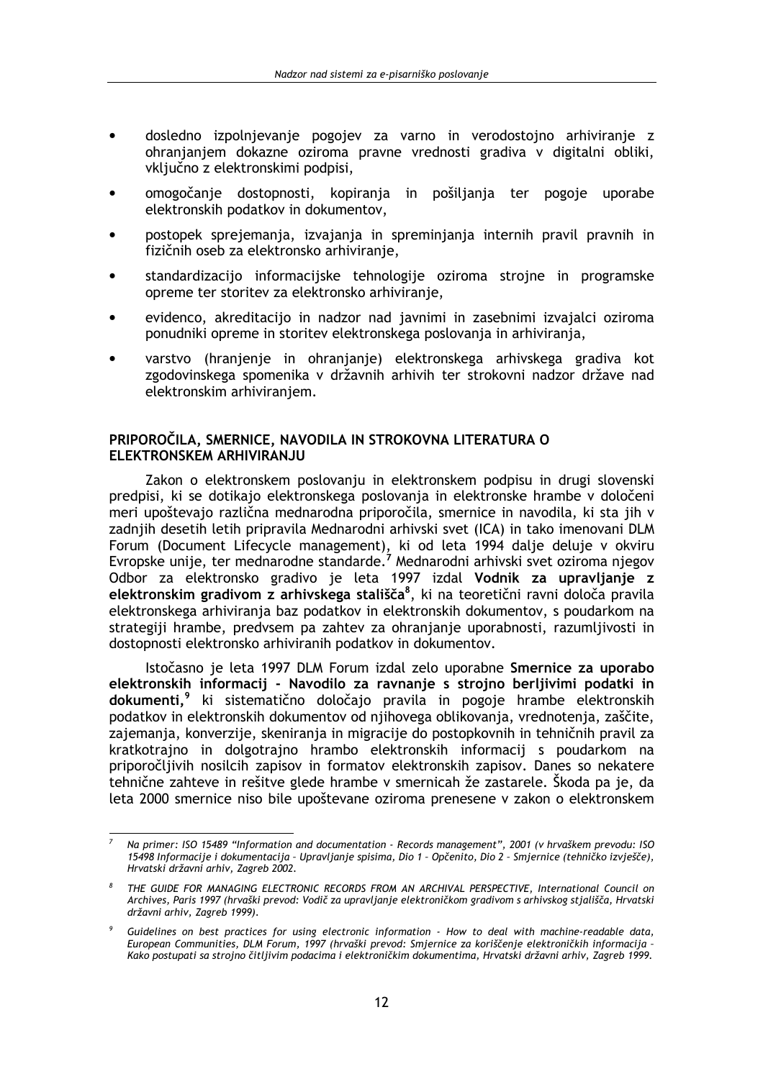- dosledno izpolnievanie pogojev za varno in verodostojno arhiviranie z ohranjanjem dokazne oziroma pravne vrednosti gradiva v digitalni obliki, vključno z elektronskimi podpisi.
- omogočanie dostopnosti, kopirania in pošiliania ter pogoje uporabe elektronskih podatkov in dokumentov.
- postopek sprejemanja, izvajanja in spreminjanja internih pravil pravnih in fizičnih oseb za elektronsko arhiviranje,
- standardizacijo informacijske tehnologije oziroma strojne in programske opreme ter storitev za elektronsko arhiviranje,
- evidenco, akreditacijo in nadzor nad javnimi in zasebnimi izvajalci oziroma ponudniki opreme in storitev elektronskega poslovanja in arhiviranja,
- varstvo (hranjenje in ohranjanje) elektronskega arhivskega gradiva kot zgodovinskega spomenika v državnih arhivih ter strokovni nadzor države nad elektronskim arhiviranjem.

# PRIPOROČILA, SMERNICE, NAVODILA IN STROKOVNA LITERATURA O ELEKTRONSKEM ARHIVIRANJU

Zakon o elektronskem poslovanju in elektronskem podpisu in drugi slovenski predpisi, ki se dotikajo elektronskega poslovanja in elektronske hrambe v določeni meri upoštevajo različna mednarodna priporočila, smernice in navodila, ki sta jih v zadnjih desetih letih pripravila Mednarodni arhivski svet (ICA) in tako imenovani DLM Forum (Document Lifecycle management), ki od leta 1994 dalje deluje v okviru<br>Evropske unije, ter mednarodne standarde.<sup>7</sup> Mednarodni arhivski svet oziroma njegov Odbor za elektronsko gradivo je leta 1997 izdal Vodnik za upravljanje z elektronskim gradivom z arhivskega stališča<sup>8</sup>, ki na teoretični ravni določa pravila elektronskega arhiviranja baz podatkov in elektronskih dokumentov, s poudarkom na strategiji hrambe, predvsem pa zahtev za ohranjanje uporabnosti, razumljivosti in dostopnosti elektronsko arhiviranih podatkov in dokumentov.

Istočasno je leta 1997 DLM Forum izdal zelo uporabne Smernice za uporabo elektronskih informacij - Navodilo za ravnanje s strojno berljivimi podatki in dokumenti.<sup>9</sup> ki sistematično določajo pravila in pogoje hrambe elektronskih podatkov in elektronskih dokumentov od nijhovega oblikovania, vrednotenia, zaščite, zajemania, konverzije, skenirania in migracije do postopkovnih in tehničnih pravil za kratkotrajno in dolgotrajno hrambo elektronskih informacij s poudarkom na priporočliivih nosilcih zapisov in formatov elektronskih zapisov. Danes so nekatere tehnične zahteve in rešitve glede hrambe v smernicah že zastarele. Škoda pa je, da leta 2000 smernice niso bile upoštevane oziroma prenesene v zakon o elektronskem

Na primer: ISO 15489 "Information and documentation - Records management", 2001 (v hrvaškem prevodu: ISO 15498 Informacije i dokumentacija - Upravljanje spisima, Dio 1 - Opčenito, Dio 2 - Smjernice (tehničko izvješče), Hrvatski državni arhiv, Zagreb 2002.

THE GUIDE FOR MANAGING ELECTRONIC RECORDS FROM AN ARCHIVAL PERSPECTIVE, International Council on Archives, Paris 1997 (hrvaški prevod: Vodič za upravljanje elektroničkom gradivom s arhivskog stjališča, Hrvatski državni arhiv, Zagreb 1999).

Guidelines on best practices for using electronic information - How to deal with machine-readable data, European Communities, DLM Forum, 1997 (hrvaški prevod: Smjernice za koriščenje elektroničkih informacija -Kako postupati sa strojno čitljivim podacima i elektroničkim dokumentima, Hrvatski državni arhiv, Zagreb 1999.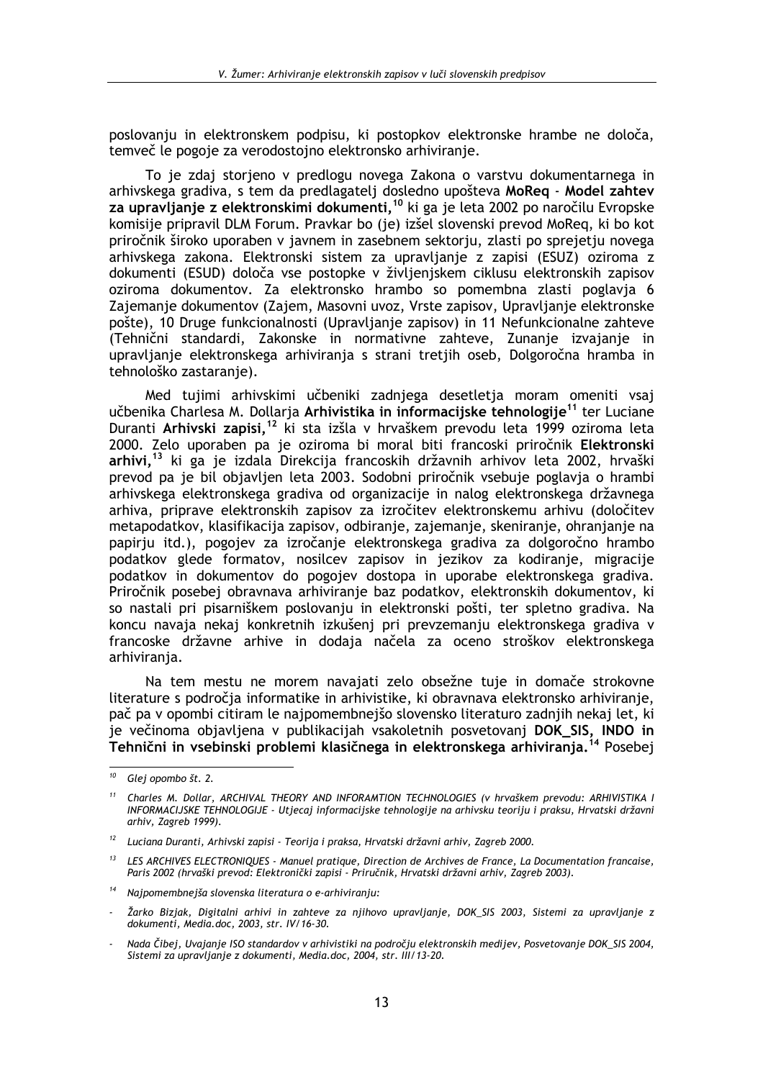poslovaniu in elektronskem podpisu, ki postopkov elektronske hrambe ne določa, temveč le pogoje za verodostojno elektronsko arhiviranje.

To je zdaj storjeno v predlogu novega Zakona o varstvu dokumentarnega in arhivskega gradiva, s tem da predlagatelj dosledno upošteva MoReg - Model zahtev za upravljanje z elektronskimi dokumenti,<sup>10</sup> ki ga je leta 2002 po naročilu Evropske komisije pripravil DLM Forum. Pravkar bo (je) izšel slovenski prevod MoReg, ki bo kot priročnik široko uporaben v javnem in zasebnem sektorju, zlasti po sprejetju novega arhivskega zakona. Elektronski sistem za upravljanje z zapisi (ESUZ) oziroma z dokumenti (ESUD) določa vse postopke v življenjskem ciklusu elektronskih zapisov oziroma dokumentov. Za elektronsko hrambo so pomembna zlasti poglavja 6 Zajemanje dokumentov (Zajem, Masovni uvoz, Vrste zapisov, Upravljanje elektronske pošte), 10 Druge funkcionalnosti (Upravljanje zapisov) in 11 Nefunkcionalne zahteve (Tehnični standardi, Zakonske in normativne zahteve, Zunanje izvajanje in upravljanje elektronskega arhiviranja s strani tretjih oseb, Dolgoročna hramba in tehnološko zastaranje).

Med tujimi arhivskimi učbeniki zadnjega desetletja moram omeniti vsaj učbenika Charlesa M. Dollarja Arhivistika in informacijske tehnologije<sup>11</sup> ter Luciane Duranti Arhivski zapisi,<sup>12</sup> ki sta izšla v hrvaškem prevodu leta 1999 oziroma leta 2000. Zelo uporaben pa je oziroma bi moral biti francoski priročnik Elektronski arhivi,<sup>13</sup> ki ga je izdala Direkcija francoskih državnih arhivov leta 2002, hrvaški prevod pa je bil objavljen leta 2003. Sodobni priročnik vsebuje poglavja o hrambi arhivskega elektronskega gradiva od organizacije in nalog elektronskega državnega arhiva, priprave elektronskih zapisov za izročitev elektronskemu arhivu (določitev metapodatkov, klasifikacija zapisov, odbiranje, zajemanje, skeniranje, ohranjanje na papirju itd.), pogojev za izročanje elektronskega gradiva za dolgoročno hrambo podatkov glede formatov, nosilcev zapisov in jezikov za kodiranje, migracije podatkov in dokumentov do pogojev dostopa in uporabe elektronskega gradiva. Priročnik posebej obravnava arhiviranje baz podatkov, elektronskih dokumentov, ki so nastali pri pisarniškem poslovanju in elektronski pošti, ter spletno gradiva. Na koncu navaja nekaj konkretnih izkušeni pri prevzemanju elektronskega gradiva v francoske državne arhive in dodaja načela za oceno stroškov elektronskega arhivirania.

Na tem mestu ne morem navajati zelo obsežne tuje in domače strokovne literature s področia informatike in arhivistike, ki obravnava elektronsko arhiviranie, pač pa v opombi citiram le najpomembnejšo slovensko literaturo zadnjih nekaj let, ki je večinoma objavljena v publikacijah vsakoletnih posvetovanj DOK\_SIS, INDO in Tehnični in vsebinski problemi klasičnega in elektronskega arhiviranja.<sup>14</sup> Posebej

<sup>&</sup>lt;sup>10</sup> Glej opombo št. 2.

 $11$ Charles M. Dollar, ARCHIVAL THEORY AND INFORAMTION TECHNOLOGIES (v hrvaškem prevodu: ARHIVISTIKA I INFORMACIJSKE TEHNOLOGIJE - Utjecaj informacijske tehnologije na arhivsku teoriju i praksu, Hrvatski državni arhiv, Zagreb 1999).

<sup>&</sup>lt;sup>12</sup> Luciana Duranti, Arhivski zapisi - Teorija i praksa, Hrvatski državni arhiv, Zagreb 2000.

 $13$ LES ARCHIVES ELECTRONIQUES - Manuel pratique, Direction de Archives de France, La Documentation francaise, Paris 2002 (hrvaški prevod: Elektronički zapisi - Priručnik, Hrvatski državni arhiv, Zagreb 2003).

<sup>14</sup> Naipomembnejša slovenska literatura o e-arhiviranju:

Žarko Bizjak, Digitalni arhivi in zahteve za njihovo upravljanje, DOK\_SIS 2003, Sistemi za upravljanje z dokumenti, Media.doc, 2003, str. IV/16-30.

Nada Čibej, Uvajanje ISO standardov v arhivistiki na področju elektronskih medijev, Posvetovanje DOK SIS 2004, Sistemi za upravljanje z dokumenti, Media.doc, 2004, str. III/13-20.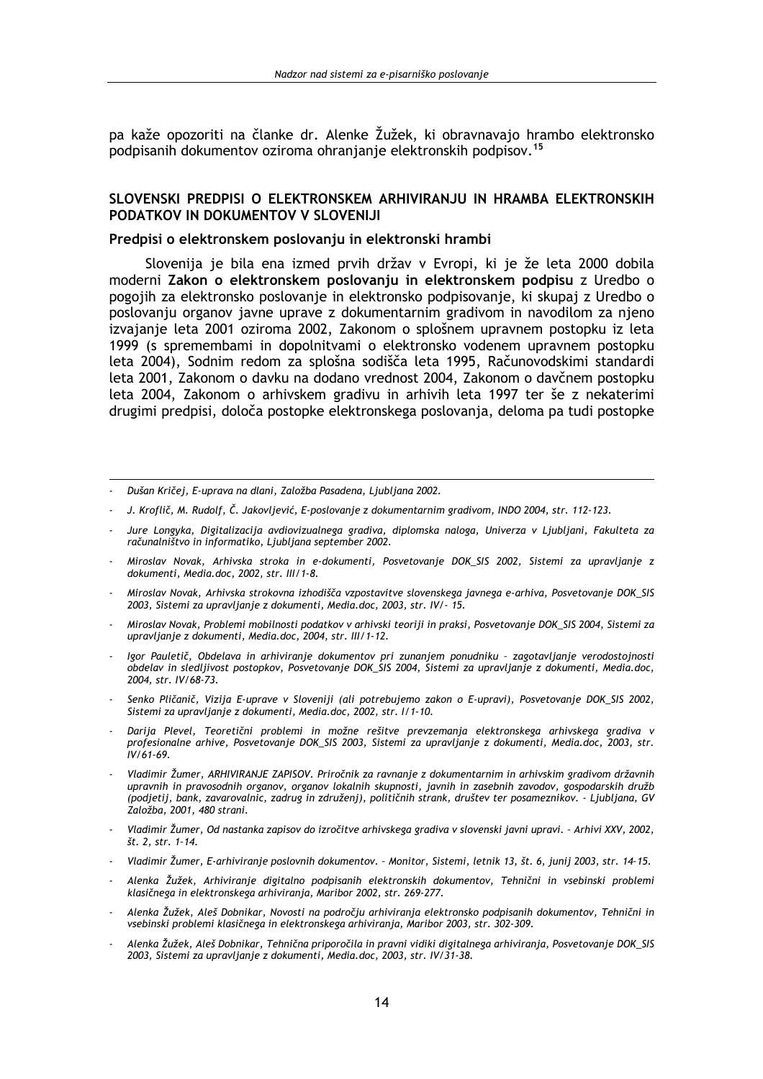pa kaže opozoriti na članke dr. Alenke Žužek, ki obravnavajo hrambo elektronsko podpisanih dokumentov oziroma ohranjanje elektronskih podpisov.<sup>15</sup>

# SLOVENSKI PREDPISI O ELEKTRONSKEM ARHIVIRANJU IN HRAMBA ELEKTRONSKIH PODATKOV IN DOKUMENTOV V SLOVENIJI

# Predpisi o elektronskem poslovanju in elektronski hrambi

Slovenija je bila ena izmed prvih držav v Evropi, ki je že leta 2000 dobila moderni Zakon o elektronskem poslovanju in elektronskem podpisu z Uredbo o pogojih za elektronsko poslovanje in elektronsko podpisovanje, ki skupaj z Uredbo o poslovanju organov javne uprave z dokumentarnim gradivom in navodilom za njeno izvajanje leta 2001 oziroma 2002, Zakonom o splošnem upravnem postopku iz leta 1999 (s spremembami in dopolnitvami o elektronsko vodenem upravnem postopku leta 2004), Sodnim redom za splošna sodišča leta 1995, Računovodskimi standardi leta 2001, Zakonom o davku na dodano vrednost 2004, Zakonom o davčnem postopku leta 2004, Zakonom o arhivskem gradivu in arhivih leta 1997 ter še z nekaterimi drugimi predpisi, določa postopke elektronskega poslovanja, deloma pa tudi postopke

- J. Kroflič, M. Rudolf, Č. Jakovljević, E-poslovanje z dokumentarnim gradivom, INDO 2004, str. 112-123.
- Jure Longyka, Digitalizacija avdiovizualnega gradiva, diplomska naloga, Univerza v Ljubljani, Fakulteta za računalništvo in informatiko, Ljubljana september 2002.
- Miroslav Novak, Arhivska stroka in e-dokumenti, Posvetovanie DOK SIS 2002, Sistemi za upravljanie z dokumenti, Media.doc, 2002, str. III/1-8.
- Miroslav Novak, Arhivska strokovna izhodišča vzpostavitve slovenskega javnega e-arhiva, Posvetovanje DOK\_SIS 2003, Sistemi za upravlianie z dokumenti, Media.doc, 2003, str. IV/- 15.
- Miroslav Novak, Problemi mobilnosti podatkov v arhivski teoriji in praksi, Posvetovanje DOK\_SIS 2004, Sistemi za upravljanje z dokumenti, Media.doc, 2004, str. III/1-12.
- Igor Pauletič, Obdelava in arhiviranje dokumentov pri zunanjem ponudniku zagotavljanje verodostojnosti<br>obdelav in sledljivost postopkov, Posvetovanje DOK\_SIS 2004, Sistemi za upravljanje z dokumenti, Media.doc, 2004, str. IV/68-73.
- Senko Pličanič, Vizija E-uprave v Sloveniji (ali potrebujemo zakon o E-upravi), Posvetovanje DOK\_SIS 2002, Sistemi za upravljanje z dokumenti, Media.doc, 2002, str. I/1-10.
- Darija Plevel, Teoretični problemi in možne rešitve prevzemanja elektronskega arhivskega gradiva v profesionalne arhive, Posvetovanje DOK\_SIS 2003, Sistemi za upravljanje z dokumenti, Media.doc, 2003, str.  $IV/61-69.$
- Vladimir Žumer, ARHIVIRANJE ZAPISOV. Priročnik za ravnanje z dokumentarnim in arhivskim gradivom državnih upravnih in pravosodnih organov, organov lokalnih skupnosti, javnih in zasebnih zavodov, gospodarskih družb (podjetij, bank, zavarovalnic, zadrug in združenj), političnih strank, društev ter posameznikov. - Ljubljana, GV<br>Založba, 2001, 480 strani.
- Vladimir Žumer, Od nastanka zapisov do izročitve arhivskega gradiva v slovenski javni upravi. Arhivi XXV, 2002, št. 2, str. 1-14.
- Vladimir Žumer, E-arhiviranje poslovnih dokumentov. Monitor, Sistemi, letnik 13, št. 6, junij 2003, str. 14-15.
- Alenka Žužek, Arhiviranje digitalno podpisanih elektronskih dokumentov, Tehnični in vsebinski problemi klasičnega in elektronskega arhiviranja, Maribor 2002, str. 269-277.
- Alenka Žužek, Aleš Dobnikar, Novosti na področju arhiviranja elektronsko podpisanih dokumentov, Tehnični in vsebinski problemi klasičnega in elektronskega arhiviranja, Maribor 2003, str. 302-309.
- Alenka Žužek, Aleš Dobnikar, Tehnična priporočila in pravni vidiki digitalnega arhiviranja, Posvetovanje DOK\_SIS 2003, Sistemi za upravljanje z dokumenti, Media.doc, 2003, str. IV/31-38.

Dušan Kričej, E-uprava na dlani, Založba Pasadena, Ljubljana 2002.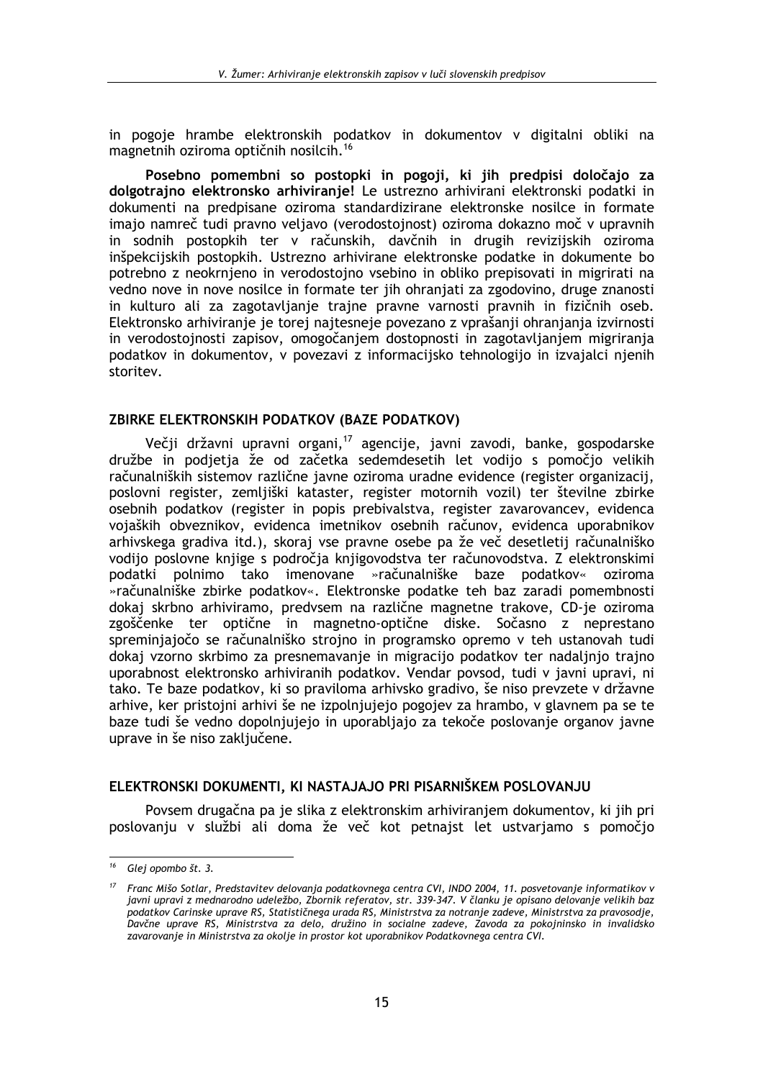in pogoje hrambe elektronskih podatkov in dokumentov v digitalni obliki na magnetnih oziroma optičnih nosilcih.<sup>16</sup>

Posebno pomembni so postopki in pogoji, ki jih predpisi določajo za dolgotrajno elektronsko arhiviranje! Le ustrezno arhivirani elektronski podatki in dokumenti na predpisane oziroma standardizirane elektronske nosilce in formate imajo namreč tudi pravno veljavo (verodostojnost) oziroma dokazno moč v upravnih in sodnih postopkih ter v računskih, davčnih in drugih revizijskih oziroma inšpekcijskih postopkih. Ustrezno arhivirane elektronske podatke in dokumente bo potrebno z neokrnjeno in verodostojno vsebino in obliko prepisovati in migrirati na vedno nove in nove nosilce in formate ter jih ohranjati za zgodovino, druge znanosti in kulturo ali za zagotavljanje trajne pravne varnosti pravnih in fizičnih oseb. Elektronsko arhiviranje je torej najtesneje povezano z vprašanji ohranjanja izvirnosti in verodostojnosti zapisov, omogočanjem dostopnosti in zagotavljanjem migriranja podatkov in dokumentov, v povezavi z informacijsko tehnologijo in izvajalci njenih storitev.

# ZBIRKE ELEKTRONSKIH PODATKOV (BAZE PODATKOV)

Večji državni upravni organi,<sup>17</sup> agencije, javni zavodi, banke, gospodarske družbe in podjetja že od začetka sedemdesetih let vodijo s pomočjo velikih računalniških sistemov različne javne oziroma uradne evidence (register organizacij, poslovni register, zemljiški kataster, register motornih vozil) ter številne zbirke osebnih podatkov (register in popis prebivalstva, register zavarovancev, evidenca vojaških obveznikov, evidenca imetnikov osebnih računov, evidenca uporabnikov arhivskega gradiva itd.), skoraj vse pravne osebe pa že več desetletij računalniško vodijo poslovne knjige s področja knjigovodstva ter računovodstva. Z elektronskimi podatki polnimo tako imenovane »računalniške baze podatkov« oziroma »računalniške zbirke podatkov«. Elektronske podatke teh baz zaradi pomembnosti dokaj skrbno arhiviramo, predvsem na različne magnetne trakove, CD-je oziroma zgoščenke ter optične in magnetno-optične diske. Sočasno z neprestano spreminjajočo se računalniško strojno in programsko opremo v teh ustanovah tudi dokaj vzorno skrbimo za presnemavanje in migracijo podatkov ter nadalinio trajno uporabnost elektronsko arhiviranih podatkov. Vendar povsod, tudi v javni upravi, ni tako. Te baze podatkov, ki so praviloma arhivsko gradivo, še niso prevzete v državne arhive, ker pristojni arhivi še ne izpolnjujejo pogojev za hrambo, v glavnem pa se te baze tudi še vedno dopolnjujejo in uporabljajo za tekoče poslovanje organov javne uprave in še niso zaključene.

# ELEKTRONSKI DOKUMENTI, KI NASTAJAJO PRI PISARNIŠKEM POSLOVANJU

Povsem drugačna pa je slika z elektronskim arhiviranjem dokumentov, ki jih pri poslovanju v službi ali doma že več kot petnajst let ustvarjamo s pomočjo

<sup>&</sup>lt;sup>16</sup> Glej opombo št. 3.

Franc Mišo Sotlar, Predstavitev delovanja podatkovnega centra CVI, INDO 2004, 11. posvetovanje informatikov v javni upravi z mednarodno udeležbo, Zbornik referatov, str. 339-347. V članku je opisano delovanje velikih baz podatkov Carinske uprave RS, Statističnega urada RS, Ministrstva za notranje zadeve, Ministrstva za pravosodje, Davčne uprave RS, Ministrstva za delo, družino in socialne zadeve, Zavoda za pokojninsko in invalidsko zavarovanje in Ministrstva za okolje in prostor kot uporabnikov Podatkovnega centra CVI.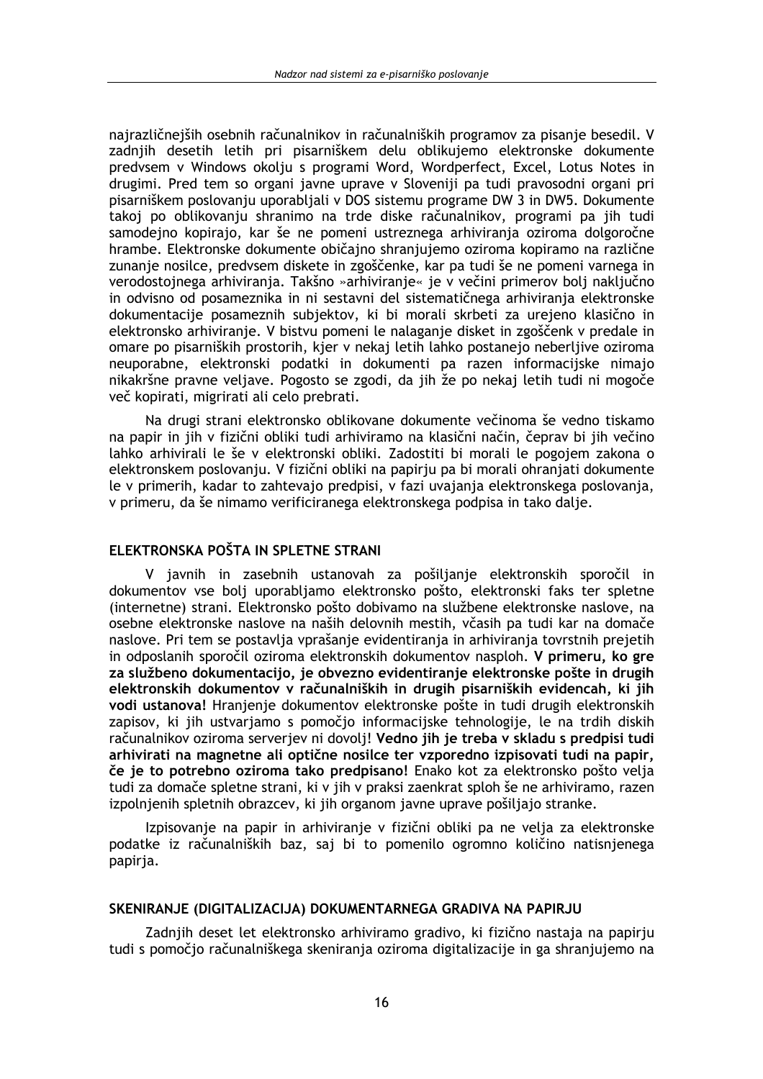najrazličnejših osebnih računalnikov in računalniških programov za pisanje besedil. V zadnijh desetih letih pri pisarniškem delu oblikujemo elektronske dokumente predvsem v Windows okolju s programi Word, Wordperfect, Excel, Lotus Notes in drugimi. Pred tem so organi javne uprave v Sloveniji pa tudi pravosodni organi pri pisarniškem poslovanju uporabljali v DOS sistemu programe DW 3 in DW5. Dokumente takoj po oblikovanju shranimo na trde diske računalnikov, programi pa jih tudi samodejno kopirajo, kar še ne pomeni ustreznega arhiviranja oziroma dolgoročne hrambe. Elektronske dokumente običajno shranjujemo oziroma kopiramo na različne zunanje nosilce, predvsem diskete in zgoščenke, kar pa tudi še ne pomeni varnega in verodostojnega arhiviranja. Takšno »arhiviranje« je v večini primerov bolj naključno in odvisno od posameznika in ni sestavni del sistematičnega arhiviranja elektronske dokumentacije posameznih subjektov, ki bi morali skrbeti za urejeno klasično in elektronsko arhiviranje. V bistvu pomeni le nalaganje disket in zgoščenk v predale in omare po pisarniških prostorih, kjer v nekaj letih lahko postanejo neberljive oziroma neuporabne, elektronski podatki in dokumenti pa razen informacijske nimajo nikakršne pravne veljave. Pogosto se zgodi, da jih že po nekaj letih tudi ni mogoče več kopirati, migrirati ali celo prebrati.

Na drugi strani elektronsko oblikovane dokumente večinoma še vedno tiskamo na papir in jih v fizični obliki tudi arhiviramo na klasični način, čeprav bi jih večino lahko arhivirali le še v elektronski obliki. Zadostiti bi morali le pogojem zakona o elektronskem poslovanju. V fizični obliki na papirju pa bi morali ohranjati dokumente le v primerih, kadar to zahtevajo predpisi, v fazi uvajanja elektronskega poslovanja, v primeru, da še nimamo verificiranega elektronskega podpisa in tako dalje.

# ELEKTRONSKA POŠTA IN SPLETNE STRANI

V javnih in zasebnih ustanovah za pošiljanje elektronskih sporočil in dokumentov vse bolj uporabljamo elektronsko pošto, elektronski faks ter spletne (internetne) strani. Elektronsko pošto dobivamo na službene elektronske naslove, na osebne elektronske naslove na naših delovnih mestih, včasih pa tudi kar na domače naslove. Pri tem se postavlja vprašanje evidentiranja in arhiviranja tovrstnih prejetih in odposlanih sporočil oziroma elektronskih dokumentov nasploh. V primeru, ko gre za službeno dokumentacijo, je obvezno evidentiranje elektronske pošte in drugih elektronskih dokumentov v računalniških in drugih pisarniških evidencah, ki jih vodi ustanova! Hranjenje dokumentov elektronske pošte in tudi drugih elektronskih zapisov, ki jih ustvarjamo s pomočjo informacijske tehnologije, le na trdih diskih računalnikov oziroma serverjev ni dovolj! Vedno jih je treba v skladu s predpisi tudi arhivirati na magnetne ali optične nosilce ter vzporedno izpisovati tudi na papir, če je to potrebno oziroma tako predpisano! Enako kot za elektronsko pošto velja tudi za domače spletne strani, ki v jih v praksi zaenkrat sploh še ne arhiviramo, razen izpolnjenih spletnih obrazcev, ki jih organom javne uprave pošiljajo stranke.

Izpisovanje na papir in arhiviranje v fizični obliki pa ne velja za elektronske podatke iz računalniških baz, saj bi to pomenilo ogromno količino natisnjenega papirja.

# SKENIRANJE (DIGITALIZACIJA) DOKUMENTARNEGA GRADIVA NA PAPIRJU

Zadnjih deset let elektronsko arhiviramo gradivo, ki fizično nastaja na papirju tudi s pomočjo računalniškega skeniranja oziroma digitalizacije in ga shranjujemo na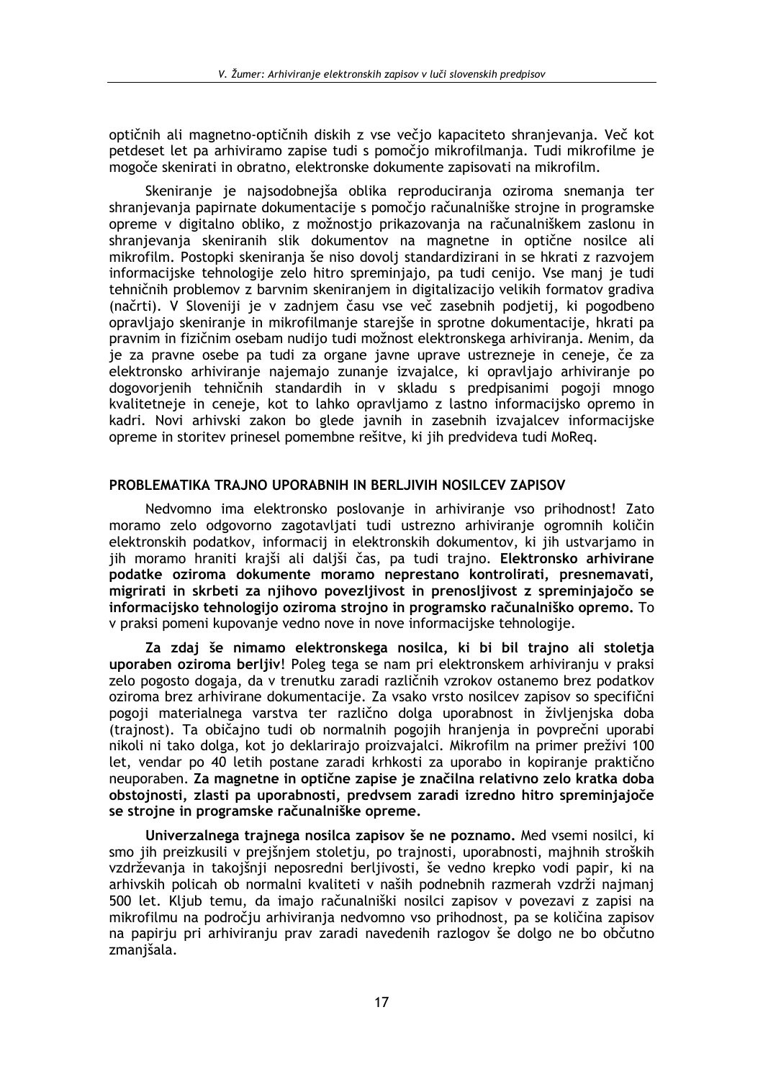optičnih ali magnetno-optičnih diskih z vse večio kapaciteto shranjevanja. Več kot petdeset let pa arhiviramo zapise tudi s pomočio mikrofilmania. Tudi mikrofilme je mogoče skenirati in obratno, elektronske dokumente zapisovati na mikrofilm.

Skeniranie je najsodobnejša oblika reproducirania oziroma snemania ter shranjevanja papirnate dokumentacije s pomočjo računalniške strojne in programske opreme v digitalno obliko, z možnostjo prikazovanja na računalniškem zaslonu in shranjevanja skeniranih slik dokumentov na magnetne in optične nosilce ali mikrofilm. Postopki skeniranja še niso dovolj standardizirani in se hkrati z razvojem informacijske tehnologije zelo hitro spreminjajo, pa tudi cenijo. Vse manj je tudi tehničnih problemov z barvnim skeniranjem in digitalizacijo velikih formatov gradiva (načrti). V Sloveniji je v zadnjem času vse več zasebnih podjetij, ki pogodbeno opravljajo skeniranje in mikrofilmanje starejše in sprotne dokumentacije, hkrati pa pravnim in fizičnim osebam nudijo tudi možnost elektronskega arhiviranja. Menim, da je za pravne osebe pa tudi za organe javne uprave ustrezneje in ceneje, če za elektronsko arhiviranje najemajo zunanje izvajalce, ki opravljajo arhiviranje po dogovorjenih tehničnih standardih in v skladu s predpisanimi pogoji mnogo kvalitetneje in ceneje, kot to lahko opravljamo z lastno informacijsko opremo in kadri. Novi arhivski zakon bo glede javnih in zasebnih izvajalcev informacijske opreme in storitev prinesel pomembne rešitve, ki jih predvideva tudi MoReq.

# PROBLEMATIKA TRAJNO UPORABNIH IN BERLJIVIH NOSILCEV ZAPISOV

Nedvomno ima elektronsko poslovanje in arhiviranje vso prihodnost! Zato moramo zelo odgovorno zagotavljati tudi ustrezno arhiviranje ogromnih količin elektronskih podatkov, informacij in elektronskih dokumentov, ki jih ustvarjamo in jih moramo hraniti krajši ali daljši čas, pa tudi trajno. Elektronsko arhivirane podatke oziroma dokumente moramo neprestano kontrolirati, presnemavati, migrirati in skrbeti za njihovo povezljivost in prenosljivost z spreminjajočo se informacijsko tehnologijo oziroma strojno in programsko računalniško opremo. To v praksi pomeni kupovanje vedno nove in nove informacijske tehnologije.

Za zdaj še nimamo elektronskega nosilca, ki bi bil trajno ali stoletja uporaben oziroma berljiv! Poleg tega se nam pri elektronskem arhiviranju v praksi zelo pogosto dogaja, da v trenutku zaradi različnih vzrokov ostanemo brez podatkov oziroma brez arhivirane dokumentacije. Za vsako vrsto nosilcev zapisov so specifični pogoji materialnega varstva ter različno dolga uporabnost in življenjska doba (trajnost). Ta običajno tudi ob normalnih pogojih hranjenja in povprečni uporabi nikoli ni tako dolga, kot jo deklarirajo proizvajalci. Mikrofilm na primer preživi 100 let, vendar po 40 letih postane zaradi krhkosti za uporabo in kopiranje praktično neuporaben. Za magnetne in optične zapise je značilna relativno zelo kratka doba obstojnosti, zlasti pa uporabnosti, predvsem zaradi izredno hitro spreminjajoče se strojne in programske računalniške opreme.

Univerzalnega trajnega nosilca zapisov še ne poznamo. Med vsemi nosilci, ki smo jih preizkusili v prejšnjem stoletju, po trajnosti, uporabnosti, majhnih stroških vzdrževanja in takojšnji neposredni berljivosti, še vedno krepko vodi papir, ki na arhivskih policah ob normalni kvaliteti v naših podnebnih razmerah vzdrži najmanj 500 let. Kljub temu, da imajo računalniški nosilci zapisov v povezavi z zapisi na mikrofilmu na področju arhiviranja nedvomno vso prihodnost, pa se količina zapisov na papirju pri arhiviranju prav zaradi navedenih razlogov še dolgo ne bo občutno zmanišala.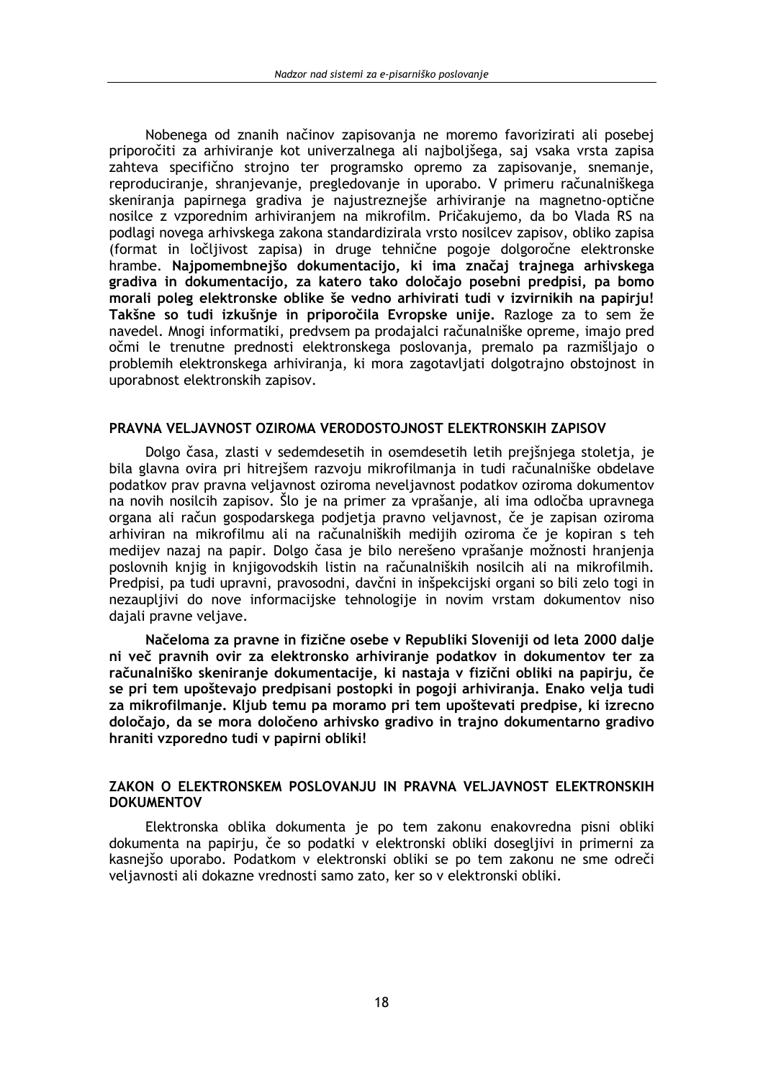Nobenega od znanih načinov zapisovania ne moremo favorizirati ali posebej priporočiti za arhiviranje kot univerzalnega ali najbolišega, sai vsaka vrsta zapisa zahteva specifično strojno ter programsko opremo za zapisovanje, snemanje, reproduciranje, shranjevanje, pregledovanje in uporabo. V primeru računalniškega skeniranja papirnega gradiva je najustreznejše arhiviranje na magnetno-optične nosilce z vzporednim arhiviranjem na mikrofilm. Pričakujemo, da bo Vlada RS na podlagi novega arhivskega zakona standardizirala vrsto nosilcev zapisov, obliko zapisa (format in ločljivost zapisa) in druge tehnične pogoje dolgoročne elektronske hrambe. Najpomembnejšo dokumentacijo, ki ima značaj trajnega arhivskega gradiva in dokumentacijo, za katero tako določajo posebni predpisi, pa bomo morali poleg elektronske oblike še vedno arhivirati tudi v izvirnikih na papirju! Takšne so tudi izkušnje in priporočila Evropske unije. Razloge za to sem že navedel. Mnogi informatiki, predvsem pa prodajalci računalniške opreme, imajo pred očmi le trenutne prednosti elektronskega poslovanja, premalo pa razmišliajo o problemih elektronskega arhiviranja, ki mora zagotavljati dolgotrajno obstojnost in uporabnost elektronskih zapisov.

# PRAVNA VELJAVNOST OZIROMA VERODOSTOJNOST ELEKTRONSKIH ZAPISOV

Dolgo časa, zlasti v sedemdesetih in osemdesetih letih prejšnjega stoletja, je bila glavna ovira pri hitrejšem razvoju mikrofilmanja in tudi računalniške obdelave podatkov prav pravna veljavnost oziroma neveljavnost podatkov oziroma dokumentov na novih nosilcih zapisov. Šlo je na primer za vprašanje, ali ima odločba upravnega organa ali račun gospodarskega podjetja pravno veljavnost, če je zapisan oziroma arhiviran na mikrofilmu ali na računalniških medijih oziroma če je kopiran s teh medijev nazaj na papir. Dolgo časa je bilo nerešeno vprašanje možnosti hranjenja poslovnih knjig in knjigovodskih listin na računalniških nosilcih ali na mikrofilmih. Predpisi, pa tudi upravni, pravosodni, davčni in inšpekcijski organi so bili zelo togi in nezauplijvi do nove informacijske tehnologije in novim vrstam dokumentov niso dajali pravne veljave.

Načeloma za pravne in fizične osebe v Republiki Sloveniji od leta 2000 dalje ni več pravnih ovir za elektronsko arhiviranie podatkov in dokumentov ter za računalniško skeniranie dokumentacije, ki nastaja v fizični obliki na papiriu, če se pri tem upoštevajo predpisani postopki in pogoji arhiviranja. Enako velja tudi za mikrofilmanje. Kljub temu pa moramo pri tem upoštevati predpise, ki izrecno določajo, da se mora določeno arhivsko gradivo in trajno dokumentarno gradivo hraniti vzporedno tudi v papirni obliki!

# ZAKON O ELEKTRONSKEM POSLOVANJU IN PRAVNA VELJAVNOST ELEKTRONSKIH **DOKUMENTOV**

Elektronska oblika dokumenta je po tem zakonu enakovredna pisni obliki dokumenta na papirju, če so podatki v elektronski obliki dosegljivi in primerni za kasnejšo uporabo. Podatkom v elektronski obliki se po tem zakonu ne sme odreči veljavnosti ali dokazne vrednosti samo zato, ker so v elektronski obliki.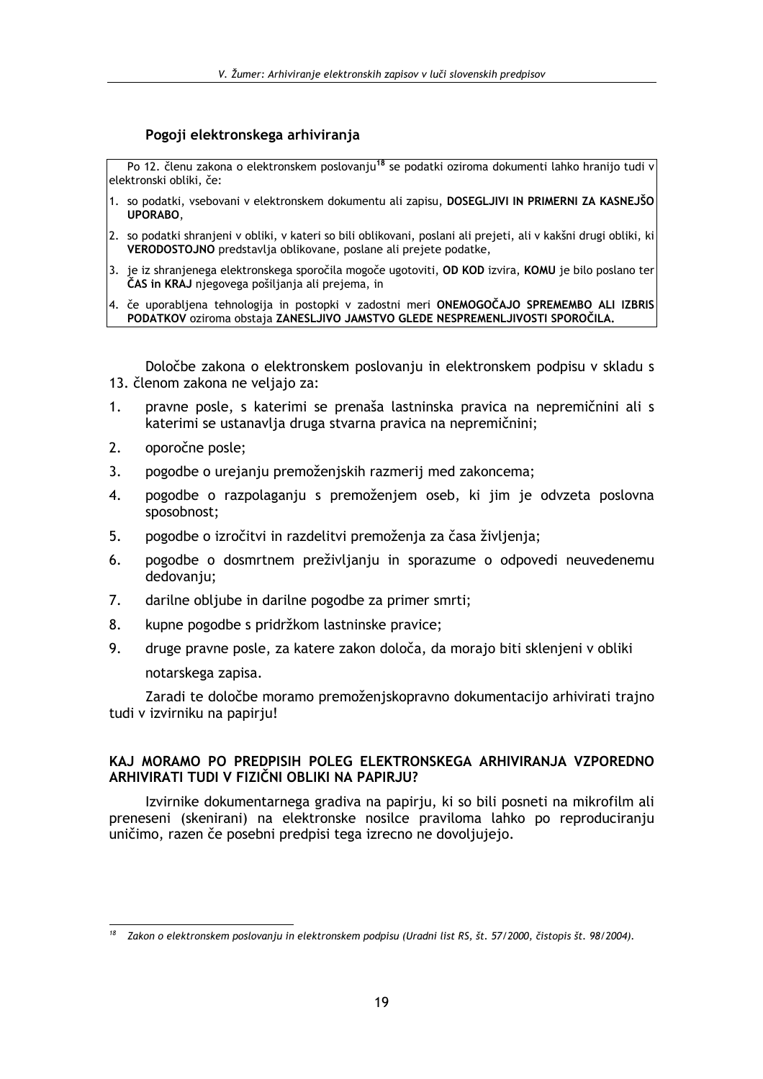# Pogoji elektronskega arhivirania

Po 12. členu zakona o elektronskem poslovanju<sup>18</sup> se podatki oziroma dokumenti lahko hranijo tudi v elektronski obliki. če:

- 1. so podatki, vsebovani v elektronskem dokumentu ali zapisu, DOSEGLJIVI IN PRIMERNI ZA KASNEJŠO UPORABO,
- 2. so podatki shranjeni v obliki, v kateri so bili oblikovani, poslani ali prejeti, ali v kakšni drugi obliki, ki VERODOSTOJNO predstavlja oblikovane, poslane ali prejete podatke,
- 3. je iz shranjenega elektronskega sporočila mogoče ugotoviti, OD KOD izvira, KOMU je bilo poslano ter ČAS in KRAJ njegovega pošiljanja ali prejema, in
- 4. če uporabljena tehnologija in postopki v zadostni meri ONEMOGOČAJO SPREMEMBO ALI IZBRIS PODATKOV oziroma obstaja ZANESLJIVO JAMSTVO GLEDE NESPREMENLJIVOSTI SPOROČILA.

Določbe zakona o elektronskem poslovanju in elektronskem podpisu v skladu s 13. členom zakona ne veljajo za:

- pravne posle, s katerimi se prenaša lastninska pravica na nepremičnini ali s  $1<sub>1</sub>$ katerimi se ustanavlja druga stvarna pravica na nepremičnini;
- $2.$ oporočne posle:
- $\overline{3}$ . pogodbe o urejanju premoženjskih razmerij med zakoncema;
- $\overline{4}$ . pogodbe o razpolaganju s premoženjem oseb, ki jim je odvzeta poslovna sposobnost;
- pogodbe o izročitvi in razdelitvi premoženja za časa življenja; 5.
- 6. pogodbe o dosmrtnem preživljanju in sporazume o odpovedi neuvedenemu dedovanju;
- $7<sup>1</sup>$ darilne obliube in darilne pogodbe za primer smrti;
- 8. kupne pogodbe s pridržkom lastninske pravice;
- 9. druge pravne posle, za katere zakon določa, da morajo biti sklenjeni v obliki notarskega zapisa.

Zaradi te določbe moramo premoženiskopravno dokumentacijo arhivirati trajno tudi v izvirniku na papiriu!

# KAJ MORAMO PO PREDPISIH POLEG ELEKTRONSKEGA ARHIVIRANJA VZPOREDNO ARHIVIRATI TUDI V FIZIČNI OBLIKI NA PAPIRJU?

Izvirnike dokumentarnega gradiva na papirju, ki so bili posneti na mikrofilm ali preneseni (skenirani) na elektronske nosilce praviloma lahko po reproduciranju uničimo, razen če posebni predpisi tega izrecno ne dovoljujejo.

Zakon o elektronskem poslovanju in elektronskem podpisu (Uradni list RS, št. 57/2000, čistopis št. 98/2004).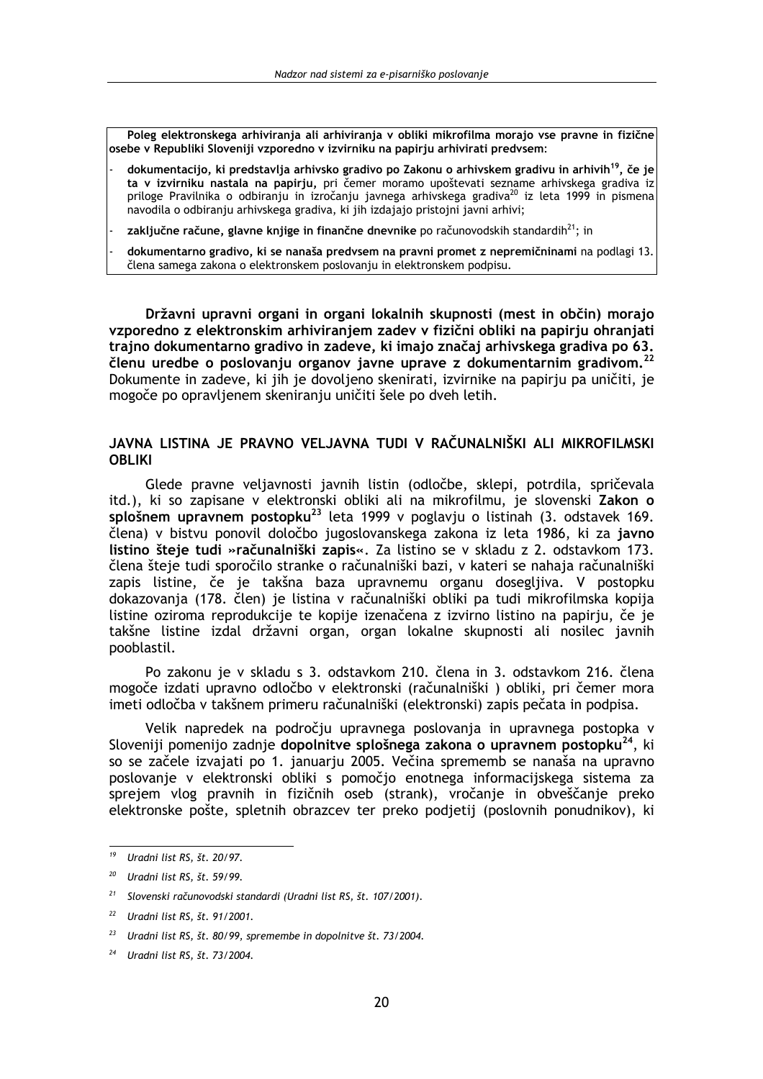Poleg elektronskega arhiviranja ali arhiviranja v obliki mikrofilma morajo vse pravne in fizične osebe v Republiki Sloveniji vzporedno v izvirniku na papirju arhivirati predvsem:

- dokumentacijo, ki predstavlja arhivsko gradivo po Zakonu o arhivskem gradivu in arhivih<sup>19</sup>, če je ta v izvirniku nastala na papirju, pri čemer moramo upoštevati sezname arhivskega gradiva iz priloge Pravilnika o odbiranju in izročanju javnega arhivskega gradiva<sup>20</sup> iz leta 1999 in pismena navodila o odbiranju arhivskega gradiva, ki jih izdajajo pristojni javni arhivi;
- zaključne račune, glavne knjige in finančne dnevnike po računovodskih standardih<sup>21</sup>; in
- dokumentarno gradivo, ki se nanaša predvsem na pravni promet z nepremičninami na podlagi 13. člena samega zakona o elektronskem poslovanju in elektronskem podpisu.

Državni upravni organi in organi lokalnih skupnosti (mest in občin) morajo vzporedno z elektronskim arhiviranjem zadev v fizični obliki na papirju ohranjati trajno dokumentarno gradivo in zadeve, ki imajo značaj arhivskega gradiva po 63. členu uredbe o poslovanju organov javne uprave z dokumentarnim gradivom.<sup>22</sup> Dokumente in zadeve, ki jih je dovoljeno skenirati, izvirnike na papirju pa uničiti, je mogoče po opravljenem skeniranju uničiti šele po dveh letih.

# JAVNA LISTINA JE PRAVNO VELJAVNA TUDI V RAČUNALNIŠKI ALI MIKROFILMSKI **OBLIKI**

Glede pravne veljavnosti javnih listin (odločbe, sklepi, potrdila, spričevala itd.), ki so zapisane v elektronski obliki ali na mikrofilmu, je slovenski Zakon o splošnem upravnem postopku<sup>23</sup> leta 1999 v poglavju o listinah (3. odstavek 169. člena) v bistvu ponovil določbo jugoslovanskega zakona iz leta 1986, ki za javno listino šteje tudi »računalniški zapis«. Za listino se v skladu z 2. odstavkom 173. člena šteje tudi sporočilo stranke o računalniški bazi, v kateri se nahaja računalniški zapis listine, če je takšna baza upravnemu organu dosegljiva. V postopku dokazovania (178. člen) je listina v računalniški obliki pa tudi mikrofilmska kopija listine oziroma reprodukcije te kopije izenačena z izvirno listino na papirju, če je takšne listine izdal državni organ, organ lokalne skupnosti ali nosilec javnih pooblastil.

Po zakonu je v skladu s 3. odstavkom 210. člena in 3. odstavkom 216. člena mogoče izdati upravno odločbo v elektronski (računalniški) obliki, pri čemer mora imeti odločba v takšnem primeru računalniški (elektronski) zapis pečata in podpisa.

Velik napredek na področju upravnega poslovanja in upravnega postopka v Sloveniji pomenijo zadnje dopolnitve splošnega zakona o upravnem postopku<sup>24</sup>, ki so se začele izvajati po 1. januarju 2005. Večina sprememb se nanaša na upravno poslovanje v elektronski obliki s pomočjo enotnega informacijskega sistema za sprejem vlog pravnih in fizičnih oseb (strank), vročanje in obveščanje preko elektronske pošte, spletnih obrazcev ter preko podjetij (poslovnih ponudnikov), ki

<sup>&</sup>lt;sup>19</sup> Uradni list RS, št. 20/97.

 $20$  Uradni list RS, št. 59/99.

<sup>&</sup>lt;sup>21</sup> Slovenski računovodski standardi (Uradni list RS, št. 107/2001).

<sup>22</sup> Uradni list RS, št. 91/2001.

 $23$ Uradni list RS, št. 80/99, spremembe in dopolnitve št. 73/2004.

Uradni list RS, št. 73/2004.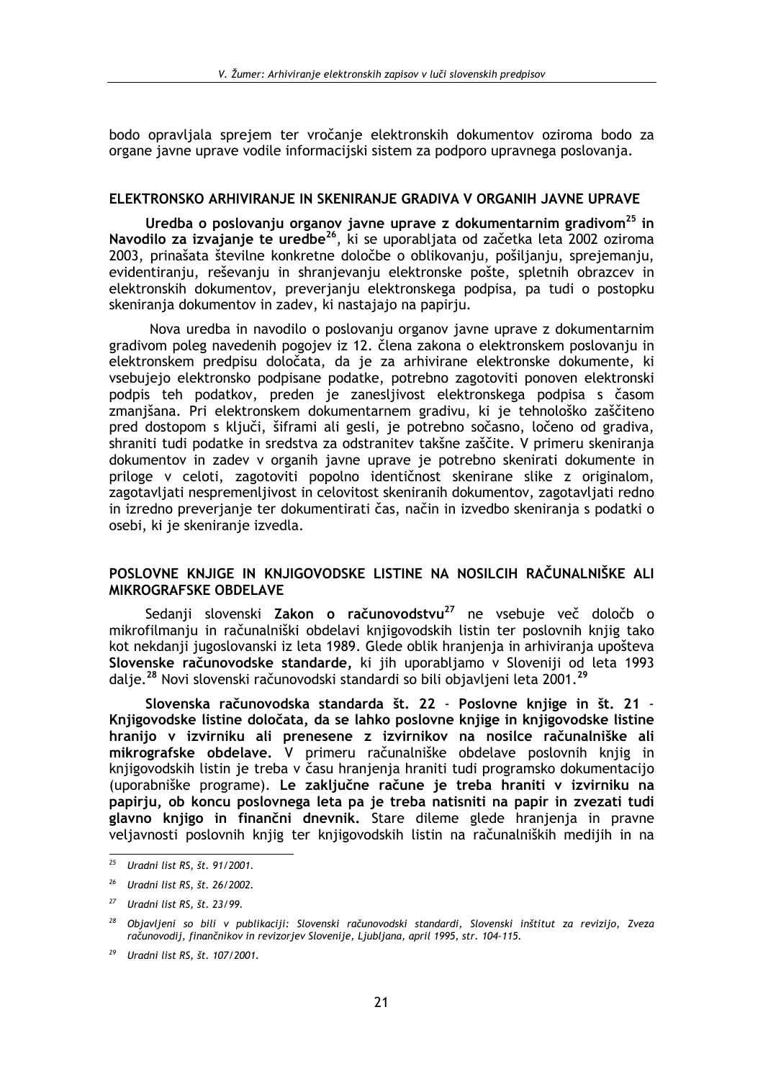bodo opravliala sprejem ter vročanie elektronskih dokumentov oziroma bodo za organe javne uprave vodile informacijski sistem za podporo upravnega poslovanja.

# ELEKTRONSKO ARHIVIRANJE IN SKENIRANJE GRADIVA V ORGANIH JAVNE UPRAVE

Uredba o poslovanju organov javne uprave z dokumentarnim gradivom<sup>25</sup> in<br>Navodilo za izvajanje te uredbe<sup>26</sup>, ki se uporabljata od začetka leta 2002 oziroma 2003, prinašata številne konkretne določbe o oblikovanju, pošiljanju, sprejemanju, evidentiranju, reševanju in shranjevanju elektronske pošte, spletnih obrazcev in elektronskih dokumentov, preverjanju elektronskega podpisa, pa tudi o postopku skeniranja dokumentov in zadev, ki nastajajo na papirju.

Nova uredba in navodilo o poslovanju organov javne uprave z dokumentarnim gradivom poleg navedenih pogojev iz 12. člena zakona o elektronskem poslovanju in elektronskem predpisu določata, da je za arhivirane elektronske dokumente, ki vsebujejo elektronsko podpisane podatke, potrebno zagotoviti ponoven elektronski podpis teh podatkov, preden je zanesljivost elektronskega podpisa s časom zmanjšana. Pri elektronskem dokumentarnem gradivu, ki je tehnološko zaščiteno pred dostopom s ključi, šiframi ali gesli, je potrebno sočasno, ločeno od gradiva, shraniti tudi podatke in sredstva za odstranitev takšne zaščite. V primeru skeniranja dokumentov in zadev v organih javne uprave je potrebno skenirati dokumente in priloge v celoti, zagotoviti popolno identičnost skenirane slike z originalom, zagotavljati nespremenljivost in celovitost skeniranih dokumentov, zagotavljati redno in izredno preverjanje ter dokumentirati čas, način in izvedbo skeniranja s podatki o osebi, ki je skeniranje izvedla.

# POSLOVNE KNJIGE IN KNJIGOVODSKE LISTINE NA NOSILCIH RAČUNALNIŠKE ALI **MIKROGRAFSKE OBDELAVE**

Sedanji slovenski Zakon o računovodstvu<sup>27</sup> ne vsebuje več določb o mikrofilmanju in računalniški obdelavi knijgovodskih listin ter poslovnih knijg tako kot nekdanii jugoslovanski iz leta 1989. Glede oblik hranjenia in arhivirania upošteva Slovenske računovodske standarde, ki jih uporabljamo v Sloveniji od leta 1993 dalje.<sup>28</sup> Novi slovenski računovodski standardi so bili objavljeni leta 2001.<sup>29</sup>

Slovenska računovodska standarda št. 22 - Poslovne knjige in št. 21 -Knjigovodske listine določata, da se lahko poslovne knjige in knjigovodske listine hranijo v izvirniku ali prenesene z izvirnikov na nosilce računalniške ali mikrografske obdelave. V primeru računalniške obdelave poslovnih knjig in knjigovodskih listin je treba v času hranjenja hraniti tudi programsko dokumentacijo (uporabniške programe). Le zaključne račune je treba hraniti v izvirniku na papirju, ob koncu poslovnega leta pa je treba natisniti na papir in zvezati tudi glavno knjigo in finančni dnevnik. Stare dileme glede hranjenja in pravne veljavnosti poslovnih knjig ter knjigovodskih listin na računalniških medijih in na

 $25\,$ Uradni list RS, št. 91/2001.

 $26$ Uradni list RS, št. 26/2002.

 $27$  Uradni list RS, št. 23/99.

<sup>&</sup>lt;sup>28</sup> Objavljeni so bili v publikaciji: Slovenski računovodski standardi, Slovenski inštitut za revizijo, Zveza računovodij, finančnikov in revizorjev Slovenije, Ljubljana, april 1995, str. 104-115.

<sup>&</sup>lt;sup>29</sup> Uradni list RS, št. 107/2001.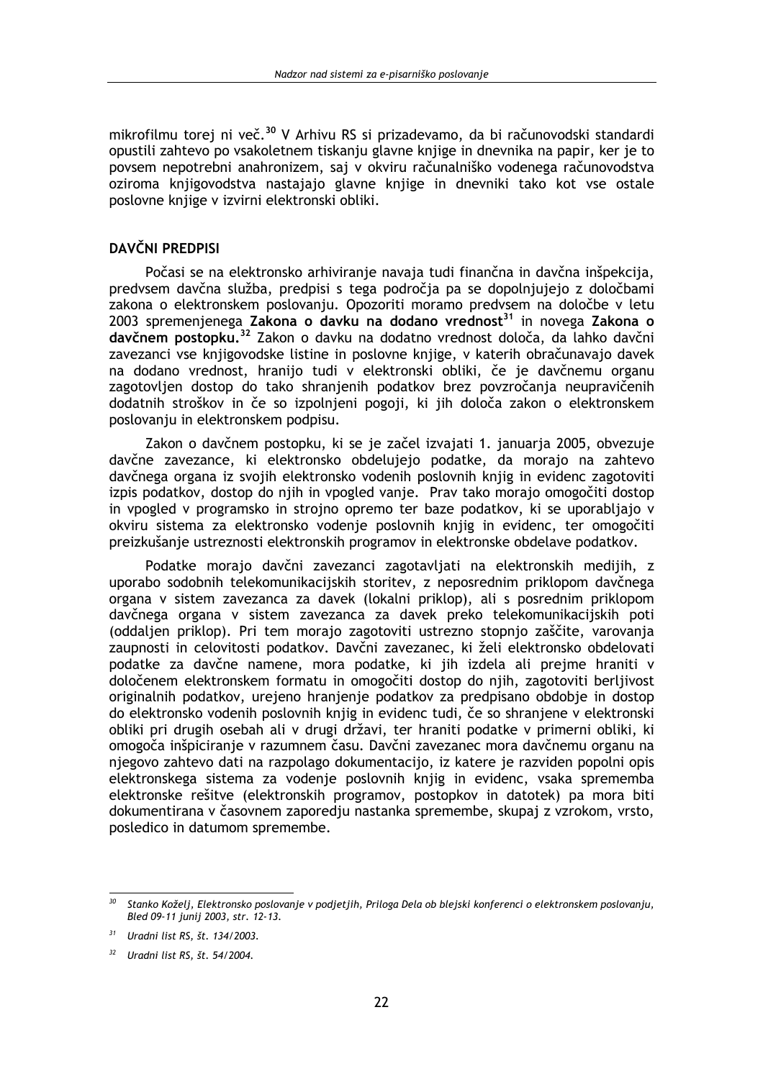mikrofilmu torej ni več.<sup>30</sup> V Arhivu RS si prizadevamo, da bi računovodski standardi opustili zahtevo po vsakoletnem tiskanju glavne knjige in dnevnika na papir, ker je to povsem nepotrebni anahronizem, saj v okviru računalniško vodenega računovodstva oziroma knjigovodstva nastajajo glavne knjige in dnevniki tako kot vse ostale poslovne knjige v izvirni elektronski obliki.

# DAVČNI PREDPISI

Počasi se na elektronsko arhiviranje navaja tudi finančna in davčna inšpekcija, predvsem davčna služba, predpisi s tega področja pa se dopolnjujejo z določbami zakona o elektronskem poslovanju. Opozoriti moramo predvsem na določbe v letu 2003 spremenjenega Zakona o davku na dodano vrednost<sup>31</sup> in novega Zakona o davčnem postopku.<sup>32</sup> Zakon o davku na dodatno vrednost določa, da lahko davčni zavezanci vse knjigovodske listine in poslovne knjige, v katerih obračunavajo davek na dodano vrednost, hranijo tudi v elektronski obliki, če je davčnemu organu zagotovljen dostop do tako shranjenih podatkov brez povzročanja neupravičenih dodatnih stroškov in če so izpolnjeni pogoji, ki jih določa zakon o elektronskem poslovanju in elektronskem podpisu.

Zakon o davčnem postopku, ki se je začel izvajati 1. januarja 2005, obvezuje davčne zavezance, ki elektronsko obdelujejo podatke, da morajo na zahtevo davčnega organa iz svojih elektronsko vodenih poslovnih knjig in evidenc zagotoviti izpis podatkov, dostop do njih in vpogled vanje. Prav tako morajo omogočiti dostop in vpogled v programsko in strojno opremo ter baze podatkov, ki se uporabljajo v okviru sistema za elektronsko vodenje poslovnih knjig in evidenc, ter omogočiti preizkušanje ustreznosti elektronskih programov in elektronske obdelave podatkov.

Podatke morajo davčni zavezanci zagotavljati na elektronskih medijih, z uporabo sodobnih telekomunikacijskih storitev, z neposrednim priklopom davčnega organa v sistem zavezanca za davek (lokalni priklop), ali s posrednim priklopom davčnega organa v sistem zavezanca za davek preko telekomunikacijskih poti (oddalien priklop). Pri tem morajo zagotoviti ustrezno stopnio zaščite, varovania zaupnosti in celovitosti podatkov. Davčni zavezanec, ki želi elektronsko obdelovati podatke za davčne namene, mora podatke, ki jih izdela ali prejme hraniti v določenem elektronskem formatu in omogočiti dostop do nijh, zagotoviti berlijvost originalnih podatkov, urejeno hranjenje podatkov za predpisano obdobje in dostop do elektronsko vodenih poslovnih knjig in evidenc tudi, če so shranjene v elektronski obliki pri drugih osebah ali v drugi državi, ter hraniti podatke v primerni obliki, ki omogoča inšpiciranje v razumnem času. Davčni zavezanec mora davčnemu organu na njegovo zahtevo dati na razpolago dokumentacijo, iz katere je razviden popolni opis elektronskega sistema za vodenje poslovnih knjig in evidenc, vsaka sprememba elektronske rešitve (elektronskih programov, postopkov in datotek) pa mora biti dokumentirana v časovnem zaporedju nastanka spremembe, skupaj z vzrokom, vrsto, posledico in datumom spremembe.

Stanko Koželj, Elektronsko poslovanje v podjetjih, Priloga Dela ob blejski konferenci o elektronskem poslovanju, Bled 09-11 junij 2003, str. 12-13.

 $31$ Uradni list RS, št. 134/2003.

Uradni list RS, št. 54/2004.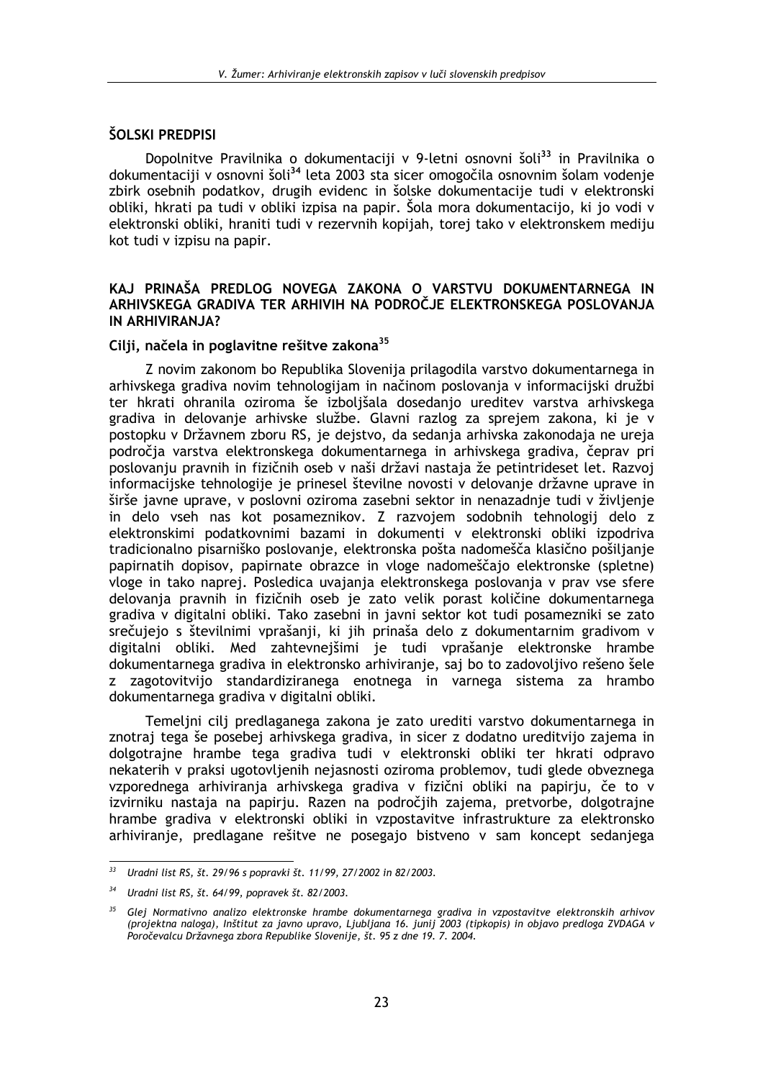# ŠOLSKI PREDPISI

Dopolnitve Pravilnika o dokumentaciji v 9-letni osnovni šoli<sup>33</sup> in Pravilnika o dokumentaciji v osnovni šoli<sup>34</sup> leta 2003 sta sicer omogočila osnovnim šolam vodenje zbirk osebnih podatkov, drugih evidenc in šolske dokumentacije tudi v elektronski obliki, hkrati pa tudi v obliki izpisa na papir. Šola mora dokumentacijo, ki jo vodi v elektronski obliki, hraniti tudi v rezervnih kopijah, torej tako v elektronskem mediju kot tudi v izpisu na papir.

# KAJ PRINAŠA PREDLOG NOVEGA ZAKONA O VARSTVU DOKUMENTARNEGA IN ARHIVSKEGA GRADIVA TER ARHIVIH NA PODROČJE ELEKTRONSKEGA POSLOVANJA IN ARHIVIRANJA?

# Cilji, načela in poglavitne rešitve zakona<sup>35</sup>

Z novim zakonom bo Republika Slovenija prilagodila varstvo dokumentarnega in arhivskega gradiva novim tehnologijam in načinom poslovanja v informacijski družbi ter hkrati ohranila oziroma še izboljšala dosedanjo ureditev varstva arhivskega gradiva in delovanje arhivske službe. Glavni razlog za sprejem zakona, ki je v postopku v Državnem zboru RS, je dejstvo, da sedanja arhivska zakonodaja ne ureja področja varstva elektronskega dokumentarnega in arhivskega gradiva, čeprav pri poslovanju pravnih in fizičnih oseb v naši državi nastaja že petintrideset let. Razvoj informacijske tehnologije je prinesel številne novosti v delovanje državne uprave in širše javne uprave, v poslovni oziroma zasebni sektor in nenazadnje tudi v življenje in delo vseh nas kot posameznikov. Z razvojem sodobnih tehnologij delo z elektronskimi podatkovnimi bazami in dokumenti v elektronski obliki izpodriva tradicionalno pisarniško poslovanje, elektronska pošta nadomešča klasično pošiljanje papirnatih dopisov, papirnate obrazce in vloge nadomeščajo elektronske (spletne) vloge in tako naprej. Posledica uvajanja elektronskega poslovanja v prav vse sfere delovanja pravnih in fizičnih oseb je zato velik porast količine dokumentarnega gradiva v digitalni obliki. Tako zasebni in javni sektor kot tudi posamezniki se zato srečujejo s številnimi vprašanji, ki jih prinaša delo z dokumentarnim gradivom v digitalni obliki. Med zahtevnejšimi je tudi vprašanje elektronske hrambe dokumentarnega gradiva in elektronsko arhiviranje, saj bo to zadovoljivo rešeno šele z zagotovitvijo standardiziranega enotnega in varnega sistema za hrambo dokumentarnega gradiva v digitalni obliki.

Temeljni cilj predlaganega zakona je zato urediti varstvo dokumentarnega in znotraj tega še posebej arhivskega gradiva, in sicer z dodatno ureditvijo zajema in dolgotrajne hrambe tega gradiva tudi v elektronski obliki ter hkrati odpravo nekaterih v praksi ugotovljenih nejasnosti oziroma problemov, tudi glede obveznega vzporednega arhiviranja arhivskega gradiva v fizični obliki na papirju, če to v izvirniku nastaja na papirju. Razen na področjih zajema, pretvorbe, dolgotrajne hrambe gradiva v elektronski obliki in vzpostavitve infrastrukture za elektronsko arhiviranje, predlagane rešitve ne posegajo bistveno v sam koncept sedanjega

 $33<sup>2</sup>$ Uradni list RS, št. 29/96 s popravki št. 11/99, 27/2002 in 82/2003.

 $34$ Uradni list RS, št. 64/99, popravek št. 82/2003.

<sup>&</sup>lt;sup>35</sup> Glej Normativno analizo elektronske hrambe dokumentarnega gradiva in vzpostavitve elektronskih arhivov (projektna naloga), Inštitut za javno upravo, Ljubljana 16. junij 2003 (tipkopis) in objavo predloga ZVDAGA v Poročevalcu Državnega zbora Republike Slovenije, št. 95 z dne 19. 7. 2004.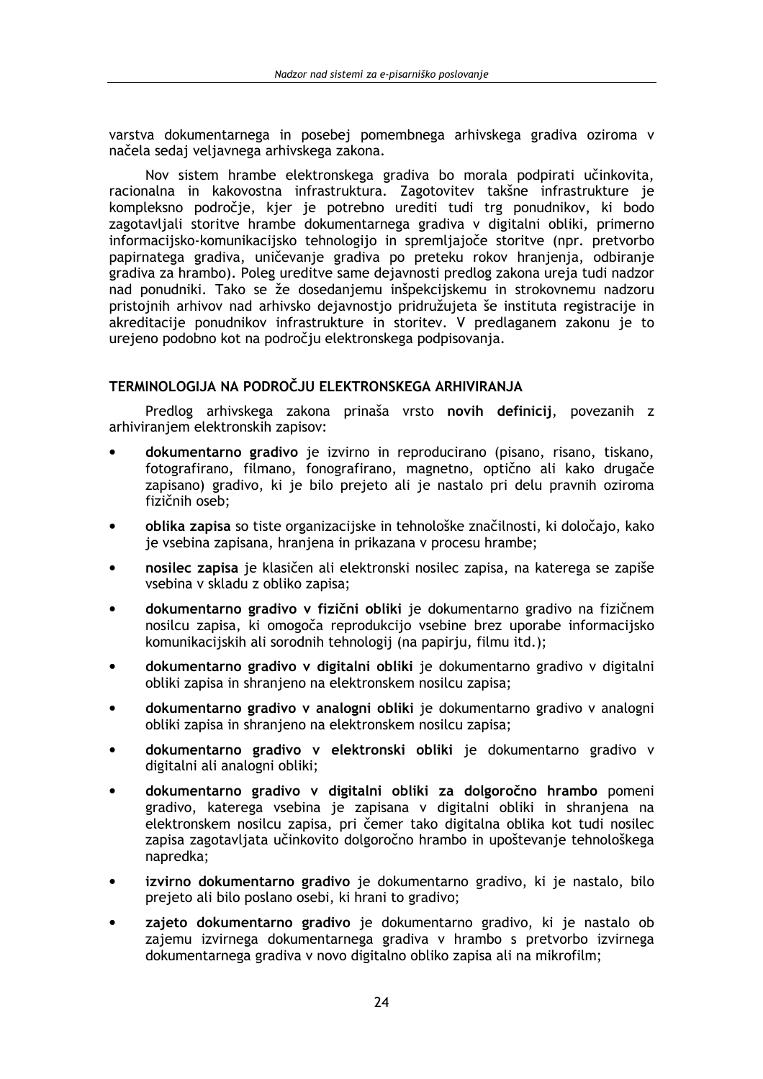varstva dokumentarnega in posebej pomembnega arhivskega gradiva oziroma v načela sedaj veliavnega arhivskega zakona.

Nov sistem hrambe elektronskega gradiva bo morala podpirati učinkovita, racionalna in kakovostna infrastruktura. Zagotovitev takšne infrastrukture je kompleksno področje, kjer je potrebno urediti tudi trg ponudnikov, ki bodo zagotavljali storitve hrambe dokumentarnega gradiva v digitalni obliki, primerno informacijsko-komunikacijsko tehnologijo in spremljajoče storitve (npr. pretvorbo papirnatega gradiva, uničevanje gradiva po preteku rokov hranjenja, odbiranje gradiva za hrambo). Poleg ureditve same dejavnosti predlog zakona ureja tudi nadzor nad ponudniki. Tako se že dosedanjemu inšpekcijskemu in strokovnemu nadzoru pristojnih arhivov nad arhivsko dejavnostjo pridružujeta še instituta registracije in akreditacije ponudnikov infrastrukture in storitev. V predlaganem zakonu je to urejeno podobno kot na področju elektronskega podpisovanja.

# TERMINOLOGIJA NA PODROČJU ELEKTRONSKEGA ARHIVIRANJA

Predlog arhivskega zakona prinaša vrsto novih definicij, povezanih z arhiviranjem elektronskih zapisov:

- dokumentarno gradivo je izvirno in reproducirano (pisano, risano, tiskano, fotografirano, filmano, fonografirano, magnetno, optično ali kako drugače zapisano) gradivo, ki je bilo prejeto ali je nastalo pri delu pravnih oziroma fizičnih oseb:
- oblika zapisa so tiste organizacijske in tehnološke značilnosti, ki določajo, kako je vsebina zapisana, hranjena in prikazana v procesu hrambe;
- nosilec zapisa je klasičen ali elektronski nosilec zapisa, na katerega se zapiše vsebina v skladu z obliko zapisa:
- dokumentarno gradivo v fizični obliki je dokumentarno gradivo na fizičnem nosilcu zapisa, ki omogoča reprodukcijo vsebine brez uporabe informacijsko komunikacijskih ali sorodnih tehnologij (na papirju, filmu itd.);
- dokumentarno gradivo v digitalni obliki je dokumentarno gradivo v digitalni obliki zapisa in shranjeno na elektronskem nosilcu zapisa;
- dokumentarno gradivo y analogni obliki je dokumentarno gradivo y analogni obliki zapisa in shranjeno na elektronskem nosilcu zapisa:
- dokumentarno gradivo v elektronski obliki je dokumentarno gradivo v digitalni ali analogni obliki:
- dokumentarno gradivo v digitalni obliki za dolgoročno hrambo pomeni gradivo, katerega vsebina je zapisana v digitalni obliki in shranjena na elektronskem nosilcu zapisa, pri čemer tako digitalna oblika kot tudi nosilec zapisa zagotavljata učinkovito dolgoročno hrambo in upoštevanje tehnološkega napredka;
- izvirno dokumentarno gradivo je dokumentarno gradivo, ki je nastalo, bilo prejeto ali bilo poslano osebi, ki hrani to gradivo;
- zajeto dokumentarno gradivo je dokumentarno gradivo, ki je nastalo ob zajemu izvirnega dokumentarnega gradiva v hrambo s pretvorbo izvirnega dokumentarnega gradiva v novo digitalno obliko zapisa ali na mikrofilm;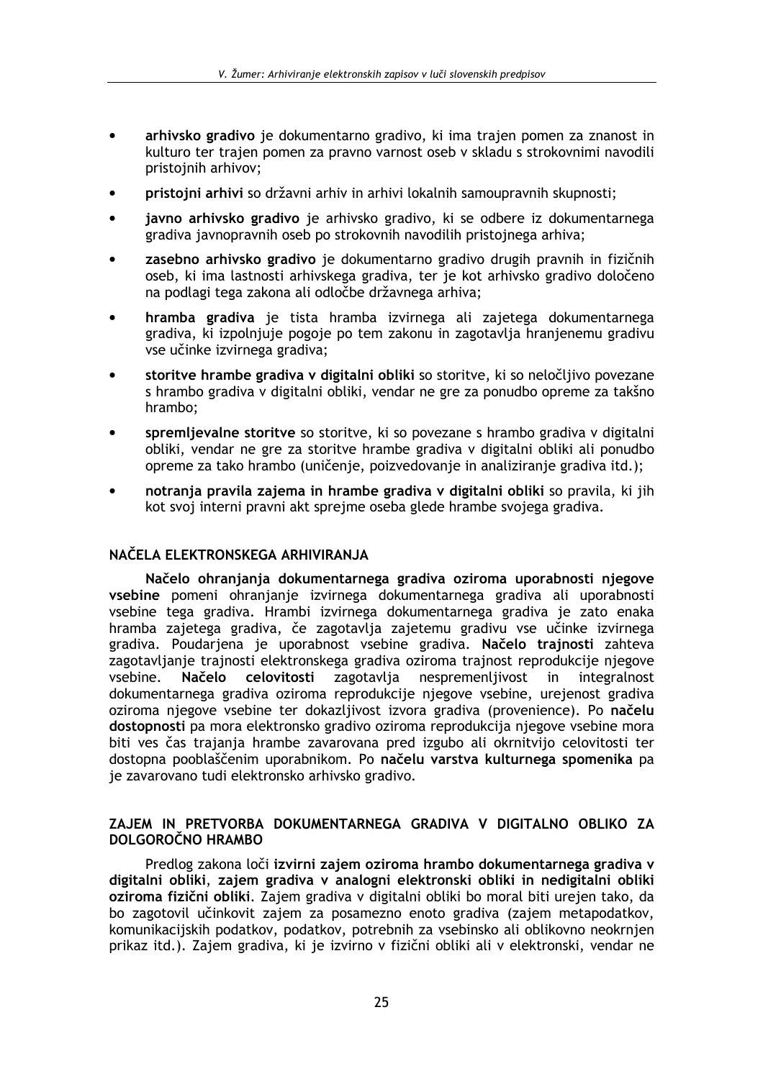- arhivsko gradivo je dokumentarno gradivo, ki ima trajen pomen za znanost in kulturo ter trajen pomen za pravno varnost oseb v skladu s strokovnimi navodili pristoinih arhivov:
- pristojni arhivi so državni arhiv in arhivi lokalnih samoupravnih skupnosti:  $\bullet$
- javno arhivsko gradivo je arhivsko gradivo, ki se odbere iz dokumentarnega gradiva javnopravnih oseb po strokovnih navodilih pristojnega arhiva;
- zasebno arhivsko gradivo je dokumentarno gradivo drugih pravnih in fizičnih oseb, ki ima lastnosti arhivskega gradiva, ter je kot arhivsko gradivo določeno na podlagi tega zakona ali odločbe državnega arhiva;
- hramba gradiva je tista hramba izvirnega ali zajetega dokumentarnega gradiva, ki izpolnjuje pogoje po tem zakonu in zagotavlja hranjenemu gradivu vse učinke izvirnega gradiva;
- storitve hrambe gradiva v digitalni obliki so storitve, ki so neločljivo povezane s hrambo gradiva v digitalni obliki, vendar ne gre za ponudbo opreme za takšno hrambo;
- spremljevalne storitve so storitve, ki so povezane s hrambo gradiva v digitalni obliki, vendar ne gre za storitve hrambe gradiva v digitalni obliki ali ponudbo opreme za tako hrambo (uničenje, poizvedovanje in analiziranje gradiva itd.);
- notranja pravila zajema in hrambe gradiva v digitalni obliki so pravila, ki jih kot svoj interni pravni akt sprejme oseba glede hrambe svojega gradiva.

# NAČELA ELEKTRONSKEGA ARHIVIRANJA

Načelo ohranjanja dokumentarnega gradiva oziroma uporabnosti njegove vsebine pomeni ohranjanje izvirnega dokumentarnega gradiva ali uporabnosti vsebine tega gradiva. Hrambi izvirnega dokumentarnega gradiva je zato enaka hramba zajetega gradiva, če zagotavlja zajetemu gradivu vse učinke izvirnega gradiva. Poudarjena je uporabnost vsebine gradiva. Načelo trajnosti zahteva zagotavljanje trajnosti elektronskega gradiva oziroma trajnost reprodukcije njegove vsebine. Načelo celovitosti zagotavlja nespremenljivost in integralnost dokumentarnega gradiva oziroma reprodukcije njegove vsebine, urejenost gradiva oziroma njegove vsebine ter dokazljivost izvora gradiva (provenience). Po načelu dostopnosti pa mora elektronsko gradivo oziroma reprodukcija njegove vsebine mora biti ves čas trajanja hrambe zavarovana pred izgubo ali okrnitvijo celovitosti ter dostopna pooblaščenim uporabnikom. Po načelu varstva kulturnega spomenika pa je zavarovano tudi elektronsko arhivsko gradivo.

# ZAJEM IN PRETVORBA DOKUMENTARNEGA GRADIVA V DIGITALNO OBLIKO ZA DOI GOROČNO HRAMBO

Predlog zakona loči izvirni zajem oziroma hrambo dokumentarnega gradiva v digitalni obliki, zajem gradiva v analogni elektronski obliki in nedigitalni obliki oziroma fizični obliki. Zajem gradiva v digitalni obliki bo moral biti urejen tako, da bo zagotovil učinkovit zajem za posamezno enoto gradiva (zajem metapodatkov, komunikacijskih podatkov, podatkov, potrebnih za vsebinsko ali oblikovno neokrnjen prikaz itd.). Zajem gradiva, ki je izvirno v fizični obliki ali v elektronski, vendar ne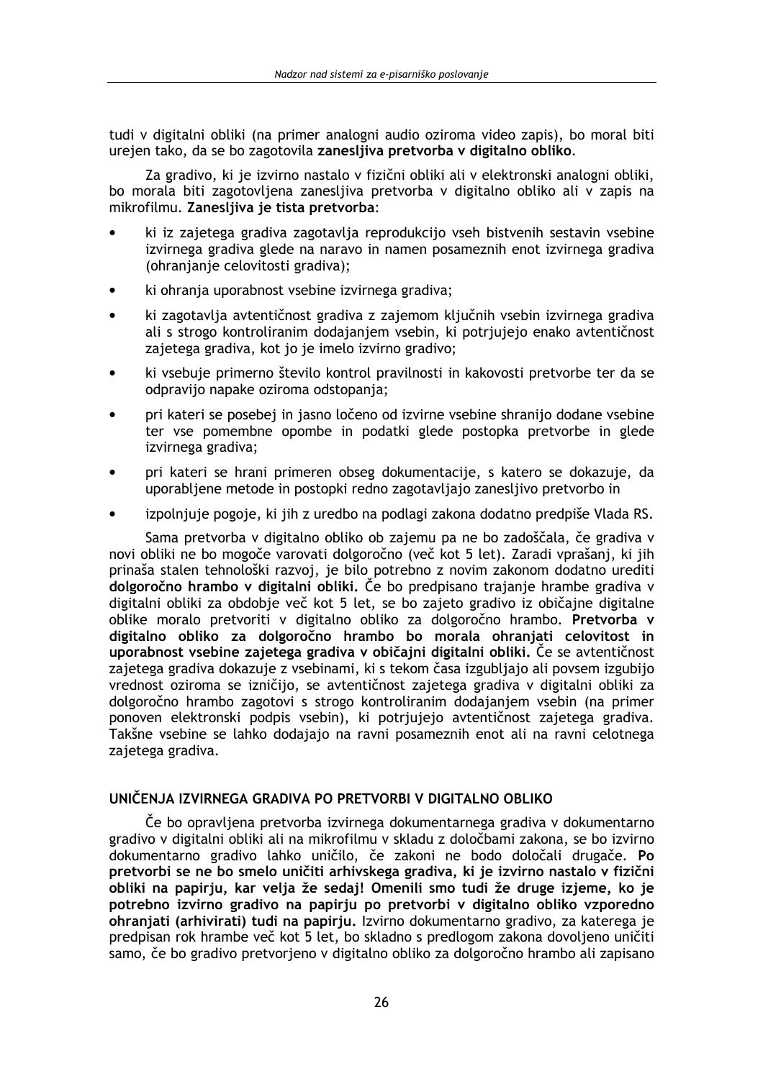tudi v digitalni obliki (na primer analogni audio oziroma video zapis), bo moral biti urejen tako, da se bo zagotovila zaneslijva pretvorba v digitalno obliko.

Za gradivo, ki je izvirno nastalo v fizični obliki ali v elektronski analogni obliki, bo morala biti zagotovliena zanesliiva pretvorba v digitalno obliko ali v zapis na mikrofilmu. Zanesliiva je tista pretvorba:

- ki iz zajetega gradiva zagotavlja reprodukcijo vseh bistvenih sestavin vsebine izvirnega gradiva glede na naravo in namen posameznih enot izvirnega gradiva (ohranjanje celovitosti gradiva);
- ki ohranja uporabnost vsebine izvirnega gradiva;
- ki zagotavlja avtentičnost gradiva z zajemom ključnih vsebin izvirnega gradiva ali s strogo kontroliranim dodajanjem vsebin, ki potrjujejo enako avtentičnost zajetega gradiva, kot jo je imelo izvirno gradivo;
- ki vsebuje primerno število kontrol pravilnosti in kakovosti pretvorbe ter da se odpravijo napake oziroma odstopanja;
- pri kateri se posebej in jasno ločeno od izvirne vsebine shranijo dodane vsebine ter vse pomembne opombe in podatki glede postopka pretvorbe in glede izvirnega gradiva;
- pri kateri se hrani primeren obseg dokumentacije, s katero se dokazuje, da uporabliene metode in postopki redno zagotavljajo zanesljivo pretvorbo in
- izpolnjuje pogoje, ki jih z uredbo na podlagi zakona dodatno predpiše Vlada RS.

Sama pretvorba v digitalno obliko ob zajemu pa ne bo zadoščala, če gradiva v novi obliki ne bo mogoče varovati dolgoročno (več kot 5 let). Zaradi vprašanj, ki jih prinaša stalen tehnološki razvoj, je bilo potrebno z novim zakonom dodatno urediti dolgoročno hrambo v digitalni obliki. Če bo predpisano trajanje hrambe gradiva v digitalni obliki za obdobje več kot 5 let, se bo zajeto gradivo iz običajne digitalne oblike moralo pretvoriti v digitalno obliko za dolgoročno hrambo. Pretvorba v digitalno obliko za dolgoročno hrambo bo morala ohranjati celovitost in uporabnost vsebine zajetega gradiva v običajni digitalni obliki. Če se avtentičnost zajetega gradiva dokazuje z vsebinami, ki s tekom časa izgubliajo ali povsem izgubijo vrednost oziroma se izničijo, se avtentičnost zajetega gradiva v digitalni obliki za dolgoročno hrambo zagotovi s strogo kontroliranim dodajanjem vsebin (na primer ponoven elektronski podpis vsebin), ki potrjujejo avtentičnost zajetega gradiva. Takšne vsebine se lahko dodajajo na ravni posameznih enot ali na ravni celotnega zajetega gradiva.

# UNIČENJA IZVIRNEGA GRADIVA PO PRETVORBI V DIGITALNO OBLIKO

Če bo opravljena pretvorba izvirnega dokumentarnega gradiva v dokumentarno gradivo v digitalni obliki ali na mikrofilmu v skladu z določbami zakona, se bo izvirno dokumentarno gradivo lahko uničilo, če zakoni ne bodo določali drugače. Po pretvorbi se ne bo smelo uničiti arhivskega gradiva, ki je izvirno nastalo v fizični obliki na papirju, kar velja že sedaj! Omenili smo tudi že druge izjeme, ko je potrebno izvirno gradivo na papirju po pretvorbi v digitalno obliko vzporedno ohranjati (arhivirati) tudi na papirju. Izvirno dokumentarno gradivo, za katerega je predpisan rok hrambe več kot 5 let, bo skladno s predlogom zakona dovoljeno uničiti samo, če bo gradivo pretvorjeno v digitalno obliko za dolgoročno hrambo ali zapisano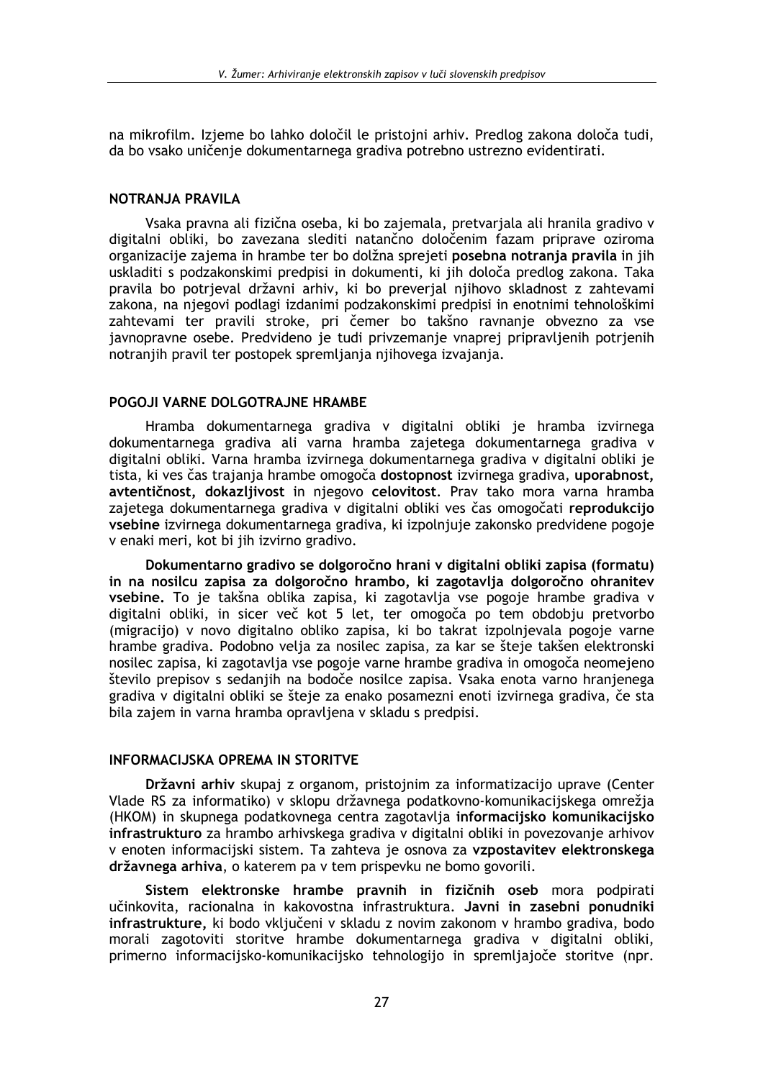na mikrofilm. Izieme bo lahko določil le pristojni arhiv. Predlog zakona določa tudi. da bo vsako uničenie dokumentarnega gradiva potrebno ustrezno evidentirati.

# NOTRANJA PRAVILA

Vsaka pravna ali fizična oseba, ki bo zajemala, pretvarjala ali hranila gradivo v digitalni obliki, bo zavezana slediti natančno določenim fazam priprave oziroma organizacije zajema in hrambe ter bo dolžna sprejeti posebna notranja pravila in jih uskladiti s podzakonskimi predpisi in dokumenti, ki jih določa predlog zakona. Taka pravila bo potrjeval državni arhiv, ki bo preverjal njihovo skladnost z zahtevami zakona, na njegovi podlagi izdanimi podzakonskimi predpisi in enotnimi tehnološkimi zahtevami ter pravili stroke, pri čemer bo takšno ravnanje obvezno za vse javnopravne osebe. Predvideno je tudi privzemanje vnaprej pripravljenih potrjenih notranjih pravil ter postopek spremljanja njihovega izvajanja.

# POGOJI VARNE DOLGOTRAJNE HRAMBE

Hramba dokumentarnega gradiva v digitalni obliki je hramba izvirnega dokumentarnega gradiya ali yarna hramba zajetega dokumentarnega gradiya y digitalni obliki. Varna hramba izvirnega dokumentarnega gradiva v digitalni obliki je tista, ki ves čas trajanja hrambe omogoča dostopnost izvirnega gradiva, uporabnost, avtentičnost, dokazljivost in njegovo celovitost. Prav tako mora varna hramba zajetega dokumentarnega gradiva v digitalni obliki ves čas omogočati reprodukcijo vsebine izvirnega dokumentarnega gradiva, ki izpolnjuje zakonsko predvidene pogoje v enaki meri, kot bi jih izvirno gradivo.

Dokumentarno gradivo se dolgoročno hrani v digitalni obliki zapisa (formatu) in na nosilcu zapisa za dolgoročno hrambo, ki zagotavlja dolgoročno ohranitev vsebine. To je takšna oblika zapisa, ki zagotavlja vse pogoje hrambe gradiva v digitalni obliki, in sicer več kot 5 let, ter omogoča po tem obdobju pretvorbo (migracijo) y novo digitalno obliko zapisa, ki bo takrat izpolnievala pogoje varne hrambe gradiva. Podobno velja za nosilec zapisa, za kar se šteje takšen elektronski nosilec zapisa, ki zagotavlja vse pogoje varne hrambe gradiva in omogoča neomejeno število prepisov s sedanjih na bodoče nosilce zapisa. Vsaka enota varno hranjenega gradiva v digitalni obliki se šteje za enako posamezni enoti izvirnega gradiva, če sta bila zajem in varna hramba opravljena v skladu s predpisi.

# **INFORMACIJSKA OPREMA IN STORITVE**

Državni arhiv skupaj z organom, pristojnim za informatizacijo uprave (Center Vlade RS za informatiko) v sklopu državnega podatkovno-komunikacijskega omrežja (HKOM) in skupnega podatkovnega centra zagotavlja informacijsko komunikacijsko infrastrukturo za hrambo arhivskega gradiva v digitalni obliki in povezovanje arhivov v enoten informacijski sistem. Ta zahteva je osnova za vzpostavitev elektronskega državnega arhiva, o katerem pa v tem prispevku ne bomo govorili.

Sistem elektronske hrambe pravnih in fizičnih oseb mora podpirati učinkovita, racionalna in kakovostna infrastruktura. Javni in zasebni ponudniki infrastrukture, ki bodo vključeni v skladu z novim zakonom v hrambo gradiva, bodo morali zagotoviti storitve hrambe dokumentarnega gradiva v digitalni obliki, primerno informacijsko-komunikacijsko tehnologijo in spremljajoče storitve (npr.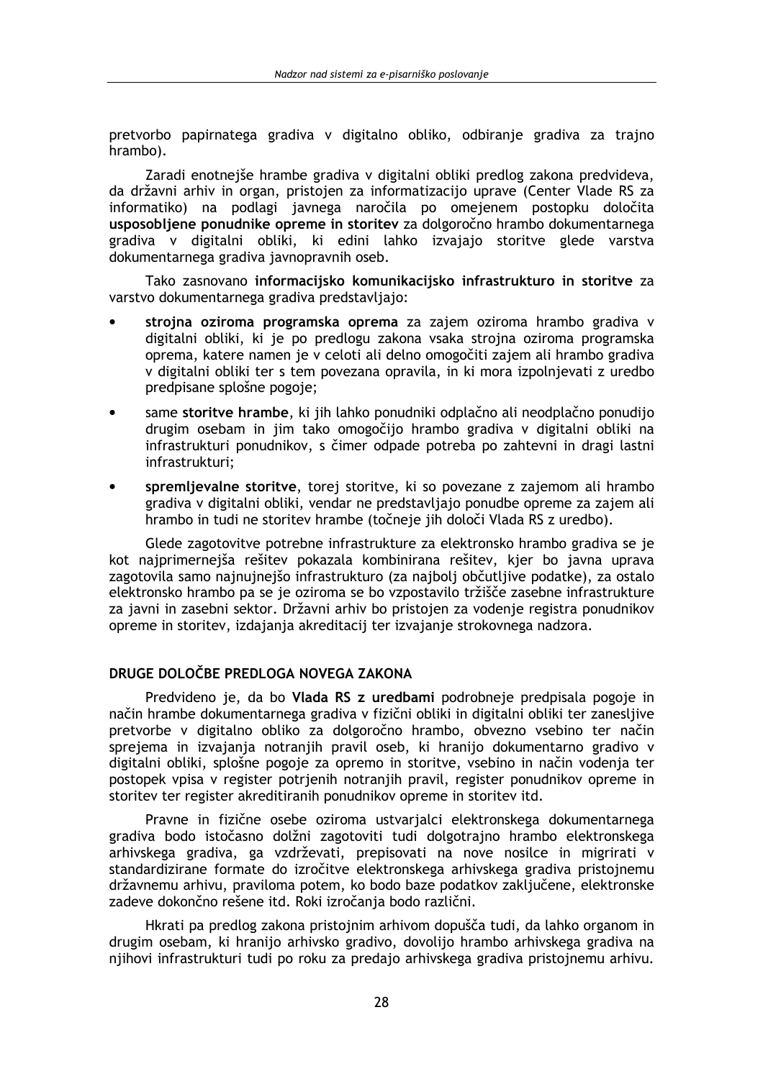pretvorbo papirnatega gradiva v digitalno obliko, odbiranie gradiva za traino hrambo).

Zaradi enotnejše hrambe gradiva v digitalni obliki predlog zakona predvideva, da državni arhiv in organ, pristojen za informatizacijo uprave (Center Vlade RS za informatiko) na podlagi javnega naročila po omejenem postopku določita usposobljene ponudnike opreme in storitev za dolgoročno hrambo dokumentarnega gradiva v digitalni obliki, ki edini lahko izvajajo storitve glede varstva dokumentarnega gradiva javnopravnih oseb.

Tako zasnovano informacijsko komunikacijsko infrastrukturo in storitve za varstvo dokumentarnega gradiva predstavljajo:

- strojna oziroma programska oprema za zajem oziroma hrambo gradiva v digitalni obliki, ki je po predlogu zakona vsaka strojna oziroma programska oprema, katere namen je v celoti ali delno omogočiti zajem ali hrambo gradiva v digitalni obliki ter s tem povezana opravila, in ki mora izpolnjevati z uredbo predpisane splošne pogoje;
- same storitve hrambe, ki jih lahko ponudniki odplačno ali neodplačno ponudijo drugim osebam in jim tako omogočijo hrambo gradiva v digitalni obliki na infrastrukturi ponudnikov, s čimer odpade potreba po zahtevni in dragi lastni infrastrukturi;
- spremljevalne storitve, torej storitve, ki so povezane z zajemom ali hrambo gradiva v digitalni obliki, vendar ne predstavljajo ponudbe opreme za zajem ali hrambo in tudi ne storitev hrambe (točneje jih določi Vlada RS z uredbo).

Glede zagotovitve potrebne infrastrukture za elektronsko hrambo gradiva se je kot najprimernejša rešitev pokazala kombinirana rešitev, kjer bo javna uprava zagotovila samo najnujnejšo infrastrukturo (za najbolj občutljive podatke), za ostalo elektronsko hrambo pa se je oziroma se bo vzpostavilo tržišče zasebne infrastrukture za javni in zasebni sektor. Državni arhiv bo pristojen za vodenje registra ponudnikov opreme in storitev, izdajanja akreditacij ter izvajanje strokovnega nadzora.

# DRUGE DOLOČBE PREDLOGA NOVEGA ZAKONA

Predvideno je, da bo Vlada RS z uredbami podrobneje predpisala pogoje in način hrambe dokumentarnega gradiva v fizični obliki in digitalni obliki ter zaneslijve pretvorbe v digitalno obliko za dolgoročno hrambo, obvezno vsebino ter način sprejema in izvajanja notranjih pravil oseb, ki hranijo dokumentarno gradivo v digitalni obliki, splošne pogoje za opremo in storitve, vsebino in način vodenja ter postopek vpisa v register potrienih notranijh pravil, register ponudnikov opreme in storitev ter register akreditiranih ponudnikov opreme in storitev itd.

Pravne in fizične osebe oziroma ustvarjalci elektronskega dokumentarnega gradiva bodo istočasno dolžni zagotoviti tudi dolgotrajno hrambo elektronskega arhivskega gradiva, ga vzdrževati, prepisovati na nove nosilce in migrirati v standardizirane formate do izročitve elektronskega arhivskega gradiva pristojnemu državnemu arhivu, praviloma potem, ko bodo baze podatkov zaključene, elektronske zadeve dokončno rešene itd. Roki izročanja bodo različni.

Hkrati pa predlog zakona pristojnim arhivom dopušča tudi, da lahko organom in drugim osebam, ki hranijo arhivsko gradivo, dovolijo hrambo arhivskega gradiva na njihovi infrastrukturi tudi po roku za predajo arhivskega gradiva pristojnemu arhivu.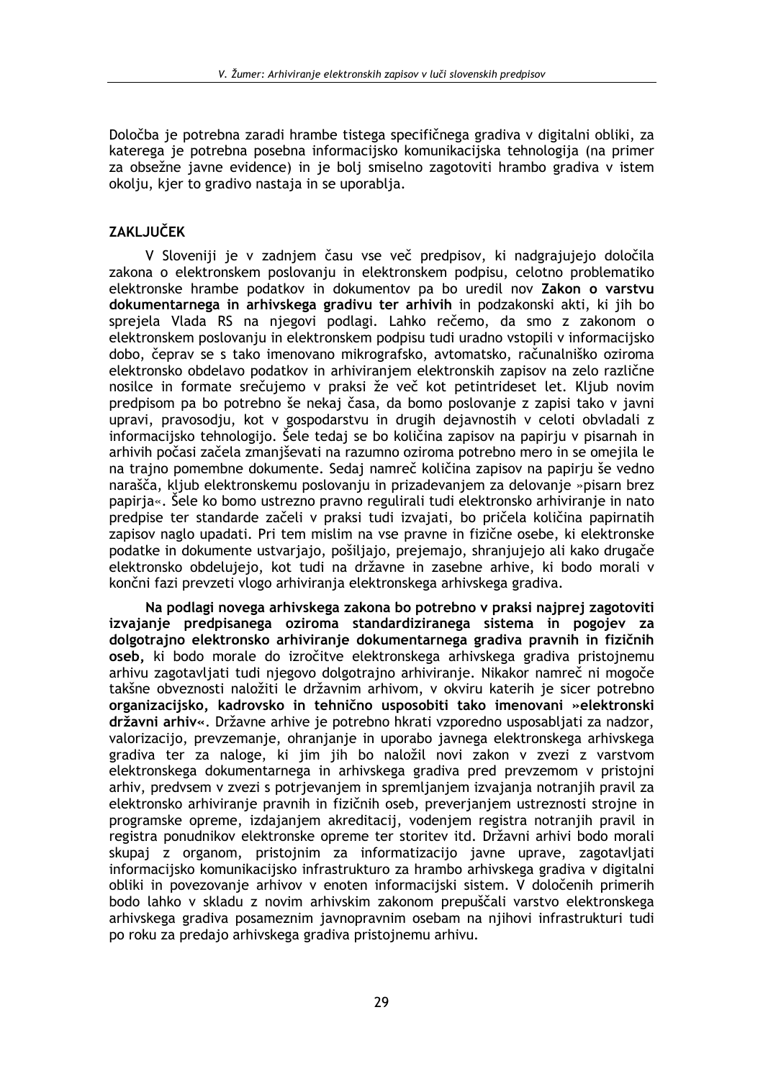Določba je potrebna zaradi hrambe tistega specifičnega gradiva v digitalni obliki, za katerega je potrebna posebna informacijsko komunikacijska tehnologija (na primer za obsežne javne evidence) in je bolj smiselno zagotoviti hrambo gradiva v istem okolju, kjer to gradivo nastaja in se uporablja.

# **ZAKLJUČEK**

V Sloveniji je v zadnjem času vse več predpisov, ki nadgrajujejo določila zakona o elektronskem poslovanju in elektronskem podpisu, celotno problematiko elektronske hrambe podatkov in dokumentov pa bo uredil nov Zakon o varstvu dokumentarnega in arhivskega gradivu ter arhivih in podzakonski akti, ki jih bo sprejela Vlada RS na njegovi podlagi. Lahko rečemo, da smo z zakonom o elektronskem poslovanju in elektronskem podpisu tudi uradno vstopili v informacijsko dobo, čeprav se s tako imenovano mikrografsko, avtomatsko, računalniško oziroma elektronsko obdelavo podatkov in arhiviranjem elektronskih zapisov na zelo različne nosilce in formate srečujemo v praksi že več kot petintrideset let. Kljub novim predpisom pa bo potrebno še nekaj časa, da bomo poslovanje z zapisi tako v javni upravi, pravosodju, kot v gospodarstvu in drugih dejavnostih v celoti obvladali z informacijsko tehnologijo. Šele tedaj se bo količina zapisov na papirju v pisarnah in arhivih počasi začela zmaniševati na razumno oziroma potrebno mero in se omejila le na trajno pomembne dokumente. Sedaj namreč količina zapisov na papirju še vedno narašča, kliub elektronskemu poslovanju in prizadevanjem za delovanje »pisarn brez papirja«. Šele ko bomo ustrezno pravno regulirali tudi elektronsko arhiviranje in nato predpise ter standarde začeli v praksi tudi izvajati, bo pričela količina papirnatih zapisov naglo upadati. Pri tem mislim na vse pravne in fizične osebe, ki elektronske podatke in dokumente ustvariajo, pošiliajo, prejemajo, shranjujejo ali kako drugače elektronsko obdelujejo, kot tudi na državne in zasebne arhive, ki bodo morali v končni fazi prevzeti vlogo arhiviranja elektronskega arhivskega gradiva.

Na podlagi novega arhivskega zakona bo potrebno v praksi najprej zagotoviti izvajanje predpisanega oziroma standardiziranega sistema in pogojev za dolgotrajno elektronsko arhiviranje dokumentarnega gradiva pravnih in fizičnih oseb, ki bodo morale do izročitve elektronskega arhivskega gradiva pristojnemu arhivu zagotavljati tudi njegovo dolgotrajno arhiviranje. Nikakor namreč ni mogoče takšne obveznosti naložiti le državnim arhivom, v okviru katerih je sicer potrebno organizacijsko, kadrovsko in tehnično usposobiti tako imenovani »elektronski državni arhiv«. Državne arhive je potrebno hkrati vzporedno usposabljati za nadzor, valorizacijo, prevzemanje, ohranjanje in uporabo javnega elektronskega arhivskega gradiva ter za naloge, ki jim jih bo naložil novi zakon v zvezi z varstvom elektronskega dokumentarnega in arhivskega gradiva pred prevzemom v pristojni arhiv, predvsem v zvezi s potrjevanjem in spremljanjem izvajanja notranjih pravil za elektronsko arhiviranje pravnih in fizičnih oseb, preverjanjem ustreznosti strojne in programske opreme, izdajanjem akreditacij, vodenjem registra notranjih pravil in registra ponudnikov elektronske opreme ter storitev itd. Državni arhivi bodo morali skupaj z organom, pristojnim za informatizacijo javne uprave, zagotavljati informacijsko komunikacijsko infrastrukturo za hrambo arhivskega gradiva v digitalni obliki in povezovanje arhivov v enoten informacijski sistem. V določenih primerih bodo lahko v skladu z novim arhivskim zakonom prepuščali varstvo elektronskega arhivskega gradiva posameznim javnopravnim osebam na njihovi infrastrukturi tudi po roku za predajo arhivskega gradiva pristojnemu arhivu.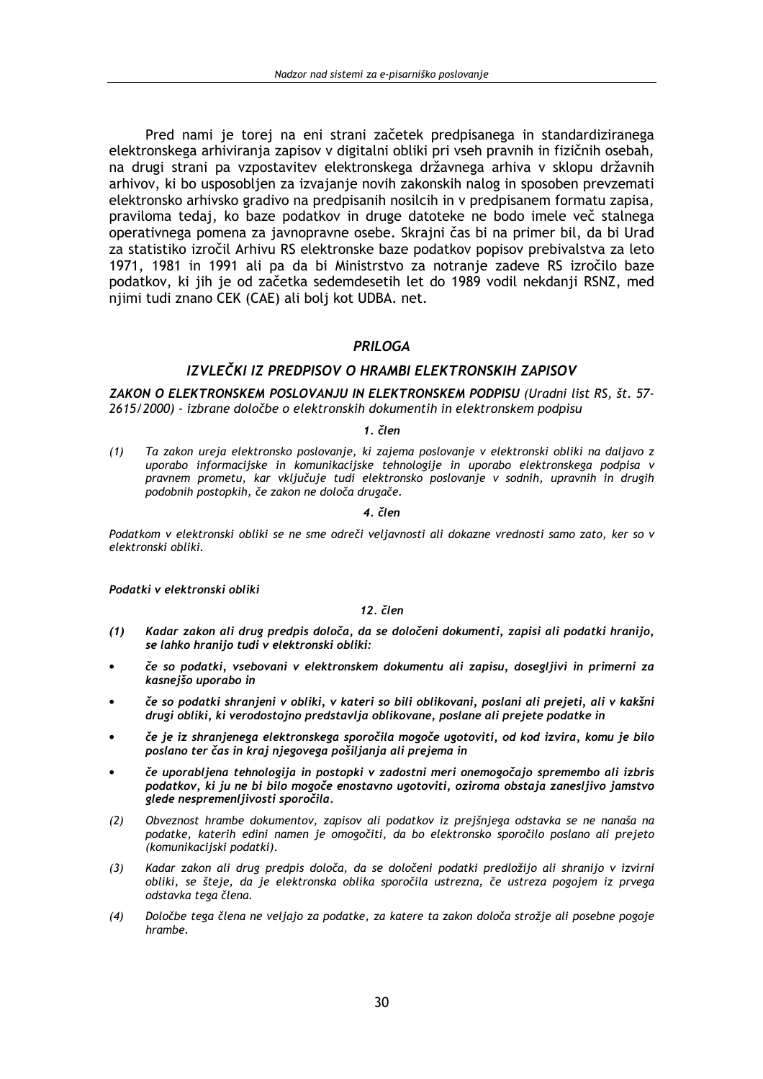Pred nami je torej na eni strani začetek predpisanega in standardiziranega elektronskega arhiviranja zapisov v digitalni obliki pri vseh pravnih in fizičnih osebah. na drugi strani pa vzpostavitev elektronskega državnega arhiva v sklopu državnih arhivov, ki bo usposobljen za izvajanje novih zakonskih nalog in sposoben prevzemati elektronsko arhivsko gradivo na predpisanih nosilcih in v predpisanem formatu zapisa, praviloma tedaj, ko baze podatkov in druge datoteke ne bodo imele več stalnega operativnega pomena za javnopravne osebe. Skrajni čas bi na primer bil, da bi Urad za statistiko izročil Arhivu RS elektronske baze podatkov popisov prebivalstva za leto 1971, 1981 in 1991 ali pa da bi Ministrstvo za notranje zadeve RS izročilo baze podatkov, ki jih je od začetka sedemdesetih let do 1989 vodil nekdanji RSNZ, med njimi tudi znano CEK (CAE) ali bolj kot UDBA. net.

# **PRILOGA**

# IZVLEČKI IZ PREDPISOV O HRAMBI ELEKTRONSKIH ZAPISOV

ZAKON O ELEKTRONSKEM POSLOVANJU IN ELEKTRONSKEM PODPISU (Uradni list RS, št. 57-2615/2000) - izbrane določbe o elektronskih dokumentih in elektronskem podpisu

## $1$  člen

 $(1)$ Ta zakon ureja elektronsko poslovanje, ki zajema poslovanje v elektronski obliki na daljavo z uporabo informacijske in komunikacijske tehnologije in uporabo elektronskega podpisa v pravnem prometu, kar vključuje tudi elektronsko poslovanje v sodnih, upravnih in drugih podobnih postopkih, če zakon ne določa drugače.

## 4. člen

Podatkom v elektronski obliki se ne sme odreči veljavnosti ali dokazne vrednosti samo zato, ker so v elektronski obliki.

Podatki v elektronski obliki

## 12. člen

- Kadar zakon ali drug predpis določa, da se določeni dokumenti, zapisi ali podatki hranijo,  $(1)$ se lahko hranijo tudi v elektronski obliki:
- če so podatki, vsebovani v elektronskem dokumentu ali zapisu, dosegljivi in primerni za kasnejšo uporabo in
- če so podatki shranjeni v obliki, v kateri so bili oblikovani, poslani ali prejeti, ali v kakšni drugi obliki, ki verodostojno predstavlja oblikovane, poslane ali prejete podatke in
- če je iz shranjenega elektronskega sporočila mogoče ugotoviti, od kod izvira, komu je bilo poslano ter čas in kraj njegovega pošiljanja ali prejema in
- če uporabljena tehnologija in postopki v zadostni meri onemogočajo spremembo ali izbris podatkov, ki ju ne bi bilo mogoče enostavno ugotoviti, oziroma obstaja zanesljivo jamstvo qlede nespremenljivosti sporočila.
- Obveznost hrambe dokumentov, zapisov ali podatkov iz prejšnjega odstavka se ne nanaša na  $(2)$ podatke, katerih edini namen je omogočiti, da bo elektronsko sporočilo poslano ali prejeto .<br>(komunikacijski podatki).
- Kadar zakon ali drug predpis določa, da se določeni podatki predložijo ali shranijo v izvirni  $(3)$ obliki, se šteje, da je elektronska oblika sporočila ustrezna, če ustreza pogojem iz prvega odstavka tega člena.
- $(4)$ Določbe tega člena ne veljajo za podatke, za katere ta zakon določa strožje ali posebne pogoje hrambe.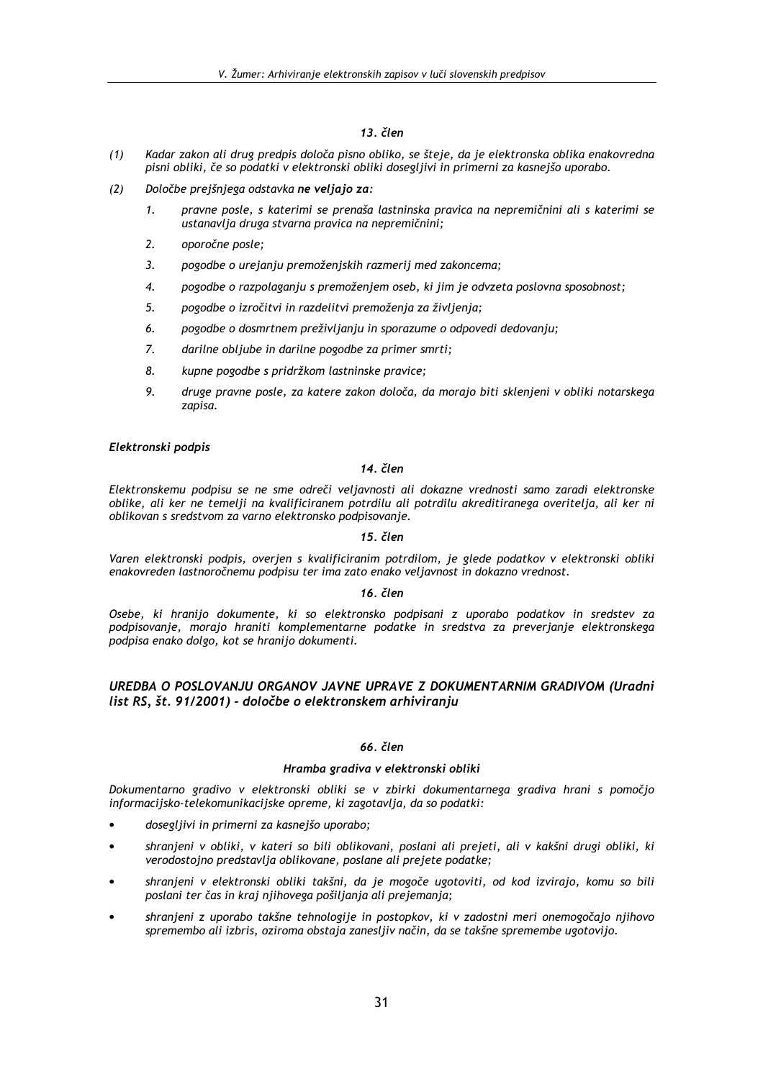- $(1)$ Kadar zakon ali drug predpis določa pisno obliko, se šteje, da je elektronska oblika enakovredna pisni obliki, če so podatki v elektronski obliki dosegljivi in primerni za kasnejšo uporabo.
- $(2)$ Določbe prejšnjega odstavka ne veljajo za:
	- $\mathbf{1}$ pravne posle, s katerimi se prenaša lastninska pravica na nepremičnini ali s katerimi se ustanavlja druga stvarna pravica na nepremičnini;
	- $2.$ oporočne posle;
	- $3.$ pogodbe o urejanju premoženjskih razmerij med zakoncema;
	- $\overline{4}$ . pogodbe o razpolaganju s premoženjem oseb, ki jim je odvzeta poslovna sposobnost;
	- $5<sup>1</sup>$ pogodbe o izročitvi in razdelitvi premoženia za živlienia:
	- 6. pogodbe o dosmrtnem preživljanju in sporazume o odpovedi dedovanju;
	- $\overline{z}$ darilne obljube in darilne pogodbe za primer smrti;
	- 8. kupne pogodbe s pridržkom lastninske pravice;
	- 9. druge pravne posle, za katere zakon določa, da morajo biti sklenjeni v obliki notarskega zapisa.

# Elektronski podpis

# 14. člen

Elektronskemu podpisu se ne sme odreči veljavnosti ali dokazne vrednosti samo zaradi elektronske oblike, ali ker ne temelji na kvalificiranem potrdilu ali potrdilu akreditiranega overitelja, ali ker ni oblikovan s sredstvom za varno elektronsko podpisovanje.

## 15. člen

Varen elektronski podpis, overjen s kvalificiranim potrdilom, je glede podatkov v elektronski obliki enakovreden lastnoročnemu podpisu ter ima zato enako veljavnost in dokazno vrednost.

## 16. člen

Osebe, ki hranijo dokumente, ki so elektronsko podpisani z uporabo podatkov in sredstev za podpisovanje, morajo hraniti komplementarne podatke in sredstva za preverjanje elektronskega podpisa enako dolgo, kot se hranijo dokumenti.

# UREDBA O POSLOVANJU ORGANOV JAVNE UPRAVE Z DOKUMENTARNIM GRADIVOM (Uradni list RS, št. 91/2001) - določbe o elektronskem arhiviranju

## 66. člen

# Hramba gradiva v elektronski obliki

Dokumentarno gradivo v elektronski obliki se v zbirki dokumentarnega gradiva hrani s pomočjo informacijsko-telekomunikacijske opreme, ki zagotavlja, da so podatki:

- dosegljivi in primerni za kasnejšo uporabo;
- shranjeni v obliki, v kateri so bili oblikovani, poslani ali prejeti, ali v kakšni drugi obliki, ki verodostojno predstavlja oblikovane, poslane ali prejete podatke;
- shranjeni v elektronski obliki takšni, da je mogoče ugotoviti, od kod izvirajo, komu so bili poslani ter čas in kraj njihovega pošiljanja ali prejemanja;
- shranjeni z uporabo takšne tehnologije in postopkov, ki v zadostni meri onemogočajo njihovo spremembo ali izbris, oziroma obstaja zanesljiv način, da se takšne spremembe ugotovijo.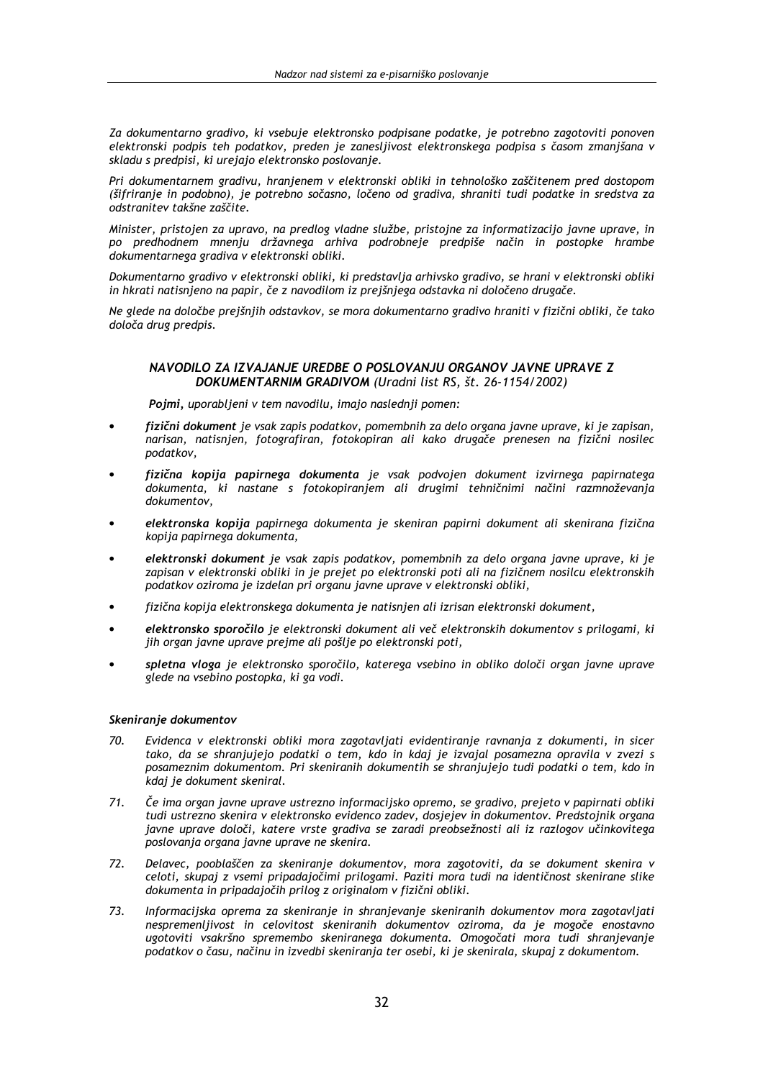Za dokumentarno gradivo, ki vsebuje elektronsko podpisane podatke, je potrebno zagotoviti ponoven elektronski podpis teh podatkov, preden je zanesljivost elektronskega podpisa s časom zmanjšana v skladu s predpisi, ki urejajo elektronsko poslovanje.

Pri dokumentarnem gradivu, hranjenem v elektronski obliki in tehnološko zaščitenem pred dostopom (šifriranje in podobno), je potrebno sočasno, ločeno od gradiva, shraniti tudi podatke in sredstva za odstranitev takšne zaščite.

Minister, pristojen za upravo, na predlog vladne službe, pristojne za informatizacijo javne uprave, in po predhodnem mnenju državnega arhiva podrobneje predpiše način in postopke hrambe dokumentarnega gradiva v elektronski obliki.

Dokumentarno gradivo v elektronski obliki, ki predstavlja arhivsko gradivo, se hrani v elektronski obliki in hkrati natisnieno na papir, če z navodilom iz preišniega odstavka ni določeno drugače.

Ne glede na določbe prejšnjih odstavkov, se mora dokumentarno gradivo hraniti v fizični obliki, če tako določa drug predpis.

# NAVODILO ZA IZVAJANJE UREDBE O POSLOVANJU ORGANOV JAVNE UPRAVE Z DOKUMENTARNIM GRADIVOM (Uradni list RS, št. 26-1154/2002)

Pojmi, uporabljeni v tem navodilu, imajo naslednji pomen:

- fizični dokument je vsak zapis podatkov, pomembnih za delo organa javne uprave, ki je zapisan, narisan, natisnjen, fotografiran, fotokopiran ali kako drugače prenesen na fizični nosilec podatkov,
- fizična kopija papirnega dokumenta je vsak podvojen dokument izvirnega papirnatega dokumenta, ki nastane s fotokopiranjem ali drugimi tehničnimi načini razmnoževanja dokumentov.
- elektronska kopija papirnega dokumenta je skeniran papirni dokument ali skenirana fizična kopija papirnega dokumenta,
- elektronski dokument je vsak zapis podatkov, pomembnih za delo organa javne uprave, ki je zapisan v elektronski obliki in je prejet po elektronski poti ali na fizičnem nosilcu elektronskih podatkov oziroma je izdelan pri organu javne uprave v elektronski obliki,
- fizična kopija elektronskega dokumenta je natisnjen ali izrisan elektronski dokument,
- elektronsko sporočilo je elektronski dokument ali več elektronskih dokumentov s prilogami, ki jih organ javne uprave prejme ali pošlje po elektronski poti,
- spletna vloga je elektronsko sporočilo, katerega vsebino in obliko določi organ javne uprave glede na vsebino postopka, ki ga vodi.

## Skeniranje dokumentov

- $70.$ Evidenca v elektronski obliki mora zagotavljati evidentiranje ravnanja z dokumenti, in sicer tako, da se shranjujejo podatki o tem, kdo in kdaj je izvajal posamezna opravila v zvezi s posameznim dokumentom. Pri skeniranih dokumentih se shranjujejo tudi podatki o tem, kdo in kdai je dokument skeniral.
- $71.$ Če ima organ javne uprave ustrezno informacijsko opremo, se gradivo, prejeto v papirnati obliki tudi ustrezno skenira v elektronsko evidenco zadev, dosjejev in dokumentov. Predstojnik organa javne uprave določi, katere vrste gradiva se zaradi preobsežnosti ali iz razlogov učinkovitega poslovanja organa javne uprave ne skenira.
- 72. Delavec, pooblaščen za skeniranje dokumentov, mora zagotoviti, da se dokument skenira v celoti, skupaj z vsemi pripadajočimi prilogami. Paziti mora tudi na identičnost skenirane slike dokumenta in pripadajočih prilog z originalom v fizični obliki.
- 73. Informacijska oprema za skeniranje in shranjevanje skeniranih dokumentov mora zagotavljati nespremenljivost in celovitost skeniranih dokumentov oziroma, da je mogoče enostavno ugotoviti vsakršno spremembo skeniranega dokumenta. Omogočati mora tudi shranjevanje podatkov o času, načinu in izvedbi skeniranja ter osebi, ki je skenirala, skupaj z dokumentom.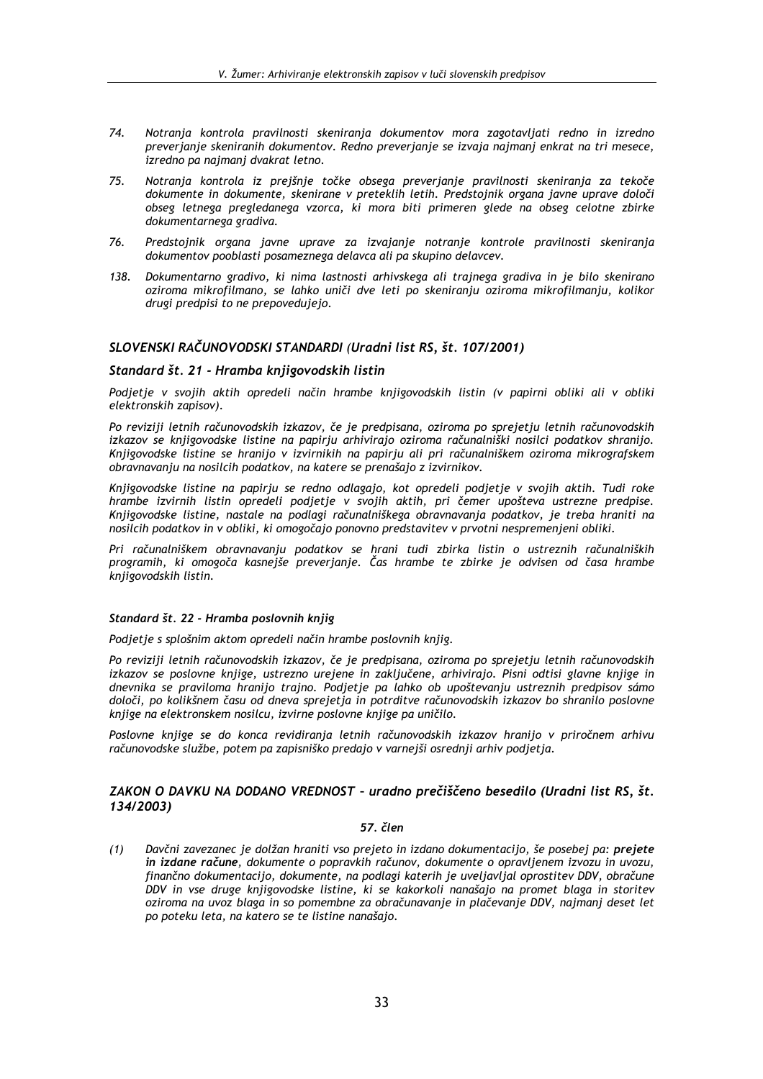- 74. Notranja kontrola pravilnosti skeniranja dokumentov mora zagotavljati redno in izredno preverjanje skeniranih dokumentov. Redno preverjanje se izvaja najmanj enkrat na tri mesece, izredno pa najmanj dvakrat letno.
- 75 Notranja kontrola iz prejšnje točke obsega preverjanje pravilnosti skeniranja za tekoče dokumente in dokumente, skenirane v preteklih letih. Predstojnik organa javne uprave določi obseg letnega pregledanega vzorca, ki mora biti primeren glede na obseg celotne zbirke dokumentarnega gradiva.
- 76. Predstojnik organa javne uprave za izvajanje notranje kontrole pravilnosti skeniranja dokumentov pooblasti posameznega delavca ali pa skupino delavcev.
- 138. Dokumentarno gradivo, ki nima lastnosti arhivskega ali trainega gradiva in je bilo skenirano oziroma mikrofilmano, se lahko uniči dve leti po skeniranju oziroma mikrofilmanju, kolikor drugi predpisi to ne prepovedujejo.

# SLOVENSKI RAČUNOVODSKI STANDARDI (Uradni list RS, št. 107/2001)

## Standard št. 21 - Hramba knijgovodskih listin

Podjetje v svojih aktih opredeli način hrambe knjigovodskih listin (v papirni obliki ali v obliki elektronskih zapisov).

Po reviziji letnih računovodskih izkazov, če je predpisana, oziroma po sprejetju letnih računovodskih izkazov se knjigovodske listine na papirju arhivirajo oziroma računalniški nosilci podatkov shranijo. Knjigovodske listine se hranijo v izvirnikih na papirju ali pri računalniškem oziroma mikrografskem obravnavanju na nosilcih podatkov, na katere se prenašajo z izvirnikov.

Knjigovodske listine na papirju se redno odlagajo, kot opredeli podjetje v svojih aktih. Tudi roke hrambe izvirnih listin opredeli podjetje v svojih aktih, pri čemer upošteva ustrezne predpise. Knjigovodske listine, nastale na podlagi računalniškega obravnavanja podatkov, je treba hraniti na nosilcih podatkov in v obliki, ki omogočajo ponovno predstavitev v prvotni nespremenjeni obliki.

Pri računalniškem obravnavanju podatkov se hrani tudi zbirka listin o ustreznih računalniških programih, ki omogoča kasnejše preverjanje. Čas hrambe te zbirke je odvisen od časa hrambe knjigovodskih listin.

### Standard št. 22 - Hramba poslovnih knjig

Podjetje s splošnim aktom opredeli način hrambe poslovnih knjig.

Po reviziji letnih računovodskih izkazov, če je predpisana, oziroma po sprejetju letnih računovodskih izkazov se poslovne knjige, ustrezno urejene in zaključene, arhivirajo. Pisni odtisi glavne knjige in dnevnika se praviloma hranijo trajno. Podjetje pa lahko ob upoštevanju ustreznih predpisov sámo določi, po kolikšnem času od dneva sprejetja in potrditve računovodskih izkazov bo shranilo poslovne knjige na elektronskem nosilcu, izvirne poslovne knjige pa uničilo.

Poslovne knjige se do konca revidiranja letnih računovodskih izkazov hranijo v priročnem arhivu računovodske službe, potem pa zapisniško predajo v varnejši osrednji arhiv podjetja.

# ZAKON O DAVKU NA DODANO VREDNOST - uradno prečiščeno besedilo (Uradni list RS, št. 134/2003)

## 57. člen

Davčni zavezanec je dolžan hraniti vso prejeto in izdano dokumentacijo, še posebej pa: prejete  $(1)$ in izdane račune, dokumente o popravkih računov, dokumente o opravljenem izvozu in uvozu, finančno dokumentacijo, dokumente, na podlagi katerih je uveljavljal oprostitev DDV, obračune DDV in vse druge knjigovodske listine, ki se kakorkoli nanašajo na promet blaga in storitev oziroma na uvoz blaga in so pomembne za obračunavanje in plačevanje DDV, najmanj deset let po poteku leta, na katero se te listine nanašajo.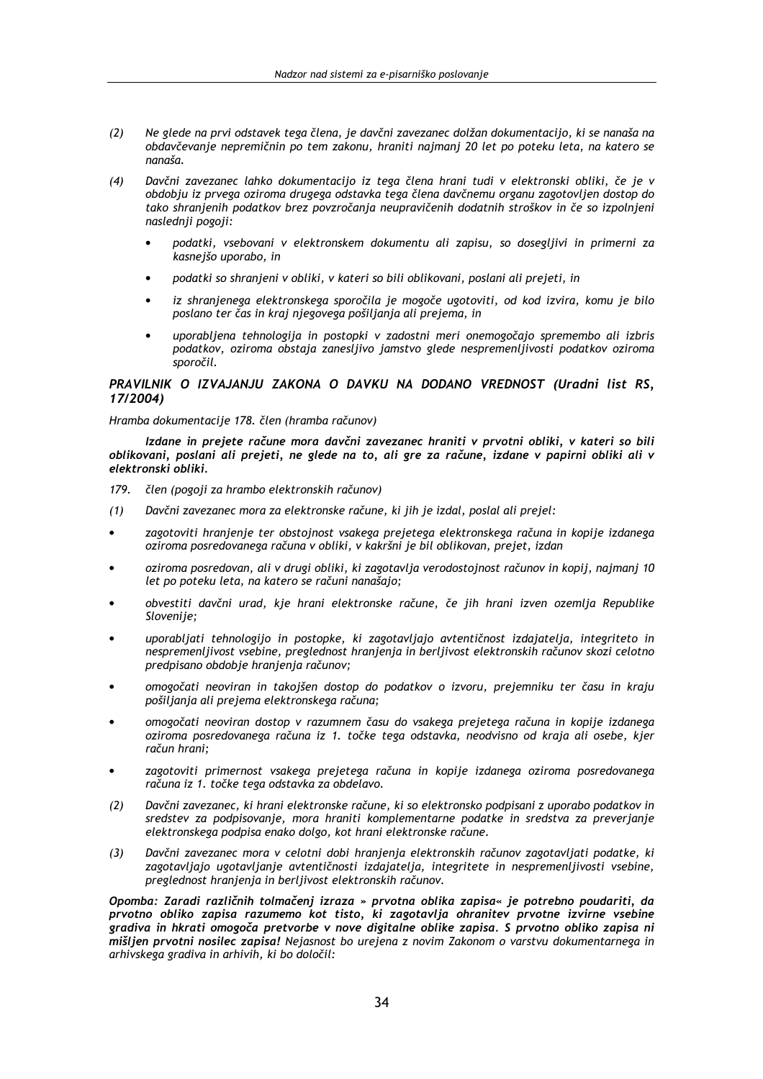- Ne glede na prvi odstavek tega člena, je davčni zavezanec dolžan dokumentacijo, ki se nanaša na  $(2)$ obdavčevanje nepremičnin po tem zakonu, hraniti najmanj 20 let po poteku leta, na katero se nanaša.
- Davčni zavezanec lahko dokumentacijo iz tega člena hrani tudi v elektronski obliki, če je v  $(4)$ obdobju iz prvega oziroma drugega odstavka tega člena davčnemu organu zagotovljen dostop do tako shranjenih podatkov brez povzročanja neupravičenih dodatnih stroškov in če so izpolnjeni naslednji pogoji:
	- podatki, vsebovani v elektronskem dokumentu ali zapisu, so dosegljivi in primerni za kasnejšo uporabo, in
	- podatki so shranjeni v obliki, v kateri so bili oblikovani, poslani ali prejeti, in
	- iz shranjenega elektronskega sporočila je mogoče ugotoviti, od kod izvira, komu je bilo poslano ter čas in kraj njegovega pošiljanja ali prejema, in
	- uporabliena tehnologija in postopki v zadostni meri onemogočajo spremembo ali izbris podatkov, oziroma obstaja zaneslijvo jamstvo glede nespremenlijvosti podatkov oziroma snoročil

# PRAVILNIK O IZVAJANJU ZAKONA O DAVKU NA DODANO VREDNOST (Uradni list RS, 17/2004)

### Hramba dokumentacije 178. člen (hramba računov)

Izdane in prejete račune mora davčni zavezanec hraniti v prvotni obliki, v kateri so bili oblikovani, poslani ali prejeti, ne glede na to, ali gre za račune, izdane v papirni obliki ali v elektronski obliki.

- 179. člen (pogoji za hrambo elektronskih računov)
- Davčni zavezanec mora za elektronske račune, ki jih je izdal, poslal ali prejel:  $(1)$
- zagotoviti hranjenje ter obstojnost vsakega prejetega elektronskega računa in kopije izdanega oziroma posredovanega računa v obliki, v kakršni je bil oblikovan, prejet, izdan
- oziroma posredovan, ali v drugi obliki, ki zagotavlja verodostojnost računov in kopij, najmanj 10 let po poteku leta, na katero se računi nanašajo;
- obvestiti davčni urad, kje hrani elektronske račune, če jih hrani izven ozemlja Republike Slovenije;
- uporabljati tehnologijo in postopke, ki zagotavljajo avtentičnost izdajatelja, integriteto in nespremenljivost vsebine, preglednost hranjenja in berljivost elektronskih računov skozi celotno predpisano obdobje hranjenja računov;
- omogočati neoviran in takoišen dostop do podatkov o izvoru, prejemniku ter času in kraju pošiljanja ali prejema elektronskega računa;
- omogočati neoviran dostop v razumnem času do vsakega prejetega računa in kopije izdanega oziroma posredovanega računa iz 1. točke tega odstavka, neodvisno od kraja ali osebe, kjer račun hrani;
- zagotoviti primernost vsakega prejetega računa in kopije izdanega oziroma posredovanega računa iz 1. točke tega odstavka za obdelavo.
- Davčni zavezanec, ki hrani elektronske račune, ki so elektronsko podpisani z uporabo podatkov in  $(2)$ sredstev za podpisovanje, mora hraniti komplementarne podatke in sredstva za preverjanje elektronskega podpisa enako dolgo, kot hrani elektronske račune.
- Davčni zavezanec mora v celotni dobi hranjenja elektronskih računov zagotavljati podatke, ki  $(3)$ zagotavljajo ugotavljanje avtentičnosti izdajatelja, integritete in nespremenljivosti vsebine, preglednost hranjenja in berljivost elektronskih računov.

Opomba: Zaradi različnih tolmačenj izraza » prvotna oblika zapisa« je potrebno poudariti, da prvotno obliko zapisa razumemo kot tisto, ki zagotavlja ohranitev prvotne izvirne vsebine gradiva in hkrati omogoča pretvorbe v nove digitalne oblike zapisa. S prvotno obliko zapisa ni mišljen prvotni nosilec zapisa! Nejasnost bo urejena z novim Zakonom o varstvu dokumentarnega in arhivskega gradiva in arhivih, ki bo določil: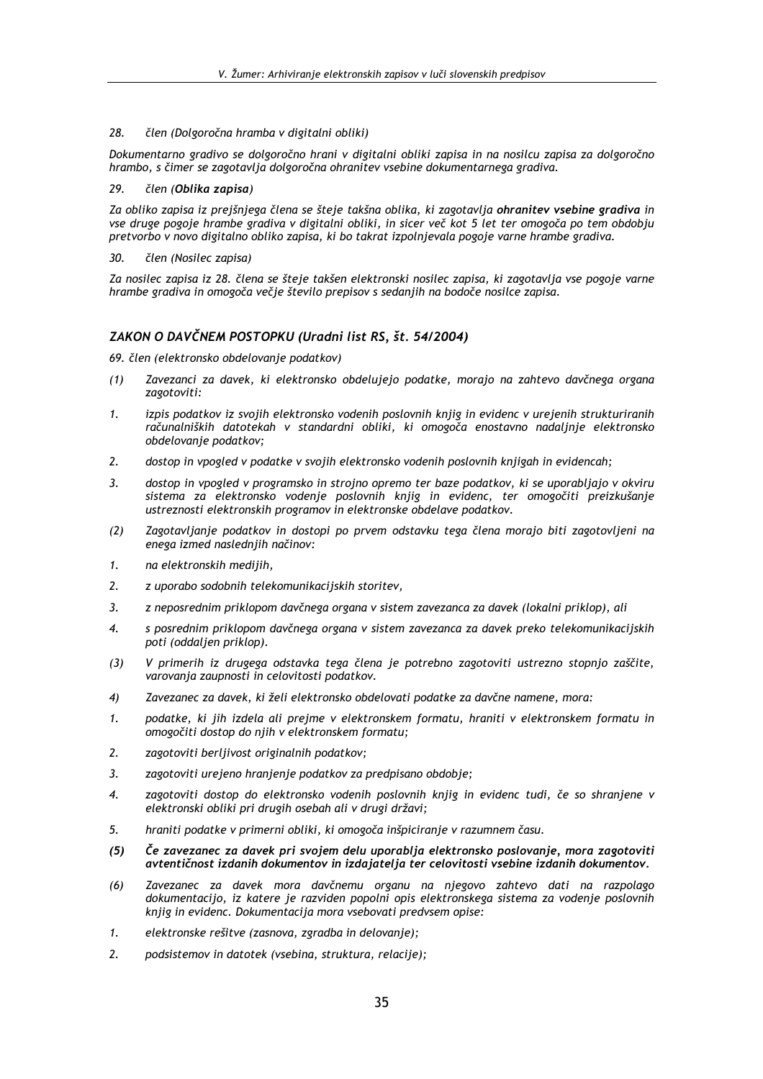#### člen (Dolgoročna hramba v digitalni obliki) 28.

Dokumentarno gradivo se dolgoročno hrani v digitalni obliki zapisa in na nosilcu zapisa za dolgoročno hrambo, s čimer se zagotavlja dolgoročna ohranitev vsebine dokumentarnega gradiva.

#### 29. člen (Oblika zapisa)

Za obliko zapisa iz prejšnjega člena se šteje takšna oblika, ki zagotavlja ohranitev vsebine gradiva in vse druge pogoje hrambe gradiva v digitalni obliki, in sicer več kot 5 let ter omogoča po tem obdobju pretvorbo v novo digitalno obliko zapisa, ki bo takrat izpolnjevala pogoje varne hrambe gradiva.

30. člen (Nosilec zapisa)

Za nosilec zapisa iz 28. člena se šteje takšen elektronski nosilec zapisa, ki zagotavlja vse pogoje varne hrambe gradiva in omogoča večje število prepisov s sedanjih na bodoče nosilce zapisa.

# ZAKON O DAVČNEM POSTOPKU (Uradni list RS, št. 54/2004)

69. člen (elektronsko obdelovanje podatkov)

- Zavezanci za davek, ki elektronsko obdelujejo podatke, morajo na zahtevo davčnega organa  $(1)$ zagotoviti:
- izpis podatkov iz svojih elektronsko vodenih poslovnih knjig in evidenc v urejenih strukturiranih  $\mathbf{1}$ računalniških datotekah v standardni obliki, ki omogoča enostavno nadaljnje elektronsko obdelovanje podatkov;
- $2.$ dostop in vpogled v podatke v svojih elektronsko vodenih poslovnih knjigah in evidencah;
- dostop in vpogled v programsko in strojno opremo ter baze podatkov, ki se uporabljajo v okviru  $\overline{3}$ . sistema za elektronsko vodenje poslovnih knjig in evidenc, ter omogočiti preizkušanje ustreznosti elektronskih programov in elektronske obdelave podatkov.
- Zagotavljanje podatkov in dostopi po prvem odstavku tega člena morajo biti zagotovljeni na  $(2)$ enega izmed naslednjih načinov:
- na elektronskih medijih, 1.
- z uporabo sodobnih telekomunikacijskih storitev,  $2.$
- $\overline{3}$ . z neposrednim priklopom davčnega organa v sistem zavezanca za davek (lokalni priklop), ali
- $\overline{\mathcal{A}}$ s posrednim priklopom davčnega organa v sistem zavezanca za davek preko telekomunikacijskih poti (oddalien priklop).
- V primerih iz drugega odstavka tega člena je potrebno zagotoviti ustrezno stopnjo zaščite,  $(3)$ varovanja zaupnosti in celovitosti podatkov.
- $4)$ Zavezanec za davek, ki želi elektronsko obdelovati podatke za davčne namene, mora:
- podatke, ki jih izdela ali prejme v elektronskem formatu, hraniti v elektronskem formatu in 1. omogočiti dostop do njih v elektronskem formatu;
- $2<sup>1</sup>$ zagotoviti berljivost originalnih podatkov;
- $\overline{3}$ . zagotoviti urejeno hranjenje podatkov za predpisano obdobje;
- zagotoviti dostop do elektronsko vodenih poslovnih knjig in evidenc tudi, če so shranjene v  $\overline{\mathbf{4}}$ elektronski obliki pri drugih osebah ali v drugi državi;
- hraniti podatke v primerni obliki, ki omogoča inšpiciranje v razumnem času. 5.
- Če zavezanec za davek pri svojem delu uporablja elektronsko poslovanje, mora zagotoviti  $(5)$ avtentičnost izdanih dokumentov in izdajatelja ter celovitosti vsebine izdanih dokumentov.
- $(6)$ Zavezanec za davek mora davčnemu organu na njegovo zahtevo dati na razpolago dokumentacijo, iz katere je razviden popolni opis elektronskega sistema za vodenje poslovnih knijg in evidenc. Dokumentacija mora vsebovati predvsem opise:
- $\mathbf{1}$ elektronske rešitve (zasnova, zgradba in delovanje);
- $\overline{2}$ . podsistemov in datotek (vsebina, struktura, relacije);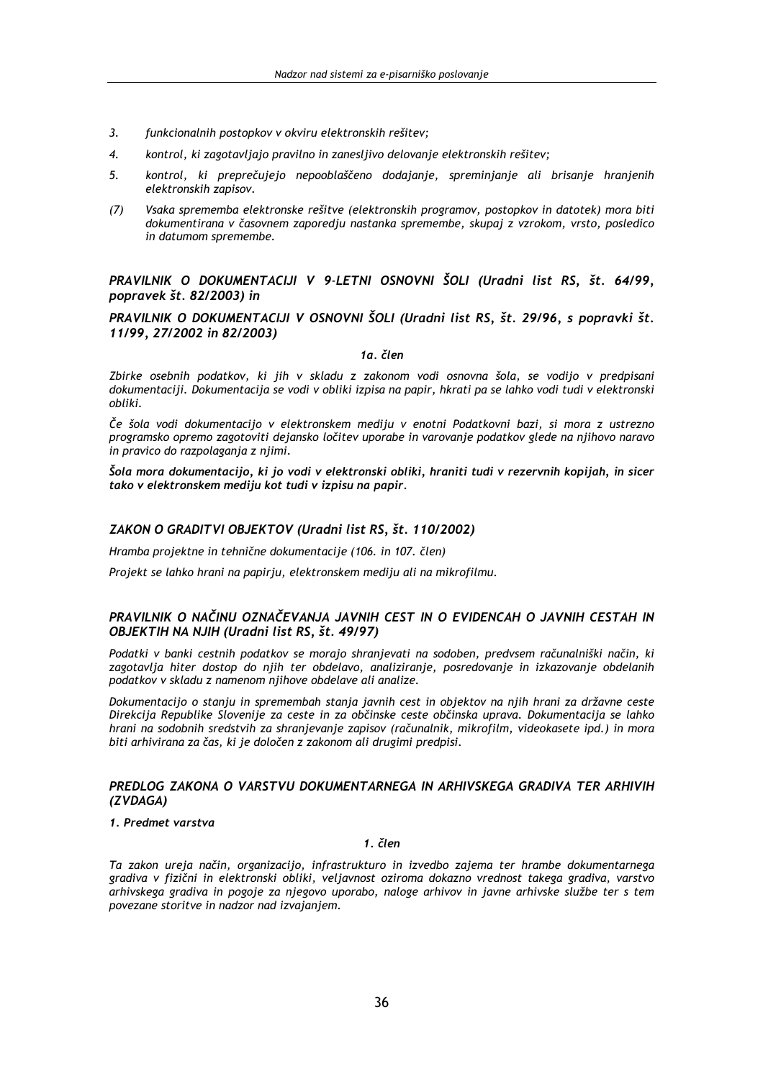- funkcionalnih postopkov v okviru elektronskih rešitev;  $\overline{3}$ .
- $\overline{4}$ . kontrol, ki zagotavljajo pravilno in zanesljivo delovanje elektronskih rešitev;
- kontrol, ki preprečujejo nepooblaščeno dodajanje, spreminjanje ali brisanje hranjenih 5. elektronskih zapisov.
- Vsaka sprememba elektronske rešitve (elektronskih programov, postopkov in datotek) mora biti  $(7)$ dokumentirana v časovnem zaporedju nastanka spremembe, skupaj z vzrokom, vrsto, posledico in datumom spremembe.

PRAVILNIK O DOKUMENTACIJI V 9-LETNI OSNOVNI ŠOLI (Uradni list RS, št. 64/99, popravek št. 82/2003) in

# PRAVILNIK O DOKUMENTACIJI V OSNOVNI ŠOLI (Uradni list RS, št. 29/96, s popravki št. 11/99, 27/2002 in 82/2003)

1a. člen

Zbirke osebnih podatkov, ki jih v skladu z zakonom vodi osnovna šola, se vodijo v predpisani dokumentaciji. Dokumentacija se vodi v obliki izpisa na papir, hkrati pa se lahko vodi tudi v elektronski obliki.

Če šola vodi dokumentacijo v elektronskem mediju v enotni Podatkovni bazi, si mora z ustrezno programsko opremo zagotoviti dejansko ločitev uporabe in varovanje podatkov glede na njihovo naravo in pravico do razpolaganja z njimi.

Šola mora dokumentacijo, ki jo vodi v elektronski obliki, hraniti tudi v rezervnih kopijah, in sicer tako v elektronskem mediju kot tudi v izpisu na papir.

# ZAKON O GRADITVI OBJEKTOV (Uradni list RS, št. 110/2002)

Hramba projektne in tehnične dokumentacije (106. in 107. člen)

Projekt se lahko hrani na papirju, elektronskem mediju ali na mikrofilmu.

# PRAVILNIK O NAČINU OZNAČEVANJA JAVNIH CEST IN O EVIDENCAH O JAVNIH CESTAH IN OBJEKTIH NA NJIH (Uradni list RS, št. 49/97)

Podatki v banki cestnih podatkov se morajo shranjevati na sodoben, predvsem računalniški način, ki zagotavlja hiter dostop do njih ter obdelavo, analiziranje, posredovanje in izkazovanje obdelanih podatkov v skladu z namenom njihove obdelave ali analize.

Dokumentacijo o stanju in spremembah stanja javnih cest in objektov na njih hranj za državne ceste Direkcija Republike Slovenije za ceste in za občinske ceste občinska uprava. Dokumentacija se lahko hrani na sodobnih sredstvih za shranjevanje zapisov (računalnik, mikrofilm, videokasete ipd.) in mora biti arhivirana za čas, ki je določen z zakonom ali drugimi predpisi.

# PREDLOG ZAKONA O VARSTVU DOKUMENTARNEGA IN ARHIVSKEGA GRADIVA TER ARHIVIH (ZVDAGA)

# 1. Predmet varstva

1. člen

Ta zakon ureja način, organizacijo, infrastrukturo in izvedbo zajema ter hrambe dokumentarnega gradiva v fizični in elektronski obliki, veljavnost oziroma dokazno vrednost takega gradiva, varstvo arhivskega gradiva in pogoje za njegovo uporabo, naloge arhivov in javne arhivske službe ter s tem povezane storitve in nadzor nad izvajanjem.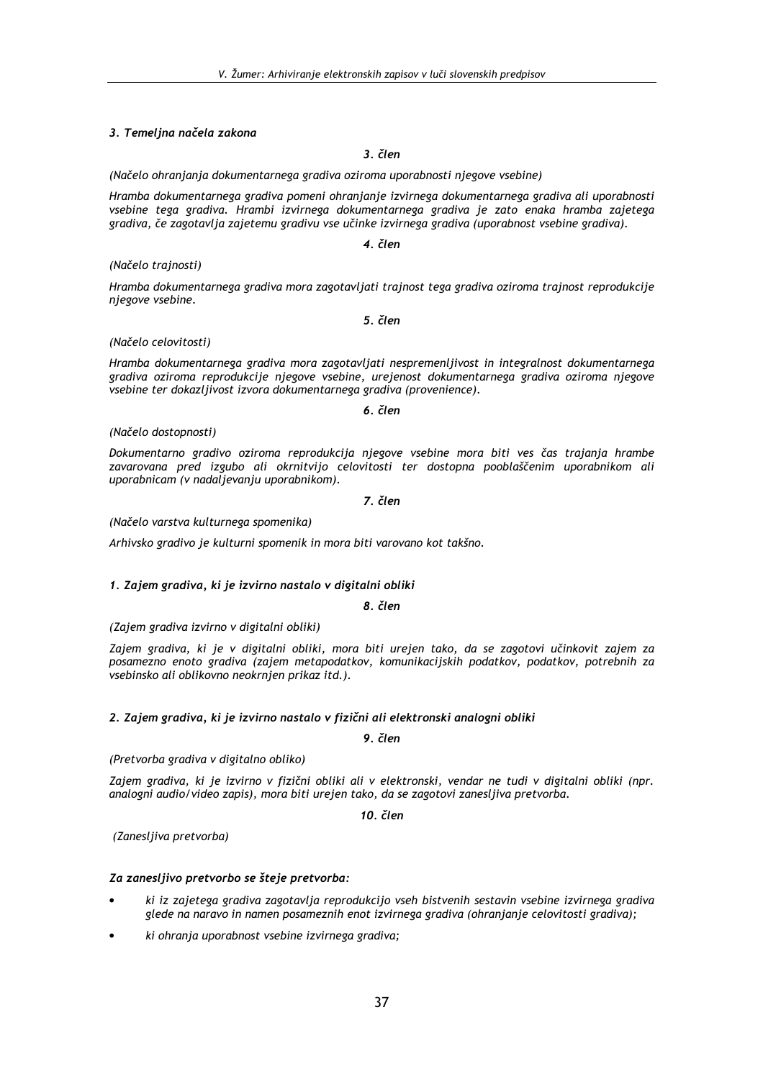# 3. Temeljna načela zakona

 $3$ . člen

(Načelo ohranjanja dokumentarnega gradiva oziroma uporabnosti njegove vsebine)

Hramba dokumentarnega gradiva pomeni ohranjanje izvirnega dokumentarnega gradiva ali uporabnosti vsebine tega gradiva. Hrambi izvirnega dokumentarnega gradiva je zato enaka hramba zajetega gradiva, če zagotavlja zajetemu gradivu vse učinke izvirnega gradiva (uporabnost vsebine gradiva).

4. člen

## (Načelo trajnosti)

Hramba dokumentarnega gradiva mora zagotavljati trajnost tega gradiva oziroma trajnost reprodukcije njegove vsebine.

### 5. člen

## (Načelo celovitosti)

Hramba dokumentarnega gradiya mora zagotavljati nespremenljivost in integralnost dokumentarnega gradiva oziroma reprodukcije njegove vsebine, urejenost dokumentarnega gradiva oziroma njegove vsebine ter dokazljivost izvora dokumentarnega gradiva (provenience).

### 6. člen

## (Načelo dostopnosti)

Dokumentarno gradivo oziroma reprodukcija njegove vsebine mora biti ves čas trajanja hrambe zavarovana pred izgubo ali okrnitvijo celovitosti ter dostopna pooblaščenim uporabnikom ali uporabnicam (v nadaljevanju uporabnikom).

## 7. člen

## (Načelo varstva kulturnega spomenika)

Arhivsko gradivo je kulturni spomenik in mora biti varovano kot takšno.

## 1. Zajem gradiva, ki je izvirno nastalo v digitalni obliki

8 člen

(Zaiem gradiva izvirno v digitalni obliki)

Zajem gradiva, ki je v digitalni obliki, mora biti urejen tako, da se zagotovi učinkovit zajem za posamezno enoto gradiva (zajem metapodatkov, komunikacijskih podatkov, podatkov, potrebnih za vsebinsko ali oblikovno neokrnjen prikaz itd.).

## 2. Zajem gradiva, ki je izvirno nastalo v fizični ali elektronski analogni obliki

# 9. člen

## (Pretvorba gradiva v digitalno obliko)

Zajem gradiva, ki je izvirno v fizični obliki ali v elektronski, vendar ne tudi v digitalni obliki (npr. analogni audio/video zapis), mora biti urejen tako, da se zagotovi zanesljiva pretvorba.

10. člen

(Zanesljiva pretvorba)

## Za zanesljivo pretvorbo se šteje pretvorba:

- ki iz zajetega gradiva zagotavlja reprodukcijo vseh bistvenih sestavin vsebine izvirnega gradiva glede na naravo in namen posameznih enot izvirnega gradiva (ohranianie celovitosti gradiva):
- ki ohranja uporabnost vsebine izvirnega gradiva;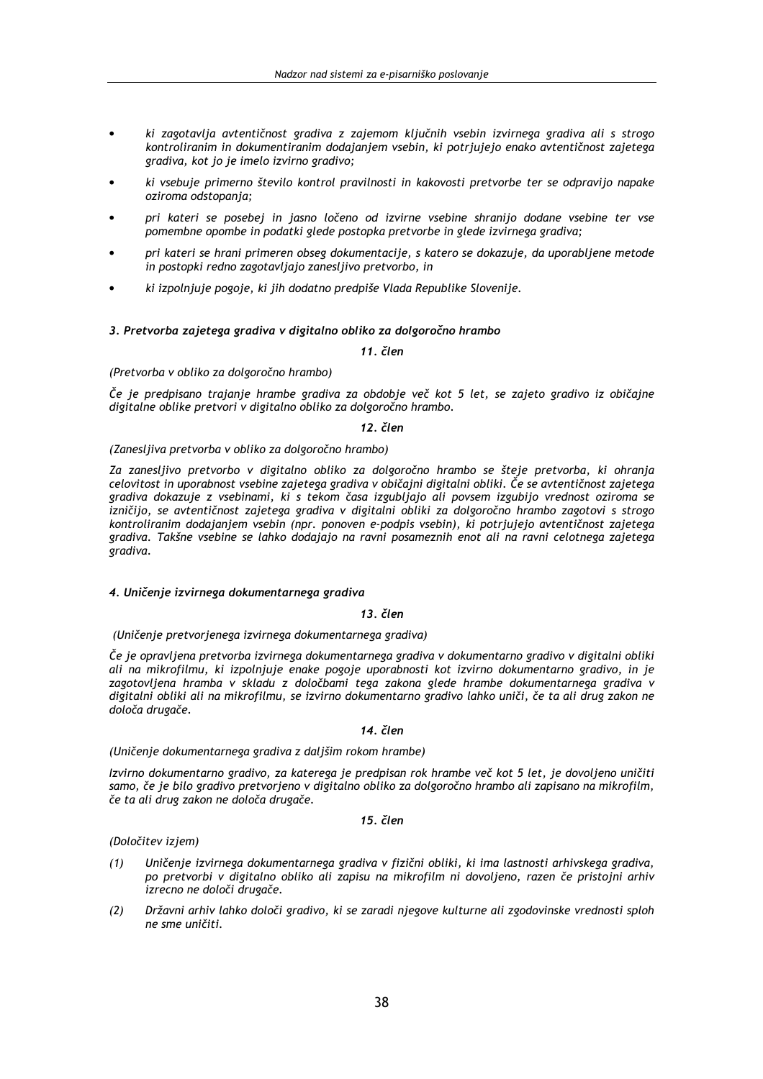- ki zagotavlja avtentičnost gradiva z zajemom ključnih vsebin izvirnega gradiva ali s strogo kontroliranim in dokumentiranim dodajanjem vsebin, ki potrjujejo enako avtentičnost zajetega gradiva, kot jo je imelo izvirno gradivo;
- ki vsebuje primerno število kontrol pravilnosti in kakovosti pretvorbe ter se odpravijo napake oziroma odstopanja;
- pri kateri se posebej in jasno ločeno od izvirne vsebine shranijo dodane vsebine ter vse pomembne opombe in podatki glede postopka pretvorbe in glede izvirnega gradiva;
- pri kateri se hrani primeren obseg dokumentacije, s katero se dokazuje, da uporabljene metode in postopki redno zagotavljajo zanesljivo pretvorbo, in
- ki izpolnjuje pogoje, ki jih dodatno predpiše Vlada Republike Slovenije.

## 3. Pretvorba zajetega gradiva v digitalno obliko za dolgoročno hrambo

11. člen

### (Pretvorba v obliko za dolgoročno hrambo)

Če je predpisano trajanje hrambe gradiva za obdobje več kot 5 let, se zajeto gradivo iz običajne digitalne oblike pretvori v digitalno obliko za dolgoročno hrambo.

## 12. člen

## (Zanesljiva pretvorba v obliko za dolgoročno hrambo)

Za zanesljivo pretvorbo v digitalno obliko za dolgoročno hrambo se šteje pretvorba, ki ohranja celovitost in uporabnost vsebine zajetega gradiva v običajni digitalni obliki. Če se avtentičnost zajetega gradiva dokazuje z vsebinami, ki s tekom časa izgubljajo ali povsem izgubijo vrednost oziroma se izničijo, se avtentičnost zajetega gradiva v digitalni obliki za dolgoročno hrambo zagotovi s strogo kontroliranim dodajanjem vsebin (npr. ponoven e-podpis vsebin), ki potrjujejo avtentičnost zajetega gradiva. Takšne vsebine se lahko dodajajo na ravni posameznih enot ali na ravni celotnega zajetega gradiva.

## 4. Uničenje izvirnega dokumentarnega gradiva

# $13.$  člen

(Uničenje pretvorjenega izvirnega dokumentarnega gradiva)

Če je opravljena pretvorba izvirnega dokumentarnega gradiva v dokumentarno gradivo v digitalni obliki ali na mikrofilmu, ki izpolnjuje enake pogoje uporabnosti kot izvirno dokumentarno gradivo, in je zagotovljena hramba v skladu z določbami tega zakona glede hrambe dokumentarnega gradiva v digitalni obliki ali na mikrofilmu, se izvirno dokumentarno gradivo lahko uniči, če ta ali drug zakon ne določa drugače.

### 14. člen

(Uničenje dokumentarnega gradiva z daljšim rokom hrambe)

Izvirno dokumentarno gradivo, za katerega je predpisan rok hrambe več kot 5 let, je dovoljeno uničiti samo, če je bilo gradivo pretvorjeno v digitalno obliko za dolgoročno hrambo ali zapisano na mikrofilm, če ta ali drug zakon ne določa drugače.

# 15. člen

## (Določitev iziem)

- Uničenje izvirnega dokumentarnega gradiva v fizični obliki, ki ima lastnosti arhivskega gradiva,  $(1)$ po pretvorbi v digitalno obliko ali zapisu na mikrofilm ni dovoljeno, razen če pristojni arhiv izrecno ne določi drugače.
- $(2)$ Državni arhiv lahko določi gradivo, ki se zaradi njegove kulturne ali zgodovinske vrednosti sploh ne sme uničiti.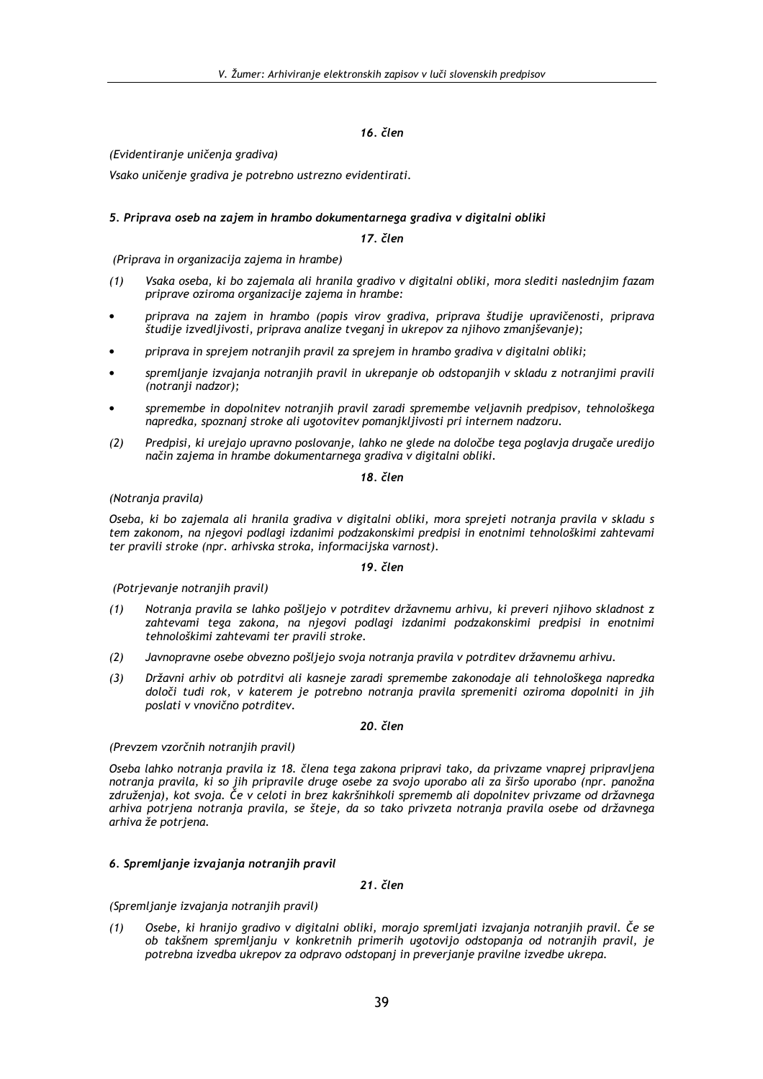(Evidentiranje uničenja gradiva)

Vsako uničenje gradiva je potrebno ustrezno evidentirati.

# 5. Priprava oseb na zajem in hrambo dokumentarnega gradiva v digitalni obliki

## 17. člen

(Priprava in organizacija zajema in hrambe)

- $(1)$ Vsaka oseba, ki bo zajemala ali hranila gradivo v digitalni obliki, mora slediti naslednjim fazam priprave oziroma organizacije zajema in hrambe:
- priprava na zajem in hrambo (popis virov gradiva, priprava študije upravičenosti, priprava študije izvedljivosti, priprava analize tveganj in ukrepov za njihovo zmanjševanje);
- priprava in sprejem notranjih pravil za sprejem in hrambo gradiva v digitalni obliki;
- spremljanje izvajanja notranjih pravil in ukrepanje ob odstopanjih v skladu z notranjimi pravili (notranji nadzor);
- spremembe in dopolnitev notranjih pravil zaradi spremembe veljavnih predpisov, tehnološkega napredka, spoznani stroke ali ugotovitev pomanjkljivosti pri internem nadzoru.
- Predpisi, ki urejajo upravno poslovanje, lahko ne glede na določbe tega poglavja drugače uredijo  $(2)$ način zajema in hrambe dokumentarnega gradiva v digitalni obliki.

## $18$   $\check{c}$ len

(Notranja pravila)

Oseba, ki bo zajemala ali hranila gradiva v digitalni obliki, mora sprejeti notranja pravila v skladu s tem zakonom, na njegovi podlagi izdanimi podzakonskimi predpisi in enotnimi tehnološkimi zahtevami ter pravili stroke (npr. arhivska stroka, informacijska varnost).

# 19. člen

(Potrjevanje notranjih pravil)

- Notranja pravila se lahko pošljejo v potrditev državnemu arhivu, ki preveri njihovo skladnost z  $(1)$ zahtevami tega zakona, na njegovi podlagi izdanimi podzakonskimi predpisi in enotnimi tehnološkimi zahtevami ter pravili stroke.
- $(2)$ Javnopravne osebe obvezno pošliejo svoja notranja pravila v potrditev državnemu arhivu.
- Državni arhiv ob potrditvi ali kasneje zaradi spremembe zakonodaje ali tehnološkega napredka  $(3)$ določi tudi rok, v katerem je potrebno notranja pravila spremeniti oziroma dopolniti in jih poslati v vnovično potrditev.

# 20. člen

## (Prevzem vzorčnih notranjih pravil)

Oseba lahko notranja pravila iz 18. člena tega zakona pripravi tako, da privzame vnaprej pripravljena notranja pravila, ki so jih pripravile druge osebe za svojo uporabo ali za širšo uporabo (npr. panožna združenia), kot svoja. Če v celoti in brez kakršnihkoli sprememb ali dopolnitev privzame od državnega arhiva potrjena notranja pravila, se šteje, da so tako privzeta notranja pravila osebe od državnega arhiva že potrjena.

# 6. Spremljanje izvajanja notranjih pravil

## 21. člen

(Spremljanje izvajanja notranjih pravil)

Osebe, ki hranijo gradivo v digitalni obliki, morajo spremljati izvajanja notranjih pravil. Če se  $(1)$ ob takšnem spremljanju v konkretnih primerih ugotovijo odstopanja od notranjih pravil, je potrebna izvedba ukrepov za odpravo odstopani in preverianie pravilne izvedbe ukrepa.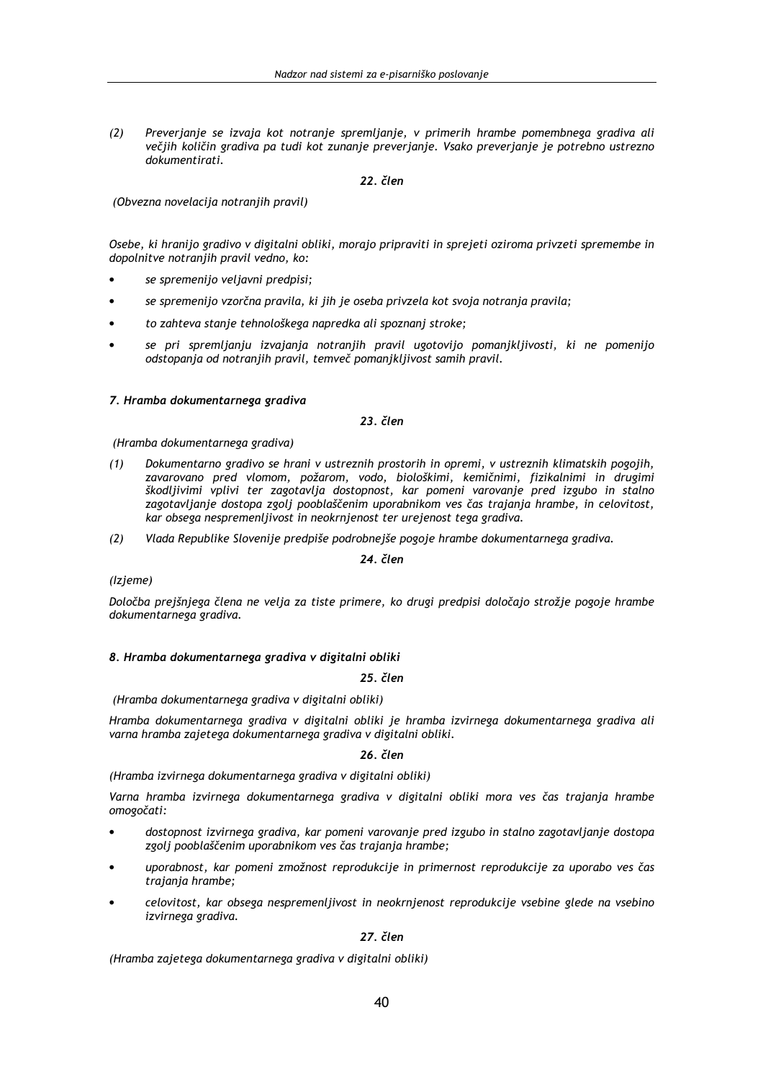Preverjanje se izvaja kot notranje spremljanje, v primerih hrambe pomembnega gradiva ali  $(2)$ večjih količin gradiva pa tudi kot zunanje preverjanje. Vsako preverjanje je potrebno ustrezno dokumentirati.

# 22. člen

(Obvezna novelacija notranjih pravil)

Osebe, ki hranijo gradivo v digitalni obliki, morajo pripraviti in sprejeti oziroma privzeti spremembe in dopolnitve notranjih pravil vedno, ko:

- se spremenijo veljavni predpisi:
- se spremenijo vzorčna pravila, ki jih je oseba privzela kot svoja notranja pravila;
- to zahteva stanje tehnološkega napredka ali spoznanj stroke;
- se pri spremlianiu izvajanja notranjih pravil ugotovijo pomaniklijvosti, ki ne pomenijo odstopanja od notranjih pravil, temveč pomanjkljivost samih pravil.

# 7. Hramba dokumentarnega gradiva

23. člen

(Hramba dokumentarnega gradiva)

- Dokumentarno gradivo se hrani v ustreznih prostorih in opremi, v ustreznih klimatskih pogojih,  $(1)$ zavarovano pred vlomom, požarom, vodo, biološkimi, kemičnimi, fizikalnimi in drugimi škodljivimi vplivi ter zagotavlja dostopnost, kar pomeni varovanje pred izgubo in stalno zagotavljanje dostopa zgolj pooblaščenim uporabnikom ves čas trajanja hrambe, in celovitost, kar obsega nespremenljivost in neokrnjenost ter urejenost tega gradiva.
- $(2)$ Vlada Republike Slovenije predpiše podrobnejše pogoje hrambe dokumentarnega gradiva.

24 člen

## (Izjeme)

Določba prejšnjega člena ne velja za tiste primere, ko drugi predpisi določajo strožje pogoje hrambe dokumentarnega gradiva.

## 8. Hramba dokumentarnega gradiva v digitalni obliki

25. člen

# (Hramba dokumentarnega gradiva v digitalni obliki)

Hramba dokumentarnega gradiva v digitalni obliki je hramba izvirnega dokumentarnega gradiva ali varna hramba zajetega dokumentarnega gradiva v digitalni obliki.

26. člen

(Hramba izvirnega dokumentarnega gradiva v digitalni obliki)

Varna hramba izvirnega dokumentarnega gradiva v digitalni obliki mora ves čas trajanja hrambe omogočati:

- dostopnost izvirnega gradiva, kar pomeni varovanje pred izgubo in stalno zagotavljanje dostopa zgolj pooblaščenim uporabnikom ves čas trajanja hrambe;
- uporabnost, kar pomeni zmožnost reprodukcije in primernost reprodukcije za uporabo ves čas trajanja hrambe;
- celovitost, kar obsega nespremenljivost in neokrnjenost reprodukcije vsebine glede na vsebino izvirnega gradiva.

# 27. člen

(Hramba zajetega dokumentarnega gradiva v digitalni obliki)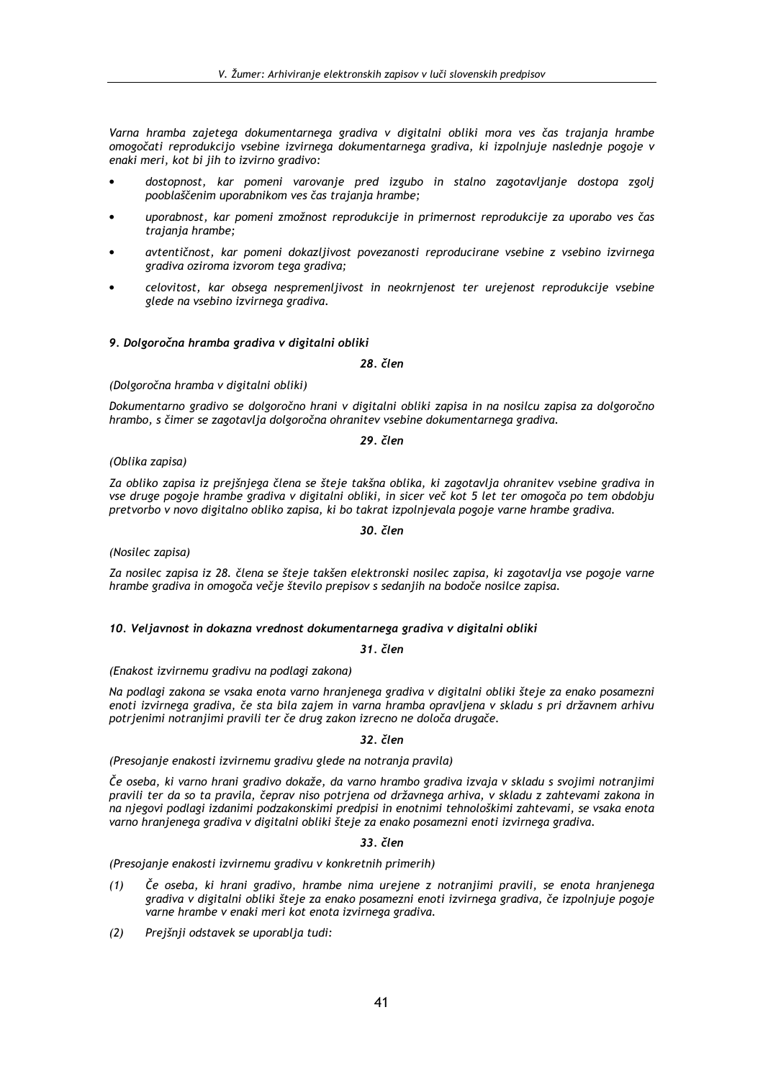Varna hramba zajetega dokumentarnega gradiva v digitalni obliki mora ves čas trajanja hrambe omogočati reprodukcijo vsebine izvirnega dokumentarnega gradiva, ki izpolnjuje naslednje pogoje v enaki meri, kot bi jih to izvirno gradivo:

- dostopnost, kar pomeni varovanje pred izgubo in stalno zagotavljanje dostopa zgolj pooblaščenim uporabnikom ves čas trajanja hrambe:
- uporabnost, kar pomeni zmožnost reprodukcije in primernost reprodukcije za uporabo ves čas trajanja hrambe;
- avtentičnost, kar pomeni dokazljivost povezanosti reproducirane vsebine z vsebino izvirnega gradiva oziroma izvorom tega gradiva;
- celovitost, kar obsega nespremenljivost in neokrnjenost ter urejenost reprodukcije vsebine glede na vsebino izvirnega gradiva.

# 9. Dolgoročna hramba gradiva v digitalni obliki

28. člen

## (Dolgoročna hramba v digitalni obliki)

Dokumentarno gradivo se dolgoročno hrani v digitalni obliki zapisa in na nosilcu zapisa za dolgoročno hrambo, s čimer se zagotavlja dolgoročna ohranitev vsebine dokumentarnega gradiva.

## 29. člen

## (Oblika zapisa)

Za obliko zapisa iz prejšnjega člena se šteje takšna oblika, ki zagotavlja ohranitev vsebine gradiva in vse druge pogoje hrambe gradiva v digitalni obliki, in sicer več kot 5 let ter omogoča po tem obdobju pretvorbo v novo digitalno obliko zapisa, ki bo takrat izpolnjevala pogoje varne hrambe gradiva.

## 30. člen

(Nosilec zapisa)

Za nosilec zapisa iz 28. člena se šteje takšen elektronski nosilec zapisa, ki zagotavlja vse pogoje varne hrambe gradiva in omogoča večje število prepisov s sedanjih na bodoče nosilce zapisa.

## 10. Veljavnost in dokazna vrednost dokumentarnega gradiva v digitalni obliki

### $31.$  člen

(Enakost izvirnemu gradivu na podlagi zakona)

Na podlagi zakona se vsaka enota varno hranjenega gradiva v digitalni obliki šteje za enako posamezni enoti izvirnega gradiva, če sta bila zajem in varna hramba opravljena v skladu s pri državnem arhivu potrjenimi notranjimi pravili ter če drug zakon izrecno ne določa drugače.

### 32. člen

(Presojanje enakosti izvirnemu gradivu glede na notranja pravila)

Če oseba, ki varno hrani gradivo dokaže, da varno hrambo gradiva izvaja v skladu s svojimi notranjimi pravili ter da so ta pravila, čeprav niso potrjena od državnega arhiva, v skladu z zahtevami zakona in na njegovi podlagi izdanimi podzakonskimi predpisi in enotnimi tehnološkimi zahtevami, se vsaka enota varno hranjenega gradiva v digitalni obliki šteje za enako posamezni enoti izvirnega gradiva.

## 33. člen

(Presojanje enakosti izvirnemu gradivu v konkretnih primerih)

- Če oseba, ki hrani gradivo, hrambe nima urejene z notranjimi pravili, se enota hranjenega  $(1)$ gradiva v digitalni obliki šteje za enako posamezni enoti izvirnega gradiva, če izpolnjuje pogoje varne hrambe v enaki meri kot enota izvirnega gradiva.
- $(2)$ Prejšnji odstavek se uporablja tudi: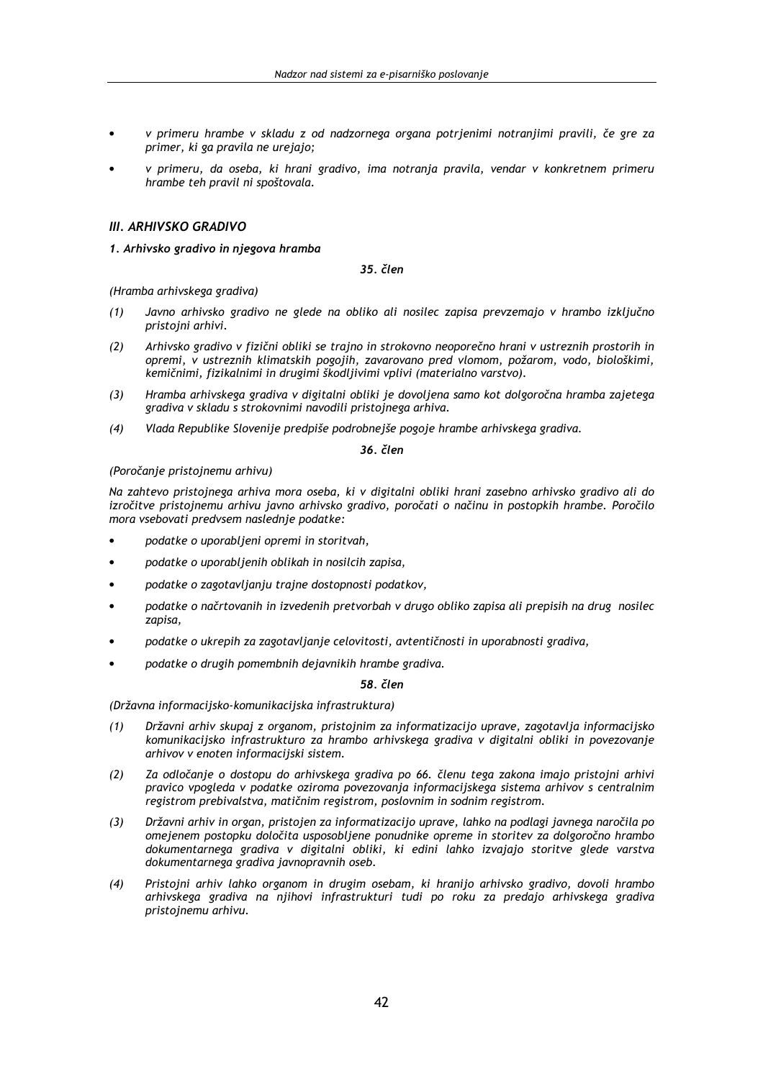- v primeru hrambe v skladu z od nadzornega organa potrjenimi notranjimi pravili, če gre za primer, ki ga pravila ne urejajo;
- v primeru, da oseba, ki hrani gradivo, ima notrania pravila, vendar v konkretnem primeru hrambe teh pravil ni spoštovala.

# **III. ARHIVSKO GRADIVO**

# 1. Arhivsko gradivo in njegova hramba

35. člen

(Hramba arhivskega gradiva)

- Javno arhivsko gradivo ne glede na obliko ali nosilec zapisa prevzemajo v hrambo izključno  $(1)$ pristojni arhivi.
- $(2)$ Arhivsko gradivo v fizični obliki se trajno in strokovno neoporečno hrani v ustreznih prostorih in opremi, v ustreznih klimatskih pogojih, zavarovano pred vlomom, požarom, vodo, biološkimi, kemičnimi, fizikalnimi in drugimi škodljivimi vplivi (materialno varstvo).
- Hramba arhivskega gradiva v digitalni obliki je dovoljena samo kot dolgoročna hramba zajetega  $(3)$ gradiva v skladu s strokovnimi navodili pristojnega arhiva.
- Vlada Republike Slovenije predpiše podrobnejše pogoje hrambe arhivskega gradiva.  $(4)$

36. člen

# (Poročanie pristoinemu arhivu)

Na zahtevo pristojnega arhiva mora oseba, ki v digitalni obliki hrani zasebno arhivsko gradivo ali do izročitve pristojnemu arhivu javno arhivsko gradivo, poročati o načinu in postopkih hrambe. Poročilo mora vsebovati predvsem naslednje podatke:

- podatke o uporabljeni opremi in storitvah,
- podatke o uporabljenih oblikah in nosilcih zapisa,
- podatke o zagotavljanju trajne dostopnosti podatkov,
- podatke o načrtovanih in izvedenih pretvorbah v drugo obliko zapisa ali prepisih na drug nosilec zapisa.
- podatke o ukrepih za zagotavljanje celovitosti, avtentičnosti in uporabnosti gradiva,
- podatke o drugih pomembnih dejavnikih hrambe gradiva.

## 58 člen

## (Državna informacijsko-komunikacijska infrastruktura)

- Državni arhiv skupaj z organom, pristojnim za informatizacijo uprave, zagotavlja informacijsko  $(1)$ komunikacijsko infrastrukturo za hrambo arhivskega gradiva v digitalni obliki in povezovanje arhivov v enoten informacijski sistem.
- Za odločanje o dostopu do arhivskega gradiva po 66. členu tega zakona imajo pristojni arhivi  $(2)$ pravico vpogleda v podatke oziroma povezovanja informacijskega sistema arhivov s centralnim registrom prebivalstva, matičnim registrom, poslovnim in sodnim registrom.
- Državni arhiv in organ, pristojen za informatizacijo uprave, lahko na podlagi javnega naročila po  $(3)$ omejenem postopku določita usposobljene ponudnike opreme in storitev za dolgoročno hrambo dokumentarnega gradiva v digitalni obliki, ki edini lahko izvajajo storitve glede varstva dokumentarnega gradiva javnopravnih oseb.
- Pristojni arhiv lahko organom in drugim osebam, ki hranijo arhivsko gradivo, dovoli hrambo  $(4)$ arhivskega gradiva na njihovi infrastrukturi tudi po roku za predajo arhivskega gradiva pristojnemu arhivu.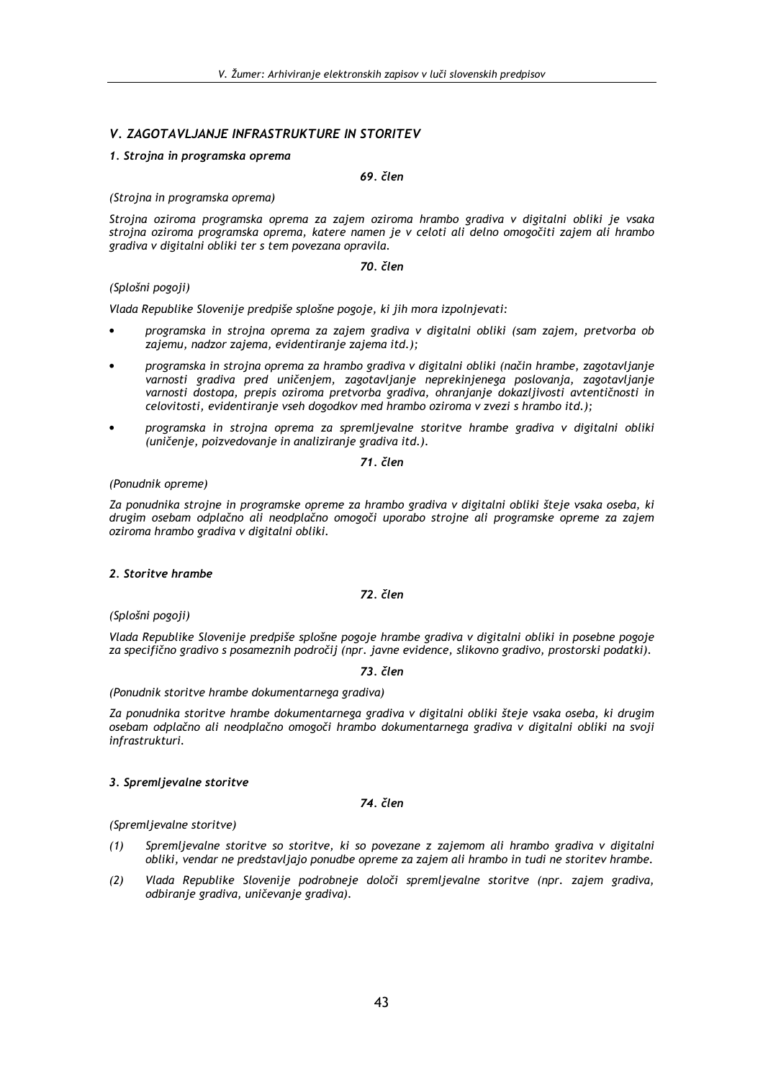# V. ZAGOTAVLJANJE INFRASTRUKTURE IN STORITEV

# 1. Strojna in programska oprema

# 69. člen

## (Stroina in programska oprema)

Strojna oziroma programska oprema za zajem oziroma hrambo gradiva v digitalni obliki je vsaka strojna oziroma programska oprema, katere namen je v celoti ali delno omogočiti zajem ali hrambo gradiva v digitalni obliki ter s tem povezana opravila.

# 70. člen

# (Splošni pogoji)

Vlada Republike Slovenije predpiše splošne pogoje, ki jih mora izpolnjevati:

- programska in strojna oprema za zajem gradiva v digitalni obliki (sam zajem, pretvorba ob zajemu, nadzor zajema, evidentiranje zajema itd.);
- programska in strojna oprema za hrambo gradiva v digitalni obliki (način hrambe, zagotavljanje varnosti gradiva pred uničenjem, zagotavljanje neprekinjenega poslovanja, zagotavljanje varnosti dostopa, prepis oziroma pretvorba gradiva, ohranjanje dokazljivosti avtentičnosti in celovitosti, evidentiranje vseh dogodkov med hrambo oziroma v zvezi s hrambo itd.);
- programska in strojna oprema za spremljevalne storitve hrambe gradiva v digitalni obliki (uničenje, poizvedovanje in analiziranje gradiva itd.).

## 71 člen

# (Ponudnik opreme)

Za ponudnika strojne in programske opreme za hrambo gradiva v digitalni obliki šteje vsaka oseba, ki drugim osebam odplačno ali neodplačno omogoči uporabo strojne ali programske opreme za zajem oziroma hrambo gradiva v digitalni obliki.

## 2 Storitve brambe

72. člen

(Splošni pogoji)

Vlada Republike Slovenije predpiše splošne pogoje hrambe gradiva v digitalni obliki in posebne pogoje za specifično gradivo s posameznih področij (npr. javne evidence, slikovno gradivo, prostorski podatki).

# 73. člen

## (Ponudnik storitve hrambe dokumentarnega gradiva)

Za ponudnika storitve hrambe dokumentarnega gradiva v digitalni obliki šteje vsaka oseba, ki drugim osebam odplačno ali neodplačno omogoči hrambo dokumentarnega gradiva v digitalni obliki na svoji infrastrukturi.

# 3. Spremljevalne storitve

# 74. člen

## (Spremljevalne storitve)

- $(1)$ Spremljevalne storitve so storitve, ki so povezane z zajemom ali hrambo gradiva v digitalni obliki, vendar ne predstavljajo ponudbe opreme za zajem ali hrambo in tudi ne storitev hrambe.
- Vlada Republike Slovenije podrobneje določi spremljevalne storitve (npr. zajem gradiva,  $(2)$ odbiranie gradiva, uničevanie gradiva).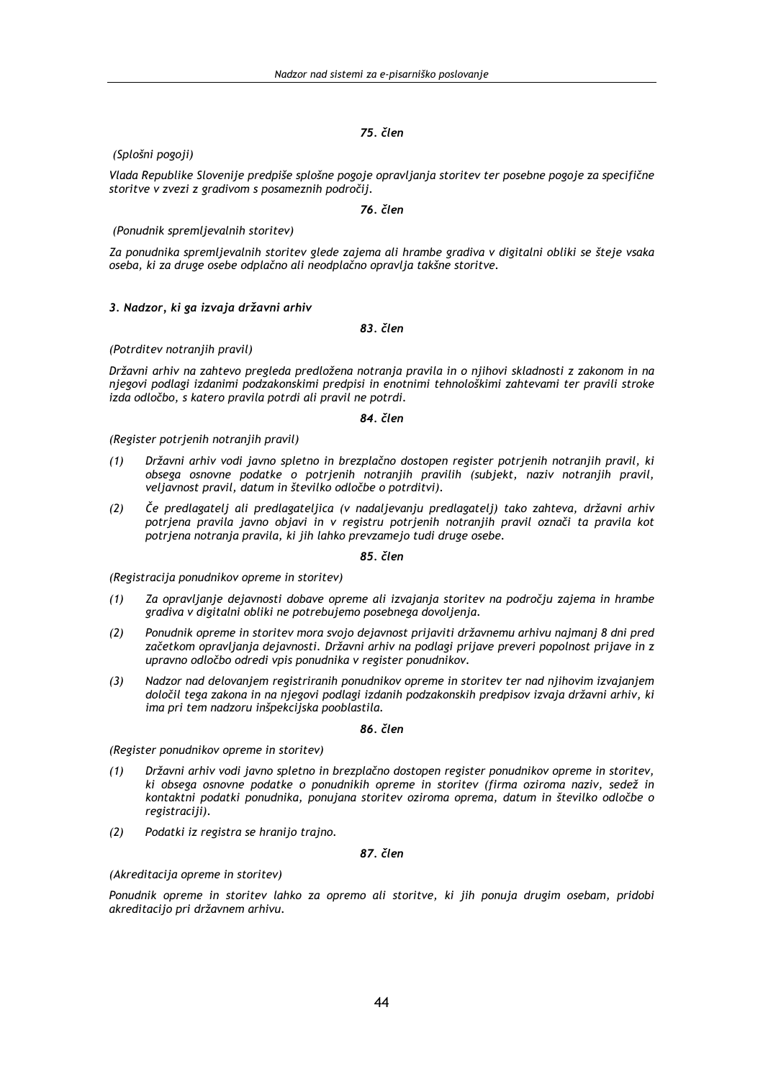# (Splošni pogoji)

Vlada Republike Slovenije predpiše splošne pogoje opravljanja storitev ter posebne pogoje za specifične storitve v zvezi z gradivom s posameznih področij.

# 76. člen

# (Ponudnik spremljevalnih storitev)

Za ponudnika spremljevalnih storitev glede zajema ali hrambe gradiva v digitalni obliki se šteje vsaka oseba, ki za druge osebe odplačno ali neodplačno opravlja takšne storitve.

## 3. Nadzor, ki ga izvaja državni arhiv

## 83. člen

## (Potrditev notranjih pravil)

Državni arhiv na zahtevo pregleda predložena notranja pravila in o njihovi skladnosti z zakonom in na njegovi podlagi izdanimi podzakonskimi predpisi in enotnimi tehnološkimi zahtevami ter pravili stroke izda odločbo, s katero pravila potrdi ali pravil ne potrdi.

### 84. člen

### (Register potrjenih notranjih pravil)

- Državni arhiv vodi javno spletno in brezplačno dostopen register potrjenih notranjih pravil, ki  $(1)$ obsega osnovne podatke o potrjenih notranjih pravilih (subjekt, naziv notranjih pravil, veljavnost pravil, datum in številko odločbe o potrditvi).
- Če predlagatelj ali predlagateljica (v nadaljevanju predlagatelj) tako zahteva, državni arhiv  $(2)$ potrjena pravila javno objavi in v registru potrjenih notranjih pravil označi ta pravila kot potrjena notranja pravila, ki jih lahko prevzamejo tudi druge osebe.

### 85. člen

### (Registracija ponudnikov opreme in storitev)

- $(1)$ Za opravljanje dejavnosti dobave opreme ali izvajanja storitev na področju zajema in hrambe gradiva v digitalni obliki ne potrebujemo posebnega dovoljenja.
- $(2)$ Ponudnik opreme in storitev mora svojo dejavnost prijaviti državnemu arhivu najmanj 8 dni pred začetkom opravljanja dejavnosti. Državni arhiv na podlagi prijave preveri popolnost prijave in z upravno odločbo odredi vpis ponudnika v register ponudnikov.
- Nadzor nad delovanjem registriranih ponudnikov opreme in storitev ter nad njihovim izvajanjem  $(3)$ določil tega zakona in na njegovi podlagi izdanih podzakonskih predpisov izvaja državni arhiv, ki ima pri tem nadzoru inšpekcijska pooblastila.

### 86. člen

(Register ponudnikov opreme in storitev)

- Državni arhiv vodi javno spletno in brezplačno dostopen register ponudnikov opreme in storitev,  $(1)$ ki obsega osnovne podatke o ponudnikih opreme in storitev (firma oziroma naziv, sedež in kontaktni podatki ponudnika, ponujana storitev oziroma oprema, datum in številko odločbe o registraciji).
- $(2)$ Podatki iz registra se hranijo trajno.

# 87 člen

# (Akreditacija opreme in storitev)

Ponudnik opreme in storitev lahko za opremo ali storitve, ki iih ponuja drugim osebam, pridobi akreditacijo pri državnem arhivu.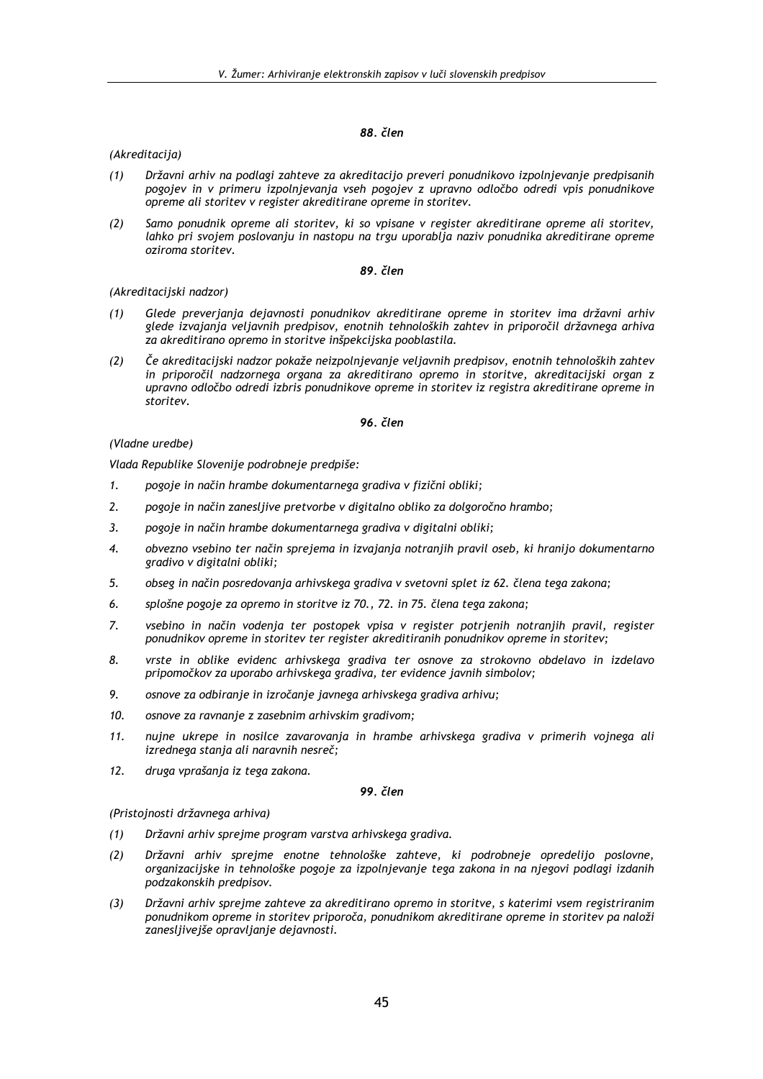# (Akreditacija)

- Državni arhiv na podlagi zahteve za akreditacijo preveri ponudnikovo izpolnjevanje predpisanih  $(1)$ pogojev in v primeru izpolnjevanja vseh pogojev z upravno odločbo odredi vpis ponudnikove opreme ali storitev v register akreditirane opreme in storitev.
- $(2)$ Samo ponudnik opreme ali storitev, ki so vpisane v register akreditirane opreme ali storitev, lahko pri svojem poslovanju in nastopu na trgu uporablja naziv ponudnika akreditirane opreme oziroma storitev.

### 89. člen

# (Akreditacijski nadzor)

- $(1)$ Glede preveriania dejavnosti ponudnikov akreditirane opreme in storitev ima državni arhiv glede izvajanja veljavnih predpisov, enotnih tehnoloških zahtev in priporočil državnega arhiva za akreditirano opremo in storitve inšpekcijska pooblastila.
- Če akreditacijski nadzor pokaže neizpolnjevanje veljavnih predpisov, enotnih tehnoloških zahtev  $(2)$ in priporočil nadzornega organa za akreditirano opremo in storitve, akreditacijski organ z upravno odločbo odredi izbris ponudnikove opreme in storitev iz registra akreditirane opreme in storitev.

## 96. člen

# (Vladne uredbe)

Vlada Republike Slovenije podrobneje predpiše:

- pogoje in način hrambe dokumentarnega gradiva v fizični obliki;  $\mathbf{1}$ .
- 2. pogoje in način zanesljive pretvorbe v digitalno obliko za dolgoročno hrambo;
- 3. pogoje in način hrambe dokumentarnega gradiva v digitalni obliki;
- obvezno vsebino ter način sprejema in izvajanja notranjih pravil oseb, ki hranijo dokumentarno 4. gradivo v digitalni obliki;
- obseg in način posredovania arhivskega gradiva v svetovni splet iz 62. člena tega zakona: 5
- $\epsilon$ splošne pogoje za opremo in storitve iz 70., 72. in 75. člena tega zakona:
- vsebino in način vodenja ter postopek vpisa v register potrjenih notranjih pravil, register 7. ponudnikov opreme in storitev ter register akreditiranih ponudnikov opreme in storitev;
- 8. vrste in oblike evidenc arhivskega gradiva ter osnove za strokovno obdelavo in izdelavo pripomočkov za uporabo arhivskega gradiva, ter evidence javnih simbolov;
- 9. osnove za odbiranje in izročanje javnega arhivskega gradiva arhivu;
- 10. osnove za ravnanje z zasebnim arhivskim gradivom;
- nujne ukrepe in nosilce zavarovanja in hrambe arhivskega gradiva v primerih vojnega ali 11. izrednega stanja ali naravnih nesreč;
- $12.$ druga vprašanja iz tega zakona.

## 99. člen

(Pristojnosti državnega arhiva)

- Državni arhiv sprejme program varstva arhivskega gradiva.  $(1)$
- Državni arhiv sprejme enotne tehnološke zahteve, ki podrobneje opredelijo poslovne,  $(2)$ organizacijske in tehnološke pogoje za izpolnjevanje tega zakona in na njegovi podlagi izdanih podzakonskih predpisov.
- $(3)$ Državni arhiv spreime zahteve za akreditirano opremo in storitve, s katerimi vsem registriranim ponudnikom opreme in storitev priporoča, ponudnikom akreditirane opreme in storitev pa naloži zanesljivejše opravljanje dejavnosti.